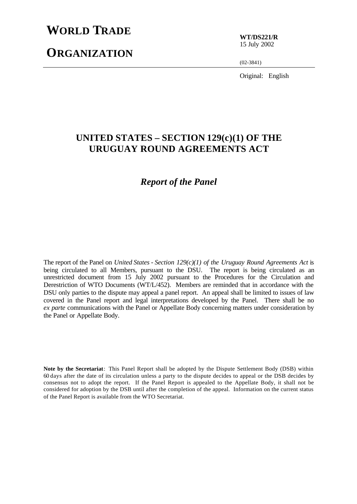# **WORLD TRADE**

# **ORGANIZATION**

**WT/DS221/R** 15 July 2002

(02-3841)

Original: English

## **UNITED STATES – SECTION 129(c)(1) OF THE URUGUAY ROUND AGREEMENTS ACT**

## *Report of the Panel*

The report of the Panel on *United States - Section 129(c)(1) of the Uruguay Round Agreements Act* is being circulated to all Members, pursuant to the DSU. The report is being circulated as an unrestricted document from 15 July 2002 pursuant to the Procedures for the Circulation and Derestriction of WTO Documents (WT/L/452). Members are reminded that in accordance with the DSU only parties to the dispute may appeal a panel report. An appeal shall be limited to issues of law covered in the Panel report and legal interpretations developed by the Panel. There shall be no *ex parte* communications with the Panel or Appellate Body concerning matters under consideration by the Panel or Appellate Body.

**Note by the Secretariat**: This Panel Report shall be adopted by the Dispute Settlement Body (DSB) within 60 days after the date of its circulation unless a party to the dispute decides to appeal or the DSB decides by consensus not to adopt the report. If the Panel Report is appealed to the Appellate Body, it shall not be considered for adoption by the DSB until after the completion of the appeal. Information on the current status of the Panel Report is available from the WTO Secretariat.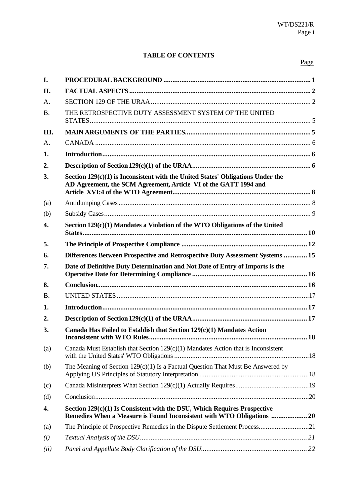## **TABLE OF CONTENTS**

| I.               |                                                                                                                                                       |  |
|------------------|-------------------------------------------------------------------------------------------------------------------------------------------------------|--|
| II.              |                                                                                                                                                       |  |
| A.               |                                                                                                                                                       |  |
| <b>B.</b>        | THE RETROSPECTIVE DUTY ASSESSMENT SYSTEM OF THE UNITED                                                                                                |  |
| III.             |                                                                                                                                                       |  |
| A.               |                                                                                                                                                       |  |
| 1.               |                                                                                                                                                       |  |
| 2.               |                                                                                                                                                       |  |
| 3.               | Section $129(c)(1)$ is Inconsistent with the United States' Obligations Under the<br>AD Agreement, the SCM Agreement, Article VI of the GATT 1994 and |  |
| (a)              |                                                                                                                                                       |  |
| (b)              |                                                                                                                                                       |  |
| $\overline{4}$ . | Section 129(c)(1) Mandates a Violation of the WTO Obligations of the United                                                                           |  |
| 5.               |                                                                                                                                                       |  |
| 6.               | Differences Between Prospective and Retrospective Duty Assessment Systems  15                                                                         |  |
| 7.               | Date of Definitive Duty Determination and Not Date of Entry of Imports is the                                                                         |  |
| 8.               |                                                                                                                                                       |  |
| <b>B.</b>        |                                                                                                                                                       |  |
| 1.               |                                                                                                                                                       |  |
| 2.               |                                                                                                                                                       |  |
| 3.               | Canada Has Failed to Establish that Section 129(c)(1) Mandates Action                                                                                 |  |
| (a)              | Canada Must Establish that Section $129(c)(1)$ Mandates Action that is Inconsistent                                                                   |  |
| (b)              | The Meaning of Section $129(c)(1)$ Is a Factual Question That Must Be Answered by                                                                     |  |
| (c)              |                                                                                                                                                       |  |
| (d)              |                                                                                                                                                       |  |
| 4.               | Section 129(c)(1) Is Consistent with the DSU, Which Requires Prospective<br>Remedies When a Measure is Found Inconsistent with WTO Obligations  20    |  |
| (a)              |                                                                                                                                                       |  |
| (i)              |                                                                                                                                                       |  |
| (ii)             |                                                                                                                                                       |  |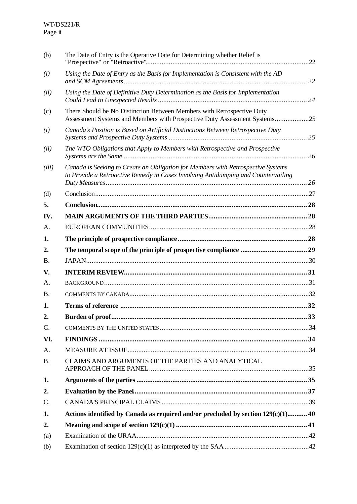| (b)       | The Date of Entry is the Operative Date for Determining whether Relief is                                                                                             |  |
|-----------|-----------------------------------------------------------------------------------------------------------------------------------------------------------------------|--|
| (i)       | Using the Date of Entry as the Basis for Implementation is Consistent with the AD                                                                                     |  |
| (ii)      | Using the Date of Definitive Duty Determination as the Basis for Implementation                                                                                       |  |
| (c)       | There Should be No Distinction Between Members with Retrospective Duty<br>Assessment Systems and Members with Prospective Duty Assessment Systems25                   |  |
| (i)       | Canada's Position is Based on Artificial Distinctions Between Retrospective Duty                                                                                      |  |
| (ii)      | The WTO Obligations that Apply to Members with Retrospective and Prospective                                                                                          |  |
| (iii)     | Canada is Seeking to Create an Obligation for Members with Retrospective Systems<br>to Provide a Retroactive Remedy in Cases Involving Antidumping and Countervailing |  |
| (d)       |                                                                                                                                                                       |  |
| 5.        |                                                                                                                                                                       |  |
| IV.       |                                                                                                                                                                       |  |
| A.        |                                                                                                                                                                       |  |
| 1.        |                                                                                                                                                                       |  |
| 2.        |                                                                                                                                                                       |  |
| <b>B.</b> |                                                                                                                                                                       |  |
| V.        |                                                                                                                                                                       |  |
| А.        |                                                                                                                                                                       |  |
| <b>B.</b> |                                                                                                                                                                       |  |
| 1.        |                                                                                                                                                                       |  |
| 2.        |                                                                                                                                                                       |  |
| C.        |                                                                                                                                                                       |  |
| VI.       |                                                                                                                                                                       |  |
| A.        |                                                                                                                                                                       |  |
| <b>B.</b> | CLAIMS AND ARGUMENTS OF THE PARTIES AND ANALYTICAL                                                                                                                    |  |
| 1.        |                                                                                                                                                                       |  |
| 2.        |                                                                                                                                                                       |  |
| C.        |                                                                                                                                                                       |  |
| 1.        | Actions identified by Canada as required and/or precluded by section 129(c)(1) 40                                                                                     |  |
| 2.        |                                                                                                                                                                       |  |
| (a)       |                                                                                                                                                                       |  |
| (b)       |                                                                                                                                                                       |  |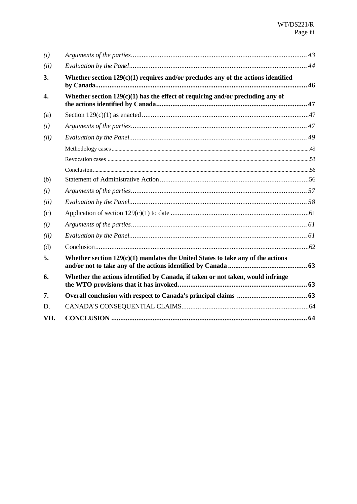| (i)              |                                                                                     |  |
|------------------|-------------------------------------------------------------------------------------|--|
| (ii)             |                                                                                     |  |
| 3.               | Whether section $129(c)(1)$ requires and/or precludes any of the actions identified |  |
| $\overline{4}$ . | Whether section $129(c)(1)$ has the effect of requiring and/or precluding any of    |  |
| (a)              |                                                                                     |  |
| (i)              |                                                                                     |  |
| (ii)             |                                                                                     |  |
|                  |                                                                                     |  |
|                  |                                                                                     |  |
|                  |                                                                                     |  |
| (b)              |                                                                                     |  |
| (i)              |                                                                                     |  |
| (ii)             |                                                                                     |  |
| (c)              |                                                                                     |  |
| (i)              |                                                                                     |  |
| (ii)             |                                                                                     |  |
| (d)              |                                                                                     |  |
| 5.               | Whether section $129(c)(1)$ mandates the United States to take any of the actions   |  |
| 6.               | Whether the actions identified by Canada, if taken or not taken, would infringe     |  |
| 7.               |                                                                                     |  |
| D.               |                                                                                     |  |
| VII.             |                                                                                     |  |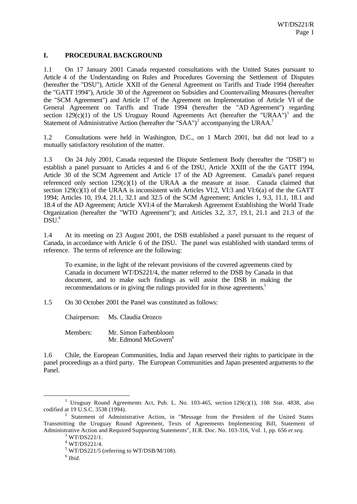## **I. PROCEDURAL BACKGROUND**

1.1 On 17 January 2001 Canada requested consultations with the United States pursuant to Article 4 of the Understanding on Rules and Procedures Governing the Settlement of Disputes (hereafter the "DSU"), Article XXII of the General Agreement on Tariffs and Trade 1994 (hereafter the "GATT 1994"), Article 30 of the Agreement on Subsidies and Countervailing Measures (hereafter the "SCM Agreement") and Article 17 of the Agreement on Implementation of Article VI of the General Agreement on Tariffs and Trade 1994 (hereafter the "AD Agreement") regarding section  $129(c)(1)$  of the US Uruguay Round Agreements Act (hereafter the "URAA")<sup>1</sup> and the Statement of Administrative Action (hereafter the "SAA")<sup>2</sup> accompanying the URAA.<sup>3</sup>

1.2 Consultations were held in Washington, D.C., on 1 March 2001, but did not lead to a mutually satisfactory resolution of the matter.

1.3 On 24 July 2001, Canada requested the Dispute Settlement Body (hereafter the "DSB") to establish a panel pursuant to Articles 4 and 6 of the DSU, Article XXIII of the the GATT 1994, Article 30 of the SCM Agreement and Article 17 of the AD Agreement. Canada's panel request referenced only section  $129(c)(1)$  of the URAA as the measure at issue. Canada claimed that section  $129(c)(1)$  of the URAA is inconsistent with Articles VI:2, VI:3 and VI:6(a) of the the GATT 1994; Articles 10, 19.4, 21.1, 32.1 and 32.5 of the SCM Agreement; Articles 1, 9.3, 11.1, 18.1 and 18.4 of the AD Agreement; Article XVI:4 of the Marrakesh Agreement Establishing the World Trade Organization (hereafter the "WTO Agreement"); and Articles 3.2, 3.7, 19.1, 21.1 and 21.3 of the  $DSU<sup>4</sup>$ 

1.4 At its meeting on 23 August 2001, the DSB established a panel pursuant to the request of Canada, in accordance with Article 6 of the DSU. The panel was established with standard terms of reference. The terms of reference are the following:

To examine, in the light of the relevant provisions of the covered agreements cited by Canada in document WT/DS221/4, the matter referred to the DSB by Canada in that document, and to make such findings as will assist the DSB in making the recommendations or in giving the rulings provided for in those agreements.<sup>5</sup>

1.5 On 30 October 2001 the Panel was constituted as follows:

Chairperson: Ms. Claudia Orozco

Members: Mr. Simon Farbenbloom Mr. Edmond McGovern<sup>6</sup>

1.6 Chile, the European Communities, India and Japan reserved their rights to participate in the panel proceedings as a third party. The European Communities and Japan presented arguments to the Panel.

<sup>&</sup>lt;sup>1</sup> Uruguay Round Agreements Act, Pub. L. No. 103-465, section  $129(c)(1)$ , 108 Stat. 4838, also codified at 19 U.S.C. 3538 (1994).

<sup>&</sup>lt;sup>2</sup> Statement of Administrative Action, in "Message from the President of the United States Transmitting the Uruguay Round Agreement, Texts of Agreements Implementing Bill, Statement of Administrative Action and Required Supporting Statements", H.R. Doc. No. 103-316, Vol. 1, pp. 656 *et seq.*

 $3$  WT/DS221/1.

<sup>4</sup> WT/DS221/4.

 $5$  WT/DS221/5 (referring to WT/DSB/M/108).

<sup>6</sup> *Ibid*.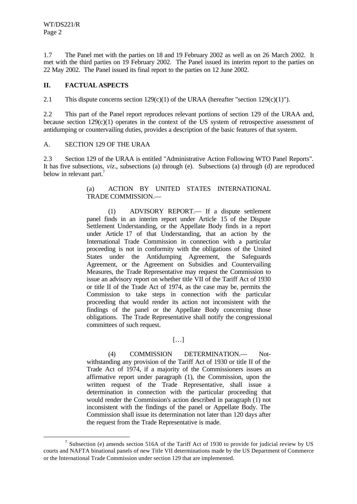l

1.7 The Panel met with the parties on 18 and 19 February 2002 as well as on 26 March 2002. It met with the third parties on 19 February 2002. The Panel issued its interim report to the parties on 22 May 2002. The Panel issued its final report to the parties on 12 June 2002.

## **II. FACTUAL ASPECTS**

2.1 This dispute concerns section 129(c)(1) of the URAA (hereafter "section 129(c)(1)").

2.2 This part of the Panel report reproduces relevant portions of section 129 of the URAA and, because section 129(c)(1) operates in the context of the US system of retrospective assessment of antidumping or countervailing duties, provides a description of the basic features of that system.

#### A. SECTION 129 OF THE URAA

2.3 Section 129 of the URAA is entitled "Administrative Action Following WTO Panel Reports". It has five subsections, *viz*., subsections (a) through (e). Subsections (a) through (d) are reproduced below in relevant part.<sup>7</sup>

## (a) ACTION BY UNITED STATES INTERNATIONAL TRADE COMMISSION.—

(1) ADVISORY REPORT.— If a dispute settlement panel finds in an interim report under Article 15 of the Dispute Settlement Understanding, or the Appellate Body finds in a report under Article 17 of that Understanding, that an action by the International Trade Commission in connection with a particular proceeding is not in conformity with the obligations of the United States under the Antidumping Agreement, the Safeguards Agreement, or the Agreement on Subsidies and Countervailing Measures, the Trade Representative may request the Commission to issue an advisory report on whether title VII of the Tariff Act of 1930 or title II of the Trade Act of 1974, as the case may be, permits the Commission to take steps in connection with the particular proceeding that would render its action not inconsistent with the findings of the panel or the Appellate Body concerning those obligations. The Trade Representative shall notify the congressional committees of such request.

#### […]

(4) COMMISSION DETERMINATION.— Notwithstanding any provision of the Tariff Act of 1930 or title II of the Trade Act of 1974, if a majority of the Commissioners issues an affirmative report under paragraph (1), the Commission, upon the written request of the Trade Representative, shall issue a determination in connection with the particular proceeding that would render the Commission's action described in paragraph (1) not inconsistent with the findings of the panel or Appellate Body. The Commission shall issue its determination not later than 120 days after the request from the Trade Representative is made.

<sup>&</sup>lt;sup>7</sup> Subsection (e) amends section 516A of the Tariff Act of 1930 to provide for judicial review by US courts and NAFTA binational panels of new Title VII determinations made by the US Department of Commerce or the International Trade Commission under section 129 that are implemented.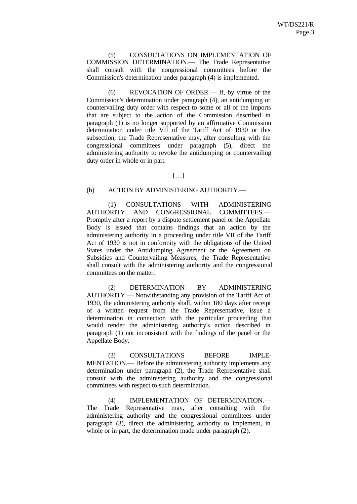(5) CONSULTATIONS ON IMPLEMENTATION OF COMMISSION DETERMINATION.— The Trade Representative shall consult with the congressional committees before the Commission's determination under paragraph (4) is implemented.

(6) REVOCATION OF ORDER.— If, by virtue of the Commission's determination under paragraph (4), an antidumping or countervailing duty order with respect to some or all of the imports that are subject to the action of the Commission described in paragraph (1) is no longer supported by an affirmative Commission determination under title VII of the Tariff Act of 1930 or this subsection, the Trade Representative may, after consulting with the congressional committees under paragraph (5), direct the administering authority to revoke the antidumping or countervailing duty order in whole or in part.

#### $[...]$

## (b) ACTION BY ADMINISTERING AUTHORITY.—

(1) CONSULTATIONS WITH ADMINISTERING AUTHORITY AND CONGRESSIONAL COMMITTEES.— Promptly after a report by a dispute settlement panel or the Appellate Body is issued that contains findings that an action by the administering authority in a proceeding under title VII of the Tariff Act of 1930 is not in conformity with the obligations of the United States under the Antidumping Agreement or the Agreement on Subsidies and Countervailing Measures, the Trade Representative shall consult with the administering authority and the congressional committees on the matter.

(2) DETERMINATION BY ADMINISTERING AUTHORITY.— Notwithstanding any provision of the Tariff Act of 1930, the administering authority shall, within 180 days after receipt of a written request from the Trade Representative, issue a determination in connection with the particular proceeding that would render the administering authority's action described in paragraph (1) not inconsistent with the findings of the panel or the Appellate Body.

(3) CONSULTATIONS BEFORE IMPLE-MENTATION.— Before the administering authority implements any determination under paragraph (2), the Trade Representative shall consult with the administering authority and the congressional committees with respect to such determination.

(4) IMPLEMENTATION OF DETERMINATION.— The Trade Representative may, after consulting with the administering authority and the congressional committees under paragraph (3), direct the administering authority to implement, in whole or in part, the determination made under paragraph (2).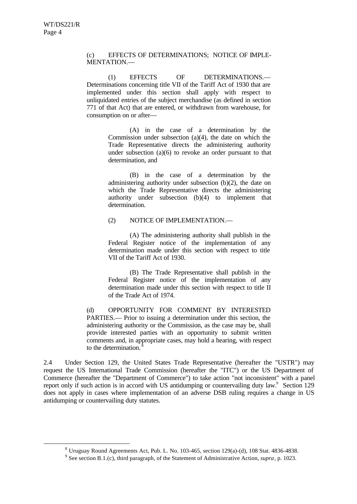l

(c) EFFECTS OF DETERMINATIONS; NOTICE OF IMPLE-MENTATION.—

(1) EFFECTS OF DETERMINATIONS.— Determinations concerning title VII of the Tariff Act of 1930 that are implemented under this section shall apply with respect to unliquidated entries of the subject merchandise (as defined in section 771 of that Act) that are entered, or withdrawn from warehouse, for consumption on or after—

> (A) in the case of a determination by the Commission under subsection (a)(4), the date on which the Trade Representative directs the administering authority under subsection (a)(6) to revoke an order pursuant to that determination, and

> (B) in the case of a determination by the administering authority under subsection (b)(2), the date on which the Trade Representative directs the administering authority under subsection (b)(4) to implement that determination.

#### (2) NOTICE OF IMPLEMENTATION.—

(A) The administering authority shall publish in the Federal Register notice of the implementation of any determination made under this section with respect to title VII of the Tariff Act of 1930.

(B) The Trade Representative shall publish in the Federal Register notice of the implementation of any determination made under this section with respect to title II of the Trade Act of 1974.

(d) OPPORTUNITY FOR COMMENT BY INTERESTED PARTIES.— Prior to issuing a determination under this section, the administering authority or the Commission, as the case may be, shall provide interested parties with an opportunity to submit written comments and, in appropriate cases, may hold a hearing, with respect to the determination.

2.4 Under Section 129, the United States Trade Representative (hereafter the "USTR") may request the US International Trade Commission (hereafter the "ITC") or the US Department of Commerce (hereafter the "Department of Commerce") to take action "not inconsistent" with a panel report only if such action is in accord with US antidumping or countervailing duty law.<sup>9</sup> Section 129 does not apply in cases where implementation of an adverse DSB ruling requires a change in US antidumping or countervailing duty statutes.

 $8$  Uruguay Round Agreements Act, Pub. L. No. 103-465, section 129(a)-(d), 108 Stat. 4836-4838.

<sup>9</sup> See section B.1.(c), third paragraph, of the Statement of Administrative Action, *supra*, p. 1023.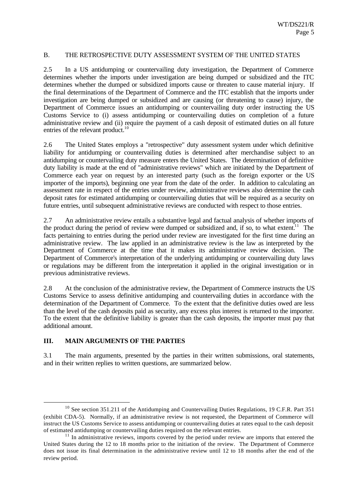### B. THE RETROSPECTIVE DUTY ASSESSMENT SYSTEM OF THE UNITED STATES

2.5 In a US antidumping or countervailing duty investigation, the Department of Commerce determines whether the imports under investigation are being dumped or subsidized and the ITC determines whether the dumped or subsidized imports cause or threaten to cause material injury. If the final determinations of the Department of Commerce and the ITC establish that the imports under investigation are being dumped or subsidized and are causing (or threatening to cause) injury, the Department of Commerce issues an antidumping or countervailing duty order instructing the US Customs Service to (i) assess antidumping or countervailing duties on completion of a future administrative review and (ii) require the payment of a cash deposit of estimated duties on all future entries of the relevant product.<sup>10</sup>

2.6 The United States employs a "retrospective" duty assessment system under which definitive liability for antidumping or countervailing duties is determined after merchandise subject to an antidumping or countervailing duty measure enters the United States. The determination of definitive duty liability is made at the end of "administrative reviews" which are initiated by the Department of Commerce each year on request by an interested party (such as the foreign exporter or the US importer of the imports), beginning one year from the date of the order. In addition to calculating an assessment rate in respect of the entries under review, administrative reviews also determine the cash deposit rates for estimated antidumping or countervailing duties that will be required as a security on future entries, until subsequent administrative reviews are conducted with respect to those entries.

2.7 An administrative review entails a substantive legal and factual analysis of whether imports of the product during the period of review were dumped or subsidized and, if so, to what extent.<sup>11</sup> The facts pertaining to entries during the period under review are investigated for the first time during an administrative review. The law applied in an administrative review is the law as interpreted by the Department of Commerce at the time that it makes its administrative review decision. The Department of Commerce's interpretation of the underlying antidumping or countervailing duty laws or regulations may be different from the interpretation it applied in the original investigation or in previous administrative reviews.

2.8 At the conclusion of the administrative review, the Department of Commerce instructs the US Customs Service to assess definitive antidumping and countervailing duties in accordance with the determination of the Department of Commerce. To the extent that the definitive duties owed are less than the level of the cash deposits paid as security, any excess plus interest is returned to the importer. To the extent that the definitive liability is greater than the cash deposits, the importer must pay that additional amount.

## **III. MAIN ARGUMENTS OF THE PARTIES**

l

3.1 The main arguments, presented by the parties in their written submissions, oral statements, and in their written replies to written questions, are summarized below.

<sup>&</sup>lt;sup>10</sup> See section 351.211 of the Antidumping and Countervailing Duties Regulations, 19 C.F.R. Part 351 (exhibit CDA-5). Normally, if an administrative review is not requested, the Department of Commerce will instruct the US Customs Service to assess antidumping or countervailing duties at rates equal to the cash deposit of estimated antidumping or countervailing duties required on the relevant entries.

 $11$  In administrative reviews, imports covered by the period under review are imports that entered the United States during the 12 to 18 months prior to the initiation of the review. The Department of Commerce does not issue its final determination in the administrative review until 12 to 18 months after the end of the review period.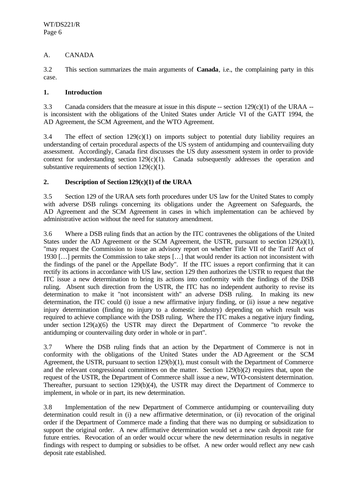## A. CANADA

3.2 This section summarizes the main arguments of **Canada**, i.e., the complaining party in this case.

## **1. Introduction**

3.3 Canada considers that the measure at issue in this dispute  $-$  section 129(c)(1) of the URAA  $$ is inconsistent with the obligations of the United States under Article VI of the GATT 1994, the AD Agreement, the SCM Agreement, and the WTO Agreement.

3.4 The effect of section 129(c)(1) on imports subject to potential duty liability requires an understanding of certain procedural aspects of the US system of antidumping and countervailing duty assessment. Accordingly, Canada first discusses the US duty assessment system in order to provide context for understanding section  $129(c)(1)$ . Canada subsequently addresses the operation and substantive requirements of section  $129(c)(1)$ .

## **2. Description of Section 129(c)(1) of the URAA**

3.5 Section 129 of the URAA sets forth procedures under US law for the United States to comply with adverse DSB rulings concerning its obligations under the Agreement on Safeguards, the AD Agreement and the SCM Agreement in cases in which implementation can be achieved by administrative action without the need for statutory amendment.

3.6 Where a DSB ruling finds that an action by the ITC contravenes the obligations of the United States under the AD Agreement or the SCM Agreement, the USTR, pursuant to section  $129(a)(1)$ , "may request the Commission to issue an advisory report on whether Title VII of the Tariff Act of 1930 […] permits the Commission to take steps […] that would render its action not inconsistent with the findings of the panel or the Appellate Body". If the ITC issues a report confirming that it can rectify its actions in accordance with US law, section 129 then authorizes the USTR to request that the ITC issue a new determination to bring its actions into conformity with the findings of the DSB ruling. Absent such direction from the USTR, the ITC has no independent authority to revise its determination to make it "not inconsistent with" an adverse DSB ruling. In making its new determination, the ITC could (i) issue a new affirmative injury finding, or (ii) issue a new negative injury determination (finding no injury to a domestic industry) depending on which result was required to achieve compliance with the DSB ruling. Where the ITC makes a negative injury finding, under section 129(a)(6) the USTR may direct the Department of Commerce "to revoke the antidumping or countervailing duty order in whole or in part".

3.7 Where the DSB ruling finds that an action by the Department of Commerce is not in conformity with the obligations of the United States under the AD Agreement or the SCM Agreement, the USTR, pursuant to section 129(b)(1), must consult with the Department of Commerce and the relevant congressional committees on the matter. Section 129(b)(2) requires that, upon the request of the USTR, the Department of Commerce shall issue a new, WTO-consistent determination. Thereafter, pursuant to section 129(b)(4), the USTR may direct the Department of Commerce to implement, in whole or in part, its new determination.

3.8 Implementation of the new Department of Commerce antidumping or countervailing duty determination could result in (i) a new affirmative determination, or (ii) revocation of the original order if the Department of Commerce made a finding that there was no dumping or subsidization to support the original order. A new affirmative determination would set a new cash deposit rate for future entries. Revocation of an order would occur where the new determination results in negative findings with respect to dumping or subsidies to be offset. A new order would reflect any new cash deposit rate established.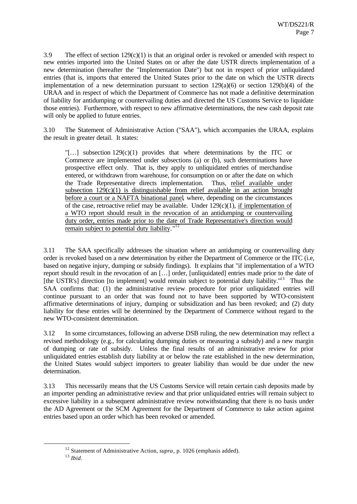3.9 The effect of section  $129(c)(1)$  is that an original order is revoked or amended with respect to new entries imported into the United States on or after the date USTR directs implementation of a new determination (hereafter the "Implementation Date") but not in respect of prior unliquidated entries (that is, imports that entered the United States prior to the date on which the USTR directs implementation of a new determination pursuant to section  $129(a)(6)$  or section  $129(b)(4)$  of the URAA and in respect of which the Department of Commerce has not made a definitive determination of liability for antidumping or countervailing duties and directed the US Customs Service to liquidate those entries). Furthermore, with respect to new affirmative determinations, the new cash deposit rate will only be applied to future entries.

3.10 The Statement of Administrative Action ("SAA"), which accompanies the URAA, explains the result in greater detail. It states:

 $\lbrack\ldots\rbrack$  subsection 129(c)(1) provides that where determinations by the ITC or Commerce are implemented under subsections (a) or (b), such determinations have prospective effect only. That is, they apply to unliquidated entries of merchandise entered, or withdrawn from warehouse, for consumption on or after the date on which the Trade Representative directs implementation. Thus, relief available under subsection  $129(c)(1)$  is distinguishable from relief available in an action brought before a court or a NAFTA binational panel, where, depending on the circumstances of the case, retroactive relief may be available. Under  $129(c)(1)$ , if implementation of a WTO report should result in the revocation of an antidumping or countervailing duty order, entries made prior to the date of Trade Representative's direction would remain subject to potential duty liability."<sup>12</sup>

3.11 The SAA specifically addresses the situation where an antidumping or countervailing duty order is revoked based on a new determination by either the Department of Commerce or the ITC (i.e, based on negative injury, dumping or subsidy findings). It explains that "if implementation of a WTO report should result in the revocation of an […] order, [unliquidated] entries made prior to the date of [the USTR's] direction [to implement] would remain subject to potential duty liability."<sup>13</sup> Thus the SAA confirms that: (1) the administrative review procedure for prior unliquidated entries will continue pursuant to an order that was found not to have been supported by WTO-consistent affirmative determinations of injury, dumping or subsidization and has been revoked; and (2) duty liability for these entries will be determined by the Department of Commerce without regard to the new WTO-consistent determination.

3.12 In some circumstances, following an adverse DSB ruling, the new determination may reflect a revised methodology (e.g., for calculating dumping duties or measuring a subsidy) and a new margin of dumping or rate of subsidy. Unless the final results of an administrative review for prior unliquidated entries establish duty liability at or below the rate established in the new determination, the United States would subject importers to greater liability than would be due under the new determination.

3.13 This necessarily means that the US Customs Service will retain certain cash deposits made by an importer pending an administrative review and that prior unliquidated entries will remain subject to excessive liability in a subsequent administrative review notwithstanding that there is no basis under the AD Agreement or the SCM Agreement for the Department of Commerce to take action against entries based upon an order which has been revoked or amended.

<sup>&</sup>lt;sup>12</sup> Statement of Administrative Action, *supra*, p. 1026 (emphasis added).

<sup>13</sup> *Ibid*.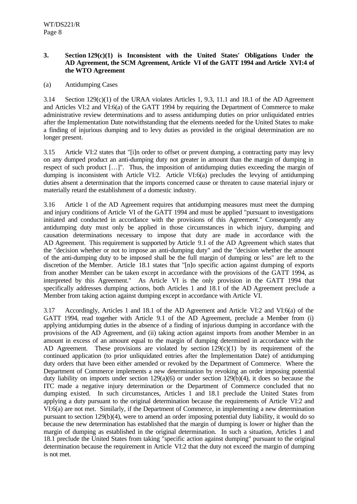## **3. Section 129(c)(1) is Inconsistent with the United States' Obligations Under the AD Agreement, the SCM Agreement, Article VI of the GATT 1994 and Article XVI:4 of the WTO Agreement**

## (a) Antidumping Cases

3.14 Section 129(c)(1) of the URAA violates Articles 1, 9.3, 11.1 and 18.1 of the AD Agreement and Articles VI:2 and VI:6(a) of the GATT 1994 by requiring the Department of Commerce to make administrative review determinations and to assess antidumping duties on prior unliquidated entries after the Implementation Date notwithstanding that the elements needed for the United States to make a finding of injurious dumping and to levy duties as provided in the original determination are no longer present.

3.15 Article VI:2 states that "[i]n order to offset or prevent dumping, a contracting party may levy on any dumped product an anti-dumping duty not greater in amount than the margin of dumping in respect of such product […]". Thus, the imposition of antidumping duties exceeding the margin of dumping is inconsistent with Article VI:2. Article VI:6(a) precludes the levying of antidumping duties absent a determination that the imports concerned cause or threaten to cause material injury or materially retard the establishment of a domestic industry.

3.16 Article 1 of the AD Agreement requires that antidumping measures must meet the dumping and injury conditions of Article VI of the GATT 1994 and must be applied "pursuant to investigations initiated and conducted in accordance with the provisions of this Agreement." Consequently any antidumping duty must only be applied in those circumstances in which injury, dumping and causation determinations necessary to impose that duty are made in accordance with the AD Agreement. This requirement is supported by Article 9.1 of the AD Agreement which states that the "decision whether or not to impose an anti-dumping duty" and the "decision whether the amount of the anti-dumping duty to be imposed shall be the full margin of dumping or less" are left to the discretion of the Member. Article 18.1 states that "[n]o specific action against dumping of exports from another Member can be taken except in accordance with the provisions of the GATT 1994, as interpreted by this Agreement." As Article VI is the only provision in the GATT 1994 that specifically addresses dumping actions, both Articles 1 and 18.1 of the AD Agreement preclude a Member from taking action against dumping except in accordance with Article VI.

3.17 Accordingly, Articles 1 and 18.1 of the AD Agreement and Article VI:2 and VI:6(a) of the GATT 1994, read together with Article 9.1 of the AD Agreement, preclude a Member from (i) applying antidumping duties in the absence of a finding of injurious dumping in accordance with the provisions of the AD Agreement, and (ii) taking action against imports from another Member in an amount in excess of an amount equal to the margin of dumping determined in accordance with the AD Agreement. These provisions are violated by section  $129(c)(1)$  by its requirement of the continued application (to prior unliquidated entries after the Implementation Date) of antidumping duty orders that have been either amended or revoked by the Department of Commerce. Where the Department of Commerce implements a new determination by revoking an order imposing potential duty liability on imports under section 129(a)(6) or under section 129(b)(4), it does so because the ITC made a negative injury determination or the Department of Commerce concluded that no dumping existed. In such circumstances, Articles 1 and 18.1 preclude the United States from applying a duty pursuant to the original determination because the requirements of Article VI:2 and VI:6(a) are not met. Similarly, if the Department of Commerce, in implementing a new determination pursuant to section 129(b)(4), were to amend an order imposing potential duty liability, it would do so because the new determination has established that the margin of dumping is lower or higher than the margin of dumping as established in the original determination. In such a situation, Articles 1 and 18.1 preclude the United States from taking "specific action against dumping" pursuant to the original determination because the requirement in Article VI:2 that the duty not exceed the margin of dumping is not met.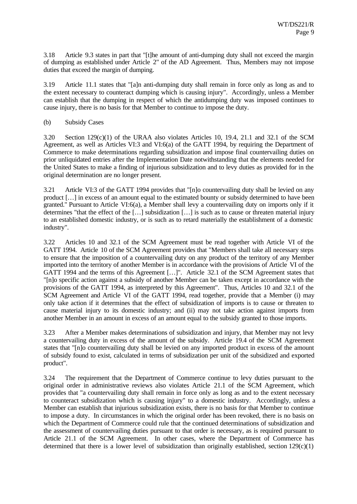3.18 Article 9.3 states in part that "[t]he amount of anti-dumping duty shall not exceed the margin of dumping as established under Article 2" of the AD Agreement. Thus, Members may not impose duties that exceed the margin of dumping.

3.19 Article 11.1 states that "[a]n anti-dumping duty shall remain in force only as long as and to the extent necessary to counteract dumping which is causing injury". Accordingly, unless a Member can establish that the dumping in respect of which the antidumping duty was imposed continues to cause injury, there is no basis for that Member to continue to impose the duty.

#### (b) Subsidy Cases

3.20 Section 129(c)(1) of the URAA also violates Articles 10, 19.4, 21.1 and 32.1 of the SCM Agreement, as well as Articles VI:3 and VI:6(a) of the GATT 1994, by requiring the Department of Commerce to make determinations regarding subsidization and impose final countervailing duties on prior unliquidated entries after the Implementation Date notwithstanding that the elements needed for the United States to make a finding of injurious subsidization and to levy duties as provided for in the original determination are no longer present.

3.21 Article VI:3 of the GATT 1994 provides that "[n]o countervailing duty shall be levied on any product […] in excess of an amount equal to the estimated bounty or subsidy determined to have been granted." Pursuant to Article VI:6(a), a Member shall levy a countervailing duty on imports only if it determines "that the effect of the […] subsidization […] is such as to cause or threaten material injury to an established domestic industry, or is such as to retard materially the establishment of a domestic industry".

3.22 Articles 10 and 32.1 of the SCM Agreement must be read together with Article VI of the GATT 1994. Article 10 of the SCM Agreement provides that "Members shall take all necessary steps to ensure that the imposition of a countervailing duty on any product of the territory of any Member imported into the territory of another Member is in accordance with the provisions of Article VI of the GATT 1994 and the terms of this Agreement […]". Article 32.1 of the SCM Agreement states that "[n]o specific action against a subsidy of another Member can be taken except in accordance with the provisions of the GATT 1994, as interpreted by this Agreement". Thus, Articles 10 and 32.1 of the SCM Agreement and Article VI of the GATT 1994, read together, provide that a Member (i) may only take action if it determines that the effect of subsidization of imports is to cause or threaten to cause material injury to its domestic industry; and (ii) may not take action against imports from another Member in an amount in excess of an amount equal to the subsidy granted to those imports.

3.23 After a Member makes determinations of subsidization and injury, that Member may not levy a countervailing duty in excess of the amount of the subsidy. Article 19.4 of the SCM Agreement states that "[n]o countervailing duty shall be levied on any imported product in excess of the amount of subsidy found to exist, calculated in terms of subsidization per unit of the subsidized and exported product".

3.24 The requirement that the Department of Commerce continue to levy duties pursuant to the original order in administrative reviews also violates Article 21.1 of the SCM Agreement, which provides that "a countervailing duty shall remain in force only as long as and to the extent necessary to counteract subsidization which is causing injury" to a domestic industry. Accordingly, unless a Member can establish that injurious subsidization exists, there is no basis for that Member to continue to impose a duty. In circumstances in which the original order has been revoked, there is no basis on which the Department of Commerce could rule that the continued determinations of subsidization and the assessment of countervailing duties pursuant to that order is necessary, as is required pursuant to Article 21.1 of the SCM Agreement. In other cases, where the Department of Commerce has determined that there is a lower level of subsidization than originally established, section  $129(c)(1)$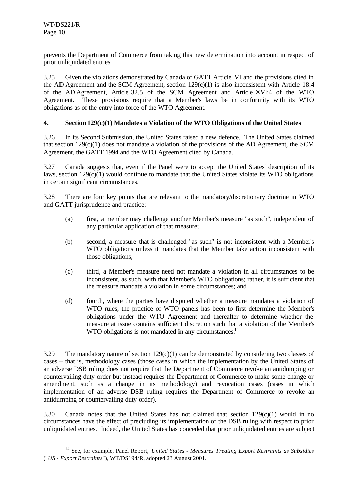l

prevents the Department of Commerce from taking this new determination into account in respect of prior unliquidated entries.

3.25 Given the violations demonstrated by Canada of GATT Article VI and the provisions cited in the AD Agreement and the SCM Agreement, section 129(c)(1) is also inconsistent with Article 18.4 of the AD Agreement, Article 32.5 of the SCM Agreement and Article XVI:4 of the WTO Agreement. These provisions require that a Member's laws be in conformity with its WTO obligations as of the entry into force of the WTO Agreement.

## **4. Section 129(c)(1) Mandates a Violation of the WTO Obligations of the United States**

3.26 In its Second Submission, the United States raised a new defence. The United States claimed that section  $129(c)(1)$  does not mandate a violation of the provisions of the AD Agreement, the SCM Agreement, the GATT 1994 and the WTO Agreement cited by Canada.

3.27 Canada suggests that, even if the Panel were to accept the United States' description of its laws, section 129(c)(1) would continue to mandate that the United States violate its WTO obligations in certain significant circumstances.

3.28 There are four key points that are relevant to the mandatory/discretionary doctrine in WTO and GATT jurisprudence and practice:

- (a) first, a member may challenge another Member's measure "as such", independent of any particular application of that measure;
- (b) second, a measure that is challenged "as such" is not inconsistent with a Member's WTO obligations unless it mandates that the Member take action inconsistent with those obligations;
- (c) third, a Member's measure need not mandate a violation in all circumstances to be inconsistent, as such, with that Member's WTO obligations; rather, it is sufficient that the measure mandate a violation in some circumstances; and
- (d) fourth, where the parties have disputed whether a measure mandates a violation of WTO rules, the practice of WTO panels has been to first determine the Member's obligations under the WTO Agreement and thereafter to determine whether the measure at issue contains sufficient discretion such that a violation of the Member's WTO obligations is not mandated in any circumstances. $14$

3.29 The mandatory nature of section  $129(c)(1)$  can be demonstrated by considering two classes of cases – that is, methodology cases (those cases in which the implementation by the United States of an adverse DSB ruling does not require that the Department of Commerce revoke an antidumping or countervailing duty order but instead requires the Department of Commerce to make some change or amendment, such as a change in its methodology) and revocation cases (cases in which implementation of an adverse DSB ruling requires the Department of Commerce to revoke an antidumping or countervailing duty order).

3.30 Canada notes that the United States has not claimed that section 129(c)(1) would in no circumstances have the effect of precluding its implementation of the DSB ruling with respect to prior unliquidated entries. Indeed, the United States has conceded that prior unliquidated entries are subject

<sup>14</sup> See, for example, Panel Report, *United States - Measures Treating Export Restraints as Subsidies* ("*US - Export Restraints*"), WT/DS194/R, adopted 23 August 2001.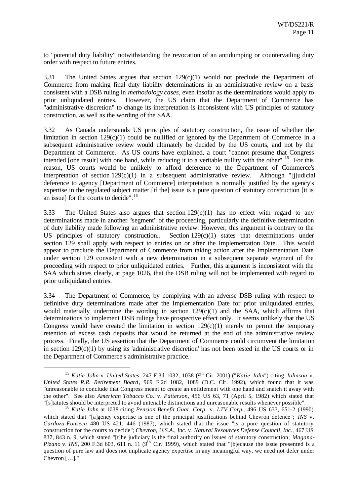to "potential duty liability" notwithstanding the revocation of an antidumping or countervailing duty order with respect to future entries.

3.31 The United States argues that section 129(c)(1) would not preclude the Department of Commerce from making final duty liability determinations in an administrative review on a basis consistent with a DSB ruling in *methodology cases*, even insofar as the determinations would apply to prior unliquidated entries. However, the US claim that the Department of Commerce has "administrative discretion" to change its interpretation is inconsistent with US principles of statutory construction, as well as the wording of the SAA.

3.32 As Canada understands US principles of statutory construction, the issue of whether the limitation in section  $129(c)(1)$  could be nullified or ignored by the Department of Commerce in a subsequent administrative review would ultimately be decided by the US courts, and not by the Department of Commerce. As US courts have explained, a court "cannot presume that Congress intended [one result] with one hand, while reducing it to a veritable nullity with the other". <sup>15</sup> For this reason, US courts would be unlikely to afford deference to the Department of Commerce's interpretation of section  $129(c)(1)$  in a subsequent administrative review. Although "[j]udicial deference to agency [Department of Commerce] interpretation is normally justified by the agency's expertise in the regulated subject matter [if the] issue is a pure question of statutory construction [it is an issue] for the courts to decide".<sup>16</sup>

3.33 The United States also argues that section 129(c)(1) has no effect with regard to any determinations made in another "segment" of the proceeding, particularly the definitive determination of duty liability made following an administrative review. However, this argument is contrary to the US principles of statutory construction.. Section 129(c)(1) states that determinations under section 129 shall apply with respect to entries on or after the Implementation Date. This would appear to preclude the Department of Commerce from taking action after the Implementation Date under section 129 consistent with a new determination in a subsequent separate segment of the proceeding with respect to prior unliquidated entries. Further, this argument is inconsistent with the SAA which states clearly, at page 1026, that the DSB ruling will not be implemented with regard to prior unliquidated entries.

3.34 The Department of Commerce, by complying with an adverse DSB ruling with respect to definitive duty determinations made after the Implementation Date for prior unliquidated entries, would materially undermine the wording in section  $129(c)(1)$  and the SAA, which affirms that determinations to implement DSB rulings have prospective effect only. It seems unlikely that the US Congress would have created the limitation in section  $129(c)(1)$  merely to permit the temporary retention of excess cash deposits that would be returned at the end of the administrative review process. Finally, the US assertion that the Department of Commerce could circumvent the limitation in section  $129(c)(1)$  by using its 'administrative discretion' has not been tested in the US courts or in the Department of Commerce's administrative practice.

<sup>15</sup> *Katie John* v. *United States*, 247 F.3d 1032, 1038 (9th Cir. 2001) ("*Katie John*") citing *Johnson* v. *United States R.R. Retirement Board*, 969 F.2d 1082, 1089 (D.C. Cir. 1992), which found that it was "unreasonable to conclude that Congress meant to create an entitlement with one hand and snatch it away with the other". See also *American Tobacco Co.* v. *Patterson*, 456 US 63, 71 (April 5, 1982) which stated that "[s]tatutes should be interpreted to avoid untenable distinctions and unreasonable results whenever possible".

<sup>16</sup> *Katie John* at 1038 citing *Pension Benefit Guar. Corp.* v. *LTV Corp.*, 496 US 633, 651-2 (1990) which stated that "*[a]gency expertise is one of the principal justifications behind Chevron defence"; <i>INS* v. *Cardoza-Fonseca* 480 US 421, 446 (1987), which stated that the issue "is a pure question of statutory construction for the courts to decide"; *Chevron, U.S.A., Inc.* v. *Natural Resources Defense Council, Inc.*, 467 US 837, 843 n. 9, which stated "[t]he judiciary is the final authority on issues of statutory construction; *Magana-Pizano* v. *INS*, 200 F.3d 603, 611 n. 11 (9<sup>th</sup> Cir. 1999), which stated that "[b]ecause the issue presented is a question of pure law and does not implicate agency expertise in any meaningful way, we need not defer under Chevron […]."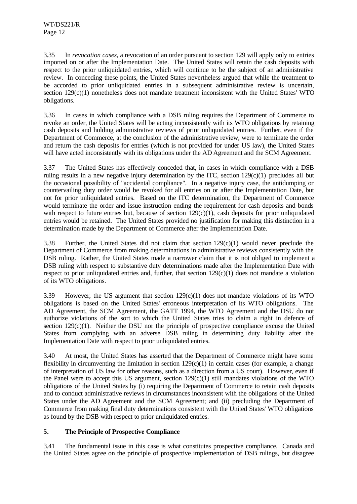3.35 In *revocation cases*, a revocation of an order pursuant to section 129 will apply only to entries imported on or after the Implementation Date. The United States will retain the cash deposits with respect to the prior unliquidated entries, which will continue to be the subject of an administrative review. In conceding these points, the United States nevertheless argued that while the treatment to be accorded to prior unliquidated entries in a subsequent administrative review is uncertain, section 129(c)(1) nonetheless does not mandate treatment inconsistent with the United States' WTO obligations.

3.36 In cases in which compliance with a DSB ruling requires the Department of Commerce to revoke an order, the United States will be acting inconsistently with its WTO obligations by retaining cash deposits and holding administrative reviews of prior unliquidated entries. Further, even if the Department of Commerce, at the conclusion of the administrative review, were to terminate the order and return the cash deposits for entries (which is not provided for under US law), the United States will have acted inconsistently with its obligations under the AD Agreement and the SCM Agreement.

3.37 The United States has effectively conceded that, in cases in which compliance with a DSB ruling results in a new negative injury determination by the ITC, section  $129(c)(1)$  precludes all but the occasional possibility of "accidental compliance". In a negative injury case, the antidumping or countervailing duty order would be revoked for all entries on or after the Implementation Date, but not for prior unliquidated entries. Based on the ITC determination, the Department of Commerce would terminate the order and issue instruction ending the requirement for cash deposits and bonds with respect to future entries but, because of section  $129(c)(1)$ , cash deposits for prior unliquidated entries would be retained. The United States provided no justification for making this distinction in a determination made by the Department of Commerce after the Implementation Date.

3.38 Further, the United States did not claim that section  $129(c)(1)$  would never preclude the Department of Commerce from making determinations in administrative reviews consistently with the DSB ruling. Rather, the United States made a narrower claim that it is not obliged to implement a DSB ruling with respect to substantive duty determinations made after the Implementation Date with respect to prior unliquidated entries and, further, that section  $129(c)(1)$  does not mandate a violation of its WTO obligations.

3.39 However, the US argument that section  $129(c)(1)$  does not mandate violations of its WTO obligations is based on the United States' erroneous interpretation of its WTO obligations. The AD Agreement, the SCM Agreement, the GATT 1994, the WTO Agreement and the DSU do not authorize violations of the sort to which the United States tries to claim a right in defence of section  $129(c)(1)$ . Neither the DSU nor the principle of prospective compliance excuse the United States from complying with an adverse DSB ruling in determining duty liability after the Implementation Date with respect to prior unliquidated entries.

3.40 At most, the United States has asserted that the Department of Commerce might have some flexibility in circumventing the limitation in section  $129(c)(1)$  in certain cases (for example, a change of interpretation of US law for other reasons, such as a direction from a US court). However, even if the Panel were to accept this US argument, section  $129(c)(1)$  still mandates violations of the WTO obligations of the United States by (i) requiring the Department of Commerce to retain cash deposits and to conduct administrative reviews in circumstances inconsistent with the obligations of the United States under the AD Agreement and the SCM Agreement; and (ii) precluding the Department of Commerce from making final duty determinations consistent with the United States' WTO obligations as found by the DSB with respect to prior unliquidated entries.

## **5. The Principle of Prospective Compliance**

3.41 The fundamental issue in this case is what constitutes prospective compliance. Canada and the United States agree on the principle of prospective implementation of DSB rulings, but disagree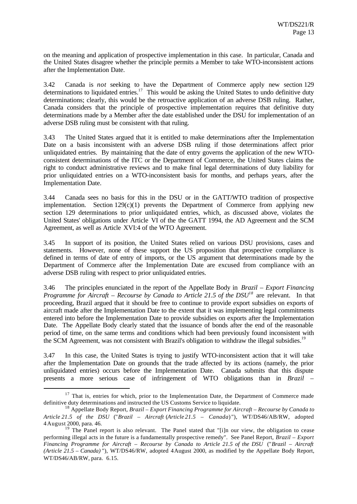on the meaning and application of prospective implementation in this case. In particular, Canada and the United States disagree whether the principle permits a Member to take WTO-inconsistent actions after the Implementation Date.

3.42 Canada is *not* seeking to have the Department of Commerce apply new section 129 determinations to liquidated entries.<sup>17</sup> This would be asking the United States to undo definitive duty determinations; clearly, this would be the retroactive application of an adverse DSB ruling. Rather, Canada considers that the principle of prospective implementation requires that definitive duty determinations made by a Member after the date established under the DSU for implementation of an adverse DSB ruling must be consistent with that ruling.

3.43 The United States argued that it is entitled to make determinations after the Implementation Date on a basis inconsistent with an adverse DSB ruling if those determinations affect prior unliquidated entries. By maintaining that the date of entry governs the application of the new WTOconsistent determinations of the ITC or the Department of Commerce, the United States claims the right to conduct administrative reviews and to make final legal determinations of duty liability for prior unliquidated entries on a WTO-inconsistent basis for months, and perhaps years, after the Implementation Date.

3.44 Canada sees no basis for this in the DSU or in the GATT/WTO tradition of prospective implementation. Section  $129(c)(1)$  prevents the Department of Commerce from applying new section 129 determinations to prior unliquidated entries, which, as discussed above, violates the United States' obligations under Article VI of the the GATT 1994, the AD Agreement and the SCM Agreement, as well as Article XVI:4 of the WTO Agreement.

3.45 In support of its position, the United States relied on various DSU provisions, cases and statements. However, none of these support the US proposition that prospective compliance is defined in terms of date of entry of imports, or the US argument that determinations made by the Department of Commerce after the Implementation Date are excused from compliance with an adverse DSB ruling with respect to prior unliquidated entries.

3.46 The principles enunciated in the report of the Appellate Body in *Brazil – Export Financing Programme for Aircraft – Recourse by Canada to Article 21.5 of the DSU<sup>18</sup>* are relevant. In that proceeding, Brazil argued that it should be free to continue to provide export subsidies on exports of aircraft made after the Implementation Date to the extent that it was implementing legal commitments entered into before the Implementation Date to provide subsidies on exports after the Implementation Date. The Appellate Body clearly stated that the issuance of bonds after the end of the reasonable period of time, on the same terms and conditions which had been previously found inconsistent with the SCM Agreement, was not consistent with Brazil's obligation to withdraw the illegal subsidies.<sup>19</sup>

3.47 In this case, the United States is trying to justify WTO-inconsistent action that it will take after the Implementation Date on grounds that the trade affected by its actions (namely, the prior unliquidated entries) occurs before the Implementation Date. Canada submits that this dispute presents a more serious case of infringement of WTO obligations than in *Brazil –*

 $17$  That is, entries for which, prior to the Implementation Date, the Department of Commerce made definitive duty determinations and instructed the US Customs Service to liquidate.

<sup>18</sup> Appellate Body Report, *Brazil – Export Financing Programme for Aircraft – Recourse by Canada to Article 21.5 of the DSU* ("*Brazil – Aircraft* (*Article 21.5 – Canada*) "), WT/DS46/AB/RW, adopted 4 August 2000, para. 46.

<sup>&</sup>lt;sup>19</sup> The Panel report is also relevant. The Panel stated that "[i]n our view, the obligation to cease performing illegal acts in the future is a fundamentally prospective remedy". See Panel Report, *Brazil – Export Financing Programme for Aircraft – Recourse by Canada to Article 21.5 of the DSU* ("*Brazil – Aircraft (Article 21.5 – Canada)* "), WT/DS46/RW, adopted 4 August 2000, as modified by the Appellate Body Report, WT/DS46/AB/RW, para. 6.15.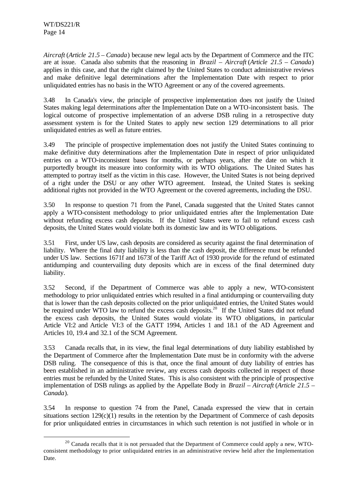l

*Aircraft* (*Article 21.5 – Canada*) because new legal acts by the Department of Commerce and the ITC are at issue. Canada also submits that the reasoning in *Brazil – Aircraft* (*Article 21.5 – Canada*) applies in this case, and that the right claimed by the United States to conduct administrative reviews and make definitive legal determinations after the Implementation Date with respect to prior unliquidated entries has no basis in the WTO Agreement or any of the covered agreements.

3.48 In Canada's view, the principle of prospective implementation does not justify the United States making legal determinations after the Implementation Date on a WTO-inconsistent basis. The logical outcome of prospective implementation of an adverse DSB ruling in a retrospective duty assessment system is for the United States to apply new section 129 determinations to all prior unliquidated entries as well as future entries.

3.49 The principle of prospective implementation does not justify the United States continuing to make definitive duty determinations after the Implementation Date in respect of prior unliquidated entries on a WTO-inconsistent bases for months, or perhaps years, after the date on which it purportedly brought its measure into conformity with its WTO obligations. The United States has attempted to portray itself as the victim in this case. However, the United States is not being deprived of a right under the DSU or any other WTO agreement. Instead, the United States is seeking additional rights not provided in the WTO Agreement or the covered agreements, including the DSU.

3.50 In response to question 71 from the Panel, Canada suggested that the United States cannot apply a WTO-consistent methodology to prior unliquidated entries after the Implementation Date without refunding excess cash deposits. If the United States were to fail to refund excess cash deposits, the United States would violate both its domestic law and its WTO obligations.

3.51 First, under US law, cash deposits are considered as security against the final determination of liability. Where the final duty liability is less than the cash deposit, the difference must be refunded under US law. Sections 1671f and 1673f of the Tariff Act of 1930 provide for the refund of estimated antidumping and countervailing duty deposits which are in excess of the final determined duty liability.

3.52 Second, if the Department of Commerce was able to apply a new, WTO-consistent methodology to prior unliquidated entries which resulted in a final antidumping or countervailing duty that is lower than the cash deposits collected on the prior unliquidated entries, the United States would be required under WTO law to refund the excess cash deposits.<sup>20</sup> If the United States did not refund the excess cash deposits, the United States would violate its WTO obligations, in particular Article VI:2 and Article VI:3 of the GATT 1994, Articles 1 and 18.1 of the AD Agreement and Articles 10, 19.4 and 32.1 of the SCM Agreement.

3.53 Canada recalls that, in its view, the final legal determinations of duty liability established by the Department of Commerce after the Implementation Date must be in conformity with the adverse DSB ruling. The consequence of this is that, once the final amount of duty liability of entries has been established in an administrative review, any excess cash deposits collected in respect of those entries must be refunded by the United States. This is also consistent with the principle of prospective implementation of DSB rulings as applied by the Appellate Body in *Brazil – Aircraft* (*Article 21.5 – Canada*)*.*

3.54 In response to question 74 from the Panel, Canada expressed the view that in certain situations section 129(c)(1) results in the retention by the Department of Commerce of cash deposits for prior unliquidated entries in circumstances in which such retention is not justified in whole or in

<sup>&</sup>lt;sup>20</sup> Canada recalls that it is not persuaded that the Department of Commerce could apply a new, WTOconsistent methodology to prior unliquidated entries in an administrative review held after the Implementation Date.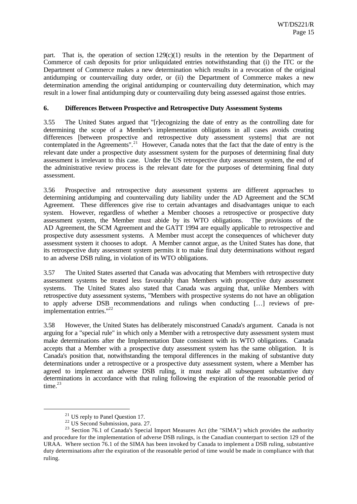part. That is, the operation of section  $129(c)(1)$  results in the retention by the Department of Commerce of cash deposits for prior unliquidated entries notwithstanding that (i) the ITC or the Department of Commerce makes a new determination which results in a revocation of the original antidumping or countervailing duty order, or (ii) the Department of Commerce makes a new determination amending the original antidumping or countervailing duty determination, which may result in a lower final antidumping duty or countervailing duty being assessed against those entries.

## **6. Differences Between Prospective and Retrospective Duty Assessment Systems**

3.55 The United States argued that "[r]ecognizing the date of entry as the controlling date for determining the scope of a Member's implementation obligations in all cases avoids creating differences [between prospective and retrospective duty assessment systems] that are not contemplated in the Agreements".<sup>21</sup> However, Canada notes that the fact that the date of entry is the relevant date under a prospective duty assessment system for the purposes of determining final duty assessment is irrelevant to this case. Under the US retrospective duty assessment system, the end of the administrative review process is the relevant date for the purposes of determining final duty assessment.

3.56 Prospective and retrospective duty assessment systems are different approaches to determining antidumping and countervailing duty liability under the AD Agreement and the SCM Agreement. These differences give rise to certain advantages and disadvantages unique to each system. However, regardless of whether a Member chooses a retrospective or prospective duty assessment system, the Member must abide by its WTO obligations. The provisions of the AD Agreement, the SCM Agreement and the GATT 1994 are equally applicable to retrospective and prospective duty assessment systems. A Member must accept the consequences of whichever duty assessment system it chooses to adopt. A Member cannot argue, as the United States has done, that its retrospective duty assessment system permits it to make final duty determinations without regard to an adverse DSB ruling, in violation of its WTO obligations.

3.57 The United States asserted that Canada was advocating that Members with retrospective duty assessment systems be treated less favourably than Members with prospective duty assessment systems. The United States also stated that Canada was arguing that, unlike Members with retrospective duty assessment systems, "Members with prospective systems do not have an obligation to apply adverse DSB recommendations and rulings when conducting […] reviews of preimplementation entries."<sup>22</sup>

3.58 However, the United States has deliberately misconstrued Canada's argument. Canada is not arguing for a "special rule" in which only a Member with a retrospective duty assessment system must make determinations after the Implementation Date consistent with its WTO obligations. Canada accepts that a Member with a prospective duty assessment system has the same obligation. It is Canada's position that, notwithstanding the temporal differences in the making of substantive duty determinations under a retrospective or a prospective duty assessment system, where a Member has agreed to implement an adverse DSB ruling, it must make all subsequent substantive duty determinations in accordance with that ruling following the expiration of the reasonable period of time. $23$ 

<sup>&</sup>lt;sup>21</sup> US reply to Panel Question 17.

 $22$  US Second Submission, para. 27.

<sup>&</sup>lt;sup>23</sup> Section 76.1 of Canada's Special Import Measures Act (the "SIMA") which provides the authority and procedure for the implementation of adverse DSB rulings, is the Canadian counterpart to section 129 of the URAA. Where section 76.1 of the SIMA has been invoked by Canada to implement a DSB ruling, substantive duty determinations after the expiration of the reasonable period of time would be made in compliance with that ruling.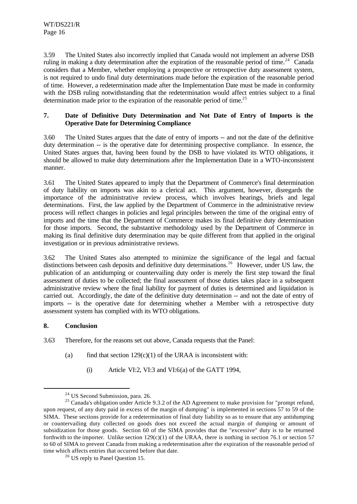3.59 The United States also incorrectly implied that Canada would not implement an adverse DSB ruling in making a duty determination after the expiration of the reasonable period of time.<sup>24</sup> Canada considers that a Member, whether employing a prospective or retrospective duty assessment system, is not required to undo final duty determinations made before the expiration of the reasonable period of time. However, a redetermination made after the Implementation Date must be made in conformity with the DSB ruling notwithstanding that the redetermination would affect entries subject to a final determination made prior to the expiration of the reasonable period of time.<sup>25</sup>

## **7. Date of Definitive Duty Determination and Not Date of Entry of Imports is the Operative Date for Determining Compliance**

3.60 The United States argues that the date of entry of imports -- and not the date of the definitive duty determination -- is the operative date for determining prospective compliance. In essence, the United States argues that, having been found by the DSB to have violated its WTO obligations, it should be allowed to make duty determinations after the Implementation Date in a WTO-inconsistent manner.

3.61 The United States appeared to imply that the Department of Commerce's final determination of duty liability on imports was akin to a clerical act. This argument, however, disregards the importance of the administrative review process, which involves hearings, briefs and legal determinations. First, the law applied by the Department of Commerce in the administrative review process will reflect changes in policies and legal principles between the time of the original entry of imports and the time that the Department of Commerce makes its final definitive duty determination for those imports. Second, the substantive methodology used by the Department of Commerce in making its final definitive duty determination may be quite different from that applied in the original investigation or in previous administrative reviews.

3.62 The United States also attempted to minimize the significance of the legal and factual distinctions between cash deposits and definitive duty determinations.<sup>26</sup> However, under US law, the publication of an antidumping or countervailing duty order is merely the first step toward the final assessment of duties to be collected; the final assessment of those duties takes place in a subsequent administrative review where the final liability for payment of duties is determined and liquidation is carried out. Accordingly, the date of the definitive duty determination -- and not the date of entry of imports -- is the operative date for determining whether a Member with a retrospective duty assessment system has complied with its WTO obligations.

## **8. Conclusion**

l

3.63 Therefore, for the reasons set out above, Canada requests that the Panel:

- (a) find that section  $129(c)(1)$  of the URAA is inconsistent with:
	- $(i)$  Article VI:2, VI:3 and VI:6(a) of the GATT 1994,

<sup>&</sup>lt;sup>24</sup> US Second Submission, para. 26.

<sup>&</sup>lt;sup>25</sup> Canada's obligation under Article 9.3.2 of the AD Agreement to make provision for "prompt refund, upon request, of any duty paid in excess of the margin of dumping" is implemented in sections 57 to 59 of the SIMA. These sections provide for a redetermination of final duty liability so as to ensure that any antidumping or countervailing duty collected on goods does not exceed the actual margin of dumping or amount of subsidization for those goods. Section 60 of the SIMA provides that the "excessive" duty is to be returned forthwith to the importer. Unlike section  $129(c)(1)$  of the URAA, there is nothing in section 76.1 or section 57 to 60 of SIMA to prevent Canada from making a redetermination after the expiration of the reasonable period of time which affects entries that occurred before that date.

<sup>&</sup>lt;sup>26</sup> US reply to Panel Question 15.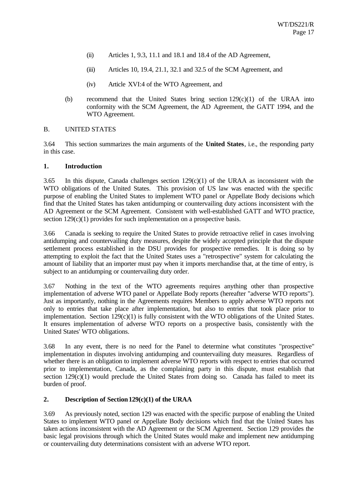- (ii) Articles 1, 9.3, 11.1 and 18.1 and 18.4 of the AD Agreement,
- (iii) Articles 10, 19.4, 21.1, 32.1 and 32.5 of the SCM Agreement, and
- (iv) Article XVI:4 of the WTO Agreement, and
- (b) recommend that the United States bring section  $129(c)(1)$  of the URAA into conformity with the SCM Agreement, the AD Agreement, the GATT 1994, and the WTO Agreement.

## B. UNITED STATES

3.64 This section summarizes the main arguments of the **United States**, i.e., the responding party in this case.

#### **1. Introduction**

3.65 In this dispute, Canada challenges section  $129(c)(1)$  of the URAA as inconsistent with the WTO obligations of the United States. This provision of US law was enacted with the specific purpose of enabling the United States to implement WTO panel or Appellate Body decisions which find that the United States has taken antidumping or countervailing duty actions inconsistent with the AD Agreement or the SCM Agreement. Consistent with well-established GATT and WTO practice, section 129(c)(1) provides for such implementation on a prospective basis.

3.66 Canada is seeking to require the United States to provide retroactive relief in cases involving antidumping and countervailing duty measures, despite the widely accepted principle that the dispute settlement process established in the DSU provides for prospective remedies. It is doing so by attempting to exploit the fact that the United States uses a "retrospective" system for calculating the amount of liability that an importer must pay when it imports merchandise that, at the time of entry, is subject to an antidumping or countervailing duty order.

3.67 Nothing in the text of the WTO agreements requires anything other than prospective implementation of adverse WTO panel or Appellate Body reports (hereafter "adverse WTO reports"). Just as importantly, nothing in the Agreements requires Members to apply adverse WTO reports not only to entries that take place after implementation, but also to entries that took place prior to implementation. Section 129(c)(1) is fully consistent with the WTO obligations of the United States. It ensures implementation of adverse WTO reports on a prospective basis, consistently with the United States' WTO obligations.

3.68 In any event, there is no need for the Panel to determine what constitutes "prospective" implementation in disputes involving antidumping and countervailing duty measures. Regardless of whether there is an obligation to implement adverse WTO reports with respect to entries that occurred prior to implementation, Canada, as the complaining party in this dispute, must establish that section  $129(c)(1)$  would preclude the United States from doing so. Canada has failed to meet its burden of proof.

## **2. Description of Section 129(c)(1) of the URAA**

3.69 As previously noted, section 129 was enacted with the specific purpose of enabling the United States to implement WTO panel or Appellate Body decisions which find that the United States has taken actions inconsistent with the AD Agreement or the SCM Agreement. Section 129 provides the basic legal provisions through which the United States would make and implement new antidumping or countervailing duty determinations consistent with an adverse WTO report.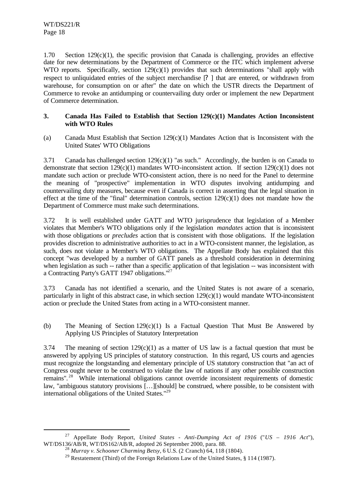l

1.70 Section 129(c)(1), the specific provision that Canada is challenging, provides an effective date for new determinations by the Department of Commerce or the ITC which implement adverse WTO reports. Specifically, section  $129(c)(1)$  provides that such determinations "shall apply with respect to unliquidated entries of the subject merchandise [? ] that are entered, or withdrawn from warehouse, for consumption on or after" the date on which the USTR directs the Department of Commerce to revoke an antidumping or countervailing duty order or implement the new Department of Commerce determination.

## **3. Canada Has Failed to Establish that Section 129(c)(1) Mandates Action Inconsistent with WTO Rules**

(a) Canada Must Establish that Section 129(c)(1) Mandates Action that is Inconsistent with the United States' WTO Obligations

3.71 Canada has challenged section 129(c)(1) "as such." Accordingly, the burden is on Canada to demonstrate that section  $129(c)(1)$  mandates WTO-inconsistent action. If section  $129(c)(1)$  does not mandate such action or preclude WTO-consistent action, there is no need for the Panel to determine the meaning of "prospective" implementation in WTO disputes involving antidumping and countervailing duty measures, because even if Canada is correct in asserting that the legal situation in effect at the time of the "final" determination controls, section  $129(c)(1)$  does not mandate how the Department of Commerce must make such determinations.

3.72 It is well established under GATT and WTO jurisprudence that legislation of a Member violates that Member's WTO obligations only if the legislation *mandates* action that is inconsistent with those obligations or *precludes* action that is consistent with those obligations. If the legislation provides discretion to administrative authorities to act in a WTO-consistent manner, the legislation, as such, does not violate a Member's WTO obligations. The Appellate Body has explained that this concept "was developed by a number of GATT panels as a threshold consideration in determining when legislation as such -- rather than a specific application of that legislation -- was inconsistent with a Contracting Party's GATT 1947 obligations."<sup>27</sup>

3.73 Canada has not identified a scenario, and the United States is not aware of a scenario, particularly in light of this abstract case, in which section  $129(c)(1)$  would mandate WTO-inconsistent action or preclude the United States from acting in a WTO-consistent manner.

(b) The Meaning of Section  $129(c)(1)$  Is a Factual Question That Must Be Answered by Applying US Principles of Statutory Interpretation

3.74 The meaning of section  $129(c)(1)$  as a matter of US law is a factual question that must be answered by applying US principles of statutory construction. In this regard, US courts and agencies must recognize the longstanding and elementary principle of US statutory construction that "an act of Congress ought never to be construed to violate the law of nations if any other possible construction remains".<sup>28</sup> While international obligations cannot override inconsistent requirements of domestic law, "ambiguous statutory provisions […][should] be construed, where possible, to be consistent with international obligations of the United States."<sup>29</sup>

<sup>27</sup> Appellate Body Report, *United States - Anti-Dumping Act of 1916* ("*US – 1916 Act*"), WT/DS136/AB/R, WT/DS162/AB/R, adopted 26 September 2000, para. 88.

<sup>28</sup> *Murray v. Schooner Charming Betsy*, 6 U.S. (2 Cranch) 64, 118 (1804).

<sup>&</sup>lt;sup>29</sup> Restatement (Third) of the Foreign Relations Law of the United States, § 114 (1987).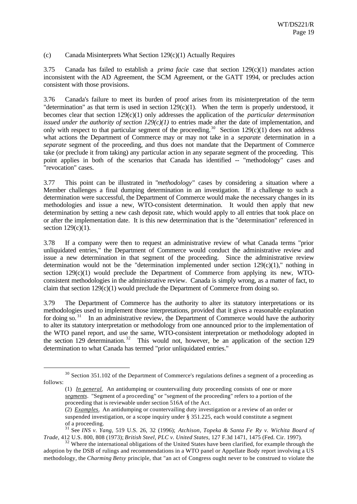## (c) Canada Misinterprets What Section 129(c)(1) Actually Requires

3.75 Canada has failed to establish a *prima facie* case that section 129(c)(1) mandates action inconsistent with the AD Agreement, the SCM Agreement, or the GATT 1994, or precludes action consistent with those provisions.

3.76 Canada's failure to meet its burden of proof arises from its misinterpretation of the term "determination" as that term is used in section 129(c)(1). When the term is properly understood, it becomes clear that section 129(c)(1) only addresses the application of the *particular determination issued under the authority of section*  $129(c)(1)$  to entries made after the date of implementation, and only with respect to that particular segment of the proceeding.<sup>30</sup> Section 129(c)(1) does not address what actions the Department of Commerce may or may not take in a *separate* determination in a *separate* segment of the proceeding, and thus does not mandate that the Department of Commerce take (or preclude it from taking) any particular action in any separate segment of the proceeding. This point applies in both of the scenarios that Canada has identified -- "methodology" cases and "revocation" cases.

3.77 This point can be illustrated in "*methodology*" cases by considering a situation where a Member challenges a final dumping determination in an investigation. If a challenge to such a determination were successful, the Department of Commerce would make the necessary changes in its methodologies and issue a new, WTO-consistent determination. It would then apply that new determination by setting a new cash deposit rate, which would apply to all entries that took place on or after the implementation date. It is this new determination that is the "determination" referenced in section  $129(c)(1)$ .

3.78 If a company were then to request an administrative review of what Canada terms "prior unliquidated entries," the Department of Commerce would conduct the administrative review and issue a new determination in that segment of the proceeding. Since the administrative review determination would not be the "determination implemented under section  $129(c)(1)$ ," nothing in section  $129(c)(1)$  would preclude the Department of Commerce from applying its new, WTOconsistent methodologies in the administrative review. Canada is simply wrong, as a matter of fact, to claim that section 129(c)(1) would preclude the Department of Commerce from doing so.

3.79 The Department of Commerce has the authority to alter its statutory interpretations or its methodologies used to implement those interpretations, provided that it gives a reasonable explanation for doing so.<sup>31</sup> In an administrative review, the Department of Commerce would have the authority to alter its statutory interpretation or methodology from one announced prior to the implementation of the WTO panel report, and use the same, WTO-consistent interpretation or methodology adopted in the section 129 determination.<sup>32</sup> This would not, however, be an application of the section 129 determination to what Canada has termed "prior unliquidated entries."

<sup>&</sup>lt;sup>30</sup> Section 351.102 of the Department of Commerce's regulations defines a segment of a proceeding as follows:

<sup>(1)</sup> *In general.* An antidumping or countervailing duty proceeding consists of one or more *segments*. "Segment of a proceeding" or "segment of the proceeding" refers to a portion of the proceeding that is reviewable under section 516A of the Act.

<sup>(2)</sup> *Examples*. An antidumping or countervailing duty investigation or a review of an order or suspended investigation, or a scope inquiry under § 351.225, each would constitute a segment of a proceeding.

<sup>31</sup> See *INS v. Yang*, 519 U.S. 26, 32 (1996); *Atchison, Topeka & Santa Fe Ry v. Wichita Board of Trade*, 412 U.S. 800, 808 (1973); *British Steel, PLC v. United States*, 127 F.3d 1471, 1475 (Fed. Cir. 1997).

 $3<sup>2</sup>$  Where the international obligations of the United States have been clarified, for example through the adoption by the DSB of rulings and recommendations in a WTO panel or Appellate Body report involving a US methodology, the *Charming Betsy* principle, that "an act of Congress ought never to be construed to violate the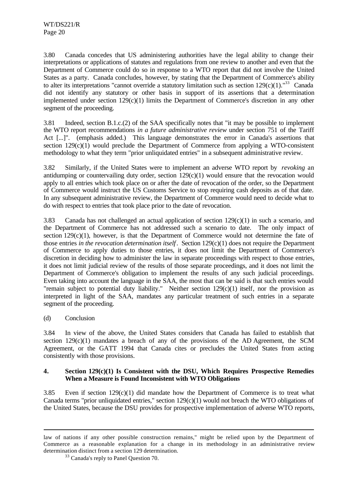3.80 Canada concedes that US administering authorities have the legal ability to change their interpretations or applications of statutes and regulations from one review to another and even that the Department of Commerce could do so in response to a WTO report that did not involve the United States as a party. Canada concludes, however, by stating that the Department of Commerce's ability to alter its interpretations "cannot override a statutory limitation such as section  $129(c)(1)$ ."<sup>33</sup> Canada did not identify any statutory or other basis in support of its assertions that a determination implemented under section  $129(c)(1)$  limits the Department of Commerce's discretion in any other segment of the proceeding.

3.81 Indeed, section B.1.c.(2) of the SAA specifically notes that "it may be possible to implement the WTO report recommendations *in a future administrative review* under section 751 of the Tariff Act [...]". (emphasis added.) This language demonstrates the error in Canada's assertions that section 129(c)(1) would preclude the Department of Commerce from applying a WTO-consistent methodology to what they term "prior unliquidated entries" in a subsequent administrative review.

3.82 Similarly, if the United States were to implement an adverse WTO report by *revoking* an antidumping or countervailing duty order, section  $129(c)(1)$  would ensure that the revocation would apply to all entries which took place on or after the date of revocation of the order, so the Department of Commerce would instruct the US Customs Service to stop requiring cash deposits as of that date. In any subsequent administrative review, the Department of Commerce would need to decide what to do with respect to entries that took place prior to the date of revocation.

3.83 Canada has not challenged an actual application of section  $129(c)(1)$  in such a scenario, and the Department of Commerce has not addressed such a scenario to date. The only impact of section  $129(c)(1)$ , however, is that the Department of Commerce would not determine the fate of those entries *in the revocation determination itself*. Section 129(c)(1) does not require the Department of Commerce to apply duties to those entries, it does not limit the Department of Commerce's discretion in deciding how to administer the law in separate proceedings with respect to those entries, it does not limit judicial review of the results of those separate proceedings, and it does not limit the Department of Commerce's obligation to implement the results of any such judicial proceedings. Even taking into account the language in the SAA, the most that can be said is that such entries would "remain subject to potential duty liability." Neither section 129(c)(1) itself, nor the provision as interpreted in light of the SAA, mandates any particular treatment of such entries in a separate segment of the proceeding.

(d) Conclusion

l

3.84 In view of the above, the United States considers that Canada has failed to establish that section  $129(c)(1)$  mandates a breach of any of the provisions of the AD Agreement, the SCM Agreement, or the GATT 1994 that Canada cites or precludes the United States from acting consistently with those provisions.

## **4. Section 129(c)(1) Is Consistent with the DSU, Which Requires Prospective Remedies When a Measure is Found Inconsistent with WTO Obligations**

3.85 Even if section  $129(c)(1)$  did mandate how the Department of Commerce is to treat what Canada terms "prior unliquidated entries," section 129(c)(1) would not breach the WTO obligations of the United States, because the DSU provides for prospective implementation of adverse WTO reports,

law of nations if any other possible construction remains," might be relied upon by the Department of Commerce as a reasonable explanation for a change in its methodology in an administrative review determination distinct from a section 129 determination.

<sup>&</sup>lt;sup>33</sup> Canada's reply to Panel Question 70.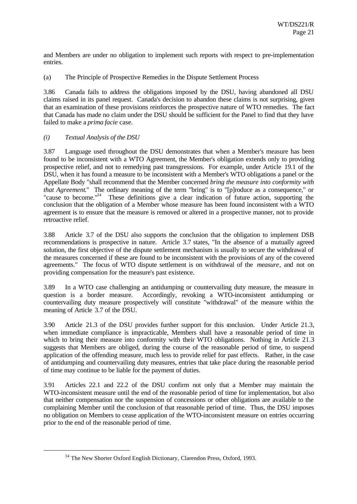and Members are under no obligation to implement such reports with respect to pre-implementation entries.

(a) The Principle of Prospective Remedies in the Dispute Settlement Process

3.86 Canada fails to address the obligations imposed by the DSU, having abandoned all DSU claims raised in its panel request. Canada's decision to abandon these claims is not surprising, given that an examination of these provisions reinforces the prospective nature of WTO remedies. The fact that Canada has made no claim under the DSU should be sufficient for the Panel to find that they have failed to make a *prima facie* case.

## *(i) Textual Analysis of the DSU*

l

3.87 Language used throughout the DSU demonstrates that when a Member's measure has been found to be inconsistent with a WTO Agreement, the Member's obligation extends only to providing prospective relief, and not to remedying past transgressions. For example, under Article 19.1 of the DSU, when it has found a measure to be inconsistent with a Member's WTO obligations a panel or the Appellate Body "shall recommend that the Member concerned *bring the measure into conformity with that Agreement*." The ordinary meaning of the term "bring" is to "[p]roduce as a consequence," or "cause to become."<sup>34</sup> These definitions give a clear indication of future action, supporting the conclusion that the obligation of a Member whose measure has been found inconsistent with a WTO agreement is to ensure that the measure is removed or altered in a prospective manner, not to provide retroactive relief.

3.88 Article 3.7 of the DSU also supports the conclusion that the obligation to implement DSB recommendations is prospective in nature. Article 3.7 states, "In the absence of a mutually agreed solution, the first objective of the dispute settlement mechanism is usually to secure the withdrawal of the measures concerned if these are found to be inconsistent with the provisions of any of the covered agreements." The focus of WTO dispute settlement is on withdrawal of the *measure*, and not on providing compensation for the measure's past existence.

3.89 In a WTO case challenging an antidumping or countervailing duty measure, the measure in question is a border measure. Accordingly, revoking a WTO-inconsistent antidumping or countervailing duty measure prospectively will constitute "withdrawal" of the measure within the meaning of Article 3.7 of the DSU.

3.90 Article 21.3 of the DSU provides further support for this conclusion. Under Article 21.3, when immediate compliance is impracticable, Members shall have a reasonable period of time in which to bring their measure into conformity with their WTO obligations. Nothing in Article 21.3 suggests that Members are obliged, during the course of the reasonable period of time, to suspend application of the offending measure, much less to provide relief for past effects. Rather, in the case of antidumping and countervailing duty measures, entries that take place during the reasonable period of time may continue to be liable for the payment of duties.

3.91 Articles 22.1 and 22.2 of the DSU confirm not only that a Member may maintain the WTO-inconsistent measure until the end of the reasonable period of time for implementation, but also that neither compensation nor the suspension of concessions or other obligations are available to the complaining Member until the conclusion of that reasonable period of time. Thus, the DSU imposes no obligation on Members to cease application of the WTO-inconsistent measure on entries occurring prior to the end of the reasonable period of time.

<sup>&</sup>lt;sup>34</sup> The New Shorter Oxford English Dictionary, Clarendon Press, Oxford, 1993.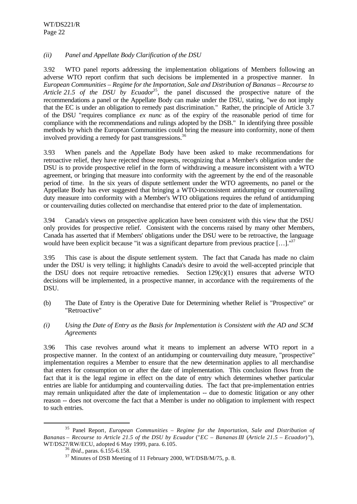## *(ii) Panel and Appellate Body Clarification of the DSU*

3.92 WTO panel reports addressing the implementation obligations of Members following an adverse WTO report confirm that such decisions be implemented in a prospective manner. In *European Communities – Regime for the Importation, Sale and Distribution of Bananas – Recourse to Article 21.5 of the DSU by Ecuador*<sup>35</sup>, the panel discussed the prospective nature of the recommendations a panel or the Appellate Body can make under the DSU, stating, "we do not imply that the EC is under an obligation to remedy past discrimination." Rather, the principle of Article 3.7 of the DSU "requires compliance *ex nunc* as of the expiry of the reasonable period of time for compliance with the recommendations and rulings adopted by the DSB." In identifying three possible methods by which the European Communities could bring the measure into conformity, none of them involved providing a remedy for past transgressions.<sup>36</sup>

3.93 When panels and the Appellate Body have been asked to make recommendations for retroactive relief, they have rejected those requests, recognizing that a Member's obligation under the DSU is to provide prospective relief in the form of withdrawing a measure inconsistent with a WTO agreement, or bringing that measure into conformity with the agreement by the end of the reasonable period of time. In the six years of dispute settlement under the WTO agreements, no panel or the Appellate Body has ever suggested that bringing a WTO-inconsistent antidumping or countervailing duty measure into conformity with a Member's WTO obligations requires the refund of antidumping or countervailing duties collected on merchandise that entered prior to the date of implementation.

3.94 Canada's views on prospective application have been consistent with this view that the DSU only provides for prospective relief. Consistent with the concerns raised by many other Members, Canada has asserted that if Members' obligations under the DSU were to be retroactive, the language would have been explicit because "it was a significant departure from previous practice  $[\dots]$ ."

3.95 This case is about the dispute settlement system. The fact that Canada has made no claim under the DSU is very telling; it highlights Canada's desire to avoid the well-accepted principle that the DSU does not require retroactive remedies. Section  $129(c)(1)$  ensures that adverse WTO decisions will be implemented, in a prospective manner, in accordance with the requirements of the DSU.

- (b) The Date of Entry is the Operative Date for Determining whether Relief is "Prospective" or "Retroactive"
- *(i) Using the Date of Entry as the Basis for Implementation is Consistent with the AD and SCM Agreements*

3.96 This case revolves around what it means to implement an adverse WTO report in a prospective manner. In the context of an antidumping or countervailing duty measure, "prospective" implementation requires a Member to ensure that the new determination applies to all merchandise that enters for consumption on or after the date of implementation. This conclusion flows from the fact that it is the legal regime in effect on the date of entry which determines whether particular entries are liable for antidumping and countervailing duties. The fact that pre-implementation entries may remain unliquidated after the date of implementation -- due to domestic litigation or any other reason -- does not overcome the fact that a Member is under no obligation to implement with respect to such entries.

<sup>35</sup> Panel Report*, European Communities – Regime for the Importation, Sale and Distribution of Bananas* – *Recourse to Article 21.5 of the DSU by Ecuador* ("*EC – Bananas III* (*Article 21.5 – Ecuador*) "), WT/DS27/RW/ECU, adopted 6 May 1999, para. 6.105.

<sup>36</sup> *Ibid*., paras. 6.155-6.158.

<sup>&</sup>lt;sup>37</sup> Minutes of DSB Meeting of 11 February 2000, WT/DSB/M/75, p. 8.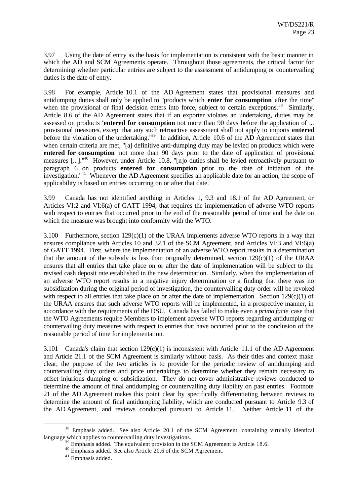3.97 Using the date of entry as the basis for implementation is consistent with the basic manner in which the AD and SCM Agreements operate. Throughout those agreements, the critical factor for determining whether particular entries are subject to the assessment of antidumping or countervailing duties is the date of entry.

3.98 For example, Article 10.1 of the AD Agreement states that provisional measures and antidumping duties shall only be applied to "products which **enter for consumption** after the time" when the provisional or final decision enters into force, subject to certain exceptions.<sup>38</sup> Similarly, Article 8.6 of the AD Agreement states that if an exporter violates an undertaking, duties may be assessed on products "**entered for consumption** not more than 90 days before the application of ... provisional measures, except that any such retroactive assessment shall not apply to imports **entered** before the violation of the undertaking.<sup>139</sup> In addition, Article 10.6 of the AD Agreement states that when certain criteria are met, "[a] definitive anti-dumping duty may be levied on products which were **entered for consumption** not more than 90 days prior to the date of application of provisional measures [...]."<sup>40</sup> However, under Article 10.8, "[n]o duties shall be levied retroactively pursuant to paragraph 6 on products **entered for consumption** prior to the date of initiation of the investigation."<sup>41</sup> Whenever the AD Agreement specifies an applicable date for an action, the scope of applicability is based on entries occurring on or after that date.

3.99 Canada has not identified anything in Articles 1, 9.3 and 18.1 of the AD Agreement, or Articles VI:2 and VI:6(a) of GATT 1994, that requires the implementation of adverse WTO reports with respect to entries that occurred prior to the end of the reasonable period of time and the date on which the measure was brought into conformity with the WTO.

3.100 Furthermore, section 129(c)(1) of the URAA implements adverse WTO reports in a way that ensures compliance with Articles 10 and 32.1 of the SCM Agreement, and Articles VI:3 and VI:6(a) of GATT 1994. First, where the implementation of an adverse WTO report results in a determination that the amount of the subsidy is less than originally determined, section  $129(c)(1)$  of the URAA ensures that all entries that take place on or after the date of implementation will be subject to the revised cash deposit rate established in the new determination. Similarly, when the implementation of an adverse WTO report results in a negative injury determination or a finding that there was no subsidization during the original period of investigation, the countervailing duty order will be revoked with respect to all entries that take place on or after the date of implementation. Section  $129(c)(1)$  of the URAA ensures that such adverse WTO reports will be implemented, in a prospective manner, in accordance with the requirements of the DSU. Canada has failed to make even a *prima facie* case that the WTO Agreements require Members to implement adverse WTO reports regarding antidumping or countervailing duty measures with respect to entries that have occurred prior to the conclusion of the reasonable period of time for implementation.

3.101 Canada's claim that section 129(c)(1) is inconsistent with Article 11.1 of the AD Agreement and Article 21.1 of the SCM Agreement is similarly without basis. As their titles and context make clear, the purpose of the two articles is to provide for the periodic review of antidumping and countervailing duty orders and price undertakings to determine whether they remain necessary to offset injurious dumping or subsidization. They do not cover administrative reviews conducted to determine the amount of final antidumping or countervailing duty liability on past entries. Footnote 21 of the AD Agreement makes this point clear by specifically differentiating between reviews to determine the amount of final antidumping liability, which are conducted pursuant to Article 9.3 of the AD Agreement, and reviews conducted pursuant to Article 11. Neither Article 11 of the

<sup>&</sup>lt;sup>38</sup> Emphasis added. See also Article 20.1 of the SCM Agreement, containing virtually identical language which applies to countervailing duty investigations.

 $\overrightarrow{B}$  Emphasis added. The equivalent provision in the SCM Agreement is Article 18.6.

<sup>&</sup>lt;sup>40</sup> Emphasis added. See also Article 20.6 of the SCM Agreement.

<sup>&</sup>lt;sup>41</sup> Emphasis added.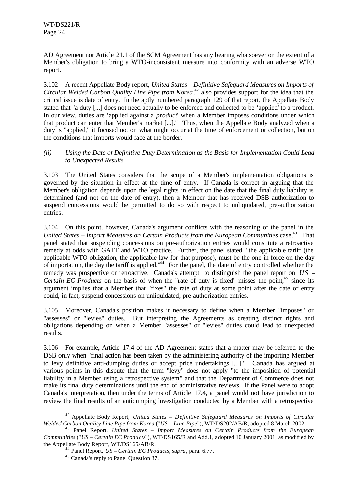AD Agreement nor Article 21.1 of the SCM Agreement has any bearing whatsoever on the extent of a Member's obligation to bring a WTO-inconsistent measure into conformity with an adverse WTO report.

3.102 A recent Appellate Body report, *United States – Definitive Safeguard Measures on Imports of Circular Welded Carbon Quality Line Pipe from Korea*, <sup>42</sup> also provides support for the idea that the critical issue is date of entry. In the aptly numbered paragraph 129 of that report, the Appellate Body stated that "a duty [...] does not need actually to be enforced and collected to be 'applied' to a product. In our view, duties are 'applied against a *product*' when a Member imposes conditions under which that product can enter that Member's market [...]." Thus, when the Appellate Body analyzed when a duty is "applied," it focused not on what might occur at the time of enforcement or collection, but on the conditions that imports would face at the border.

## *(ii) Using the Date of Definitive Duty Determination as the Basis for Implementation Could Lead to Unexpected Results*

3.103 The United States considers that the scope of a Member's implementation obligations is governed by the situation in effect at the time of entry. If Canada is correct in arguing that the Member's obligation depends upon the legal rights in effect on the date that the final duty liability is determined (and not on the date of entry), then a Member that has received DSB authorization to suspend concessions would be permitted to do so with respect to unliquidated, pre-authorization entries.

3.104 On this point, however, Canada's argument conflicts with the reasoning of the panel in the United States – Import Measures on Certain Products from the European Communities case.<sup>43</sup> That panel stated that suspending concessions on pre-authorization entries would constitute a retroactive remedy at odds with GATT and WTO practice. Further, the panel stated, "the applicable tariff (the applicable WTO obligation, the applicable law for that purpose), must be the one in force on the day of importation, the day the tariff is applied."<sup>44</sup> For the panel, the date of entry controlled whether the remedy was prospective or retroactive. Canada's attempt to distinguish the panel report on *US – Certain EC Products* on the basis of when the "rate of duty is fixed" misses the point,<sup>45</sup> since its argument implies that a Member that "fixes" the rate of duty at some point after the date of entry could, in fact, suspend concessions on unliquidated, pre-authorization entries.

3.105 Moreover, Canada's position makes it necessary to define when a Member "imposes" or "assesses" or "levies" duties. But interpreting the Agreements as creating distinct rights and obligations depending on when a Member "assesses" or "levies" duties could lead to unexpected results.

3.106 For example, Article 17.4 of the AD Agreement states that a matter may be referred to the DSB only when "final action has been taken by the administering authority of the importing Member to levy definitive anti-dumping duties or accept price undertakings [...]." Canada has argued at various points in this dispute that the term "levy" does not apply "to the imposition of potential liability in a Member using a retrospective system" and that the Department of Commerce does not make its final duty determinations until the end of administrative reviews. If the Panel were to adopt Canada's interpretation, then under the terms of Article 17.4, a panel would not have jurisdiction to review the final results of an antidumping investigation conducted by a Member with a retrospective

<sup>42</sup> Appellate Body Report, *United States – Definitive Safeguard Measures on Imports of Circular Welded Carbon Quality Line Pipe from Korea* ("*US – Line Pipe*"), WT/DS202/AB/R, adopted 8 March 2002.

<sup>43</sup> Panel Report, *United States – Import Measures on Certain Products from the European Communities* ("*US – Certain EC Products*"), WT/DS165/R and Add.1, adopted 10 January 2001, as modified by the Appellate Body Report, WT/DS165/AB/R.

<sup>44</sup> Panel Report, *US – Certain EC Products*, *supra*, para. 6.77.

<sup>45</sup> Canada's reply to Panel Question 37.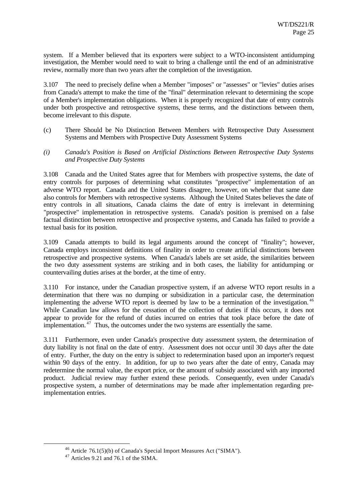system. If a Member believed that its exporters were subject to a WTO-inconsistent antidumping investigation, the Member would need to wait to bring a challenge until the end of an administrative review, normally more than two years after the completion of the investigation.

3.107 The need to precisely define when a Member "imposes" or "assesses" or "levies" duties arises from Canada's attempt to make the time of the "final" determination relevant to determining the scope of a Member's implementation obligations. When it is properly recognized that date of entry controls under both prospective and retrospective systems, these terms, and the distinctions between them, become irrelevant to this dispute.

- (c) There Should be No Distinction Between Members with Retrospective Duty Assessment Systems and Members with Prospective Duty Assessment Systems
- *(i) Canada's Position is Based on Artificial Distinctions Between Retrospective Duty Systems and Prospective Duty Systems*

3.108 Canada and the United States agree that for Members with prospective systems, the date of entry controls for purposes of determining what constitutes "prospective" implementation of an adverse WTO report. Canada and the United States disagree, however, on whether that same date also controls for Members with retrospective systems. Although the United States believes the date of entry controls in all situations, Canada claims the date of entry is irrelevant in determining "prospective" implementation in retrospective systems. Canada's position is premised on a false factual distinction between retrospective and prospective systems, and Canada has failed to provide a textual basis for its position.

3.109 Canada attempts to build its legal arguments around the concept of "finality"; however, Canada employs inconsistent definitions of finality in order to create artificial distinctions between retrospective and prospective systems. When Canada's labels are set aside, the similarities between the two duty assessment systems are striking and in both cases, the liability for antidumping or countervailing duties arises at the border, at the time of entry.

3.110 For instance, under the Canadian prospective system, if an adverse WTO report results in a determination that there was no dumping or subsidization in a particular case, the determination implementing the adverse WTO report is deemed by law to be a termination of the investigation.<sup>46</sup> While Canadian law allows for the cessation of the collection of duties if this occurs, it does not appear to provide for the refund of duties incurred on entries that took place before the date of implementation.  $47$  Thus, the outcomes under the two systems are essentially the same.

3.111 Furthermore, even under Canada's prospective duty assessment system, the determination of duty liability is not final on the date of entry. Assessment does not occur until 30 days after the date of entry. Further, the duty on the entry is subject to redetermination based upon an importer's request within 90 days of the entry. In addition, for up to two years after the date of entry, Canada may redetermine the normal value, the export price, or the amount of subsidy associated with any imported product. Judicial review may further extend these periods. Consequently, even under Canada's prospective system, a number of determinations may be made after implementation regarding preimplementation entries.

<sup>46</sup> Article 76.1(5)(b) of Canada's Special Import Measures Act ("SIMA").

 $47$  Articles 9.21 and 76.1 of the SIMA.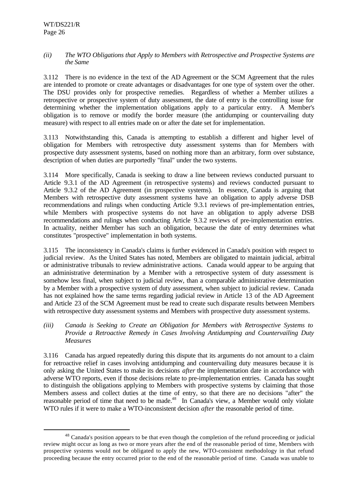l

#### *(ii) The WTO Obligations that Apply to Members with Retrospective and Prospective Systems are the Same*

3.112 There is no evidence in the text of the AD Agreement or the SCM Agreement that the rules are intended to promote or create advantages or disadvantages for one type of system over the other. The DSU provides only for prospective remedies. Regardless of whether a Member utilizes a retrospective or prospective system of duty assessment, the date of entry is the controlling issue for determining whether the implementation obligations apply to a particular entry. A Member's obligation is to remove or modify the border measure (the antidumping or countervailing duty measure) with respect to all entries made on or after the date set for implementation.

3.113 Notwithstanding this, Canada is attempting to establish a different and higher level of obligation for Members with retrospective duty assessment systems than for Members with prospective duty assessment systems, based on nothing more than an arbitrary, form over substance, description of when duties are purportedly "final" under the two systems.

3.114 More specifically, Canada is seeking to draw a line between reviews conducted pursuant to Article 9.3.1 of the AD Agreement (in retrospective systems) and reviews conducted pursuant to Article 9.3.2 of the AD Agreement (in prospective systems). In essence, Canada is arguing that Members with retrospective duty assessment systems have an obligation to apply adverse DSB recommendations and rulings when conducting Article 9.3.1 reviews of pre-implementation entries, while Members with prospective systems do not have an obligation to apply adverse DSB recommendations and rulings when conducting Article 9.3.2 reviews of pre-implementation entries. In actuality, neither Member has such an obligation, because the date of entry determines what constitutes "prospective" implementation in both systems.

3.115 The inconsistency in Canada's claims is further evidenced in Canada's position with respect to judicial review. As the United States has noted, Members are obligated to maintain judicial, arbitral or administrative tribunals to review administrative actions. Canada would appear to be arguing that an administrative determination by a Member with a retrospective system of duty assessment is somehow less final, when subject to judicial review, than a comparable administrative determination by a Member with a prospective system of duty assessment, when subject to judicial review. Canada has not explained how the same terms regarding judicial review in Article 13 of the AD Agreement and Article 23 of the SCM Agreement must be read to create such disparate results between Members with retrospective duty assessment systems and Members with prospective duty assessment systems.

*(iii) Canada is Seeking to Create an Obligation for Members with Retrospective Systems to Provide a Retroactive Remedy in Cases Involving Antidumping and Countervailing Duty Measures*

3.116 Canada has argued repeatedly during this dispute that its arguments do not amount to a claim for retroactive relief in cases involving antidumping and countervailing duty measures because it is only asking the United States to make its decisions *after* the implementation date in accordance with adverse WTO reports, even if those decisions relate to pre-implementation entries. Canada has sought to distinguish the obligations applying to Members with prospective systems by claiming that those Members assess and collect duties at the time of entry, so that there are no decisions "after" the reasonable period of time that need to be made.<sup>48</sup> In Canada's view, a Member would only violate WTO rules if it were to make a WTO-inconsistent decision *after* the reasonable period of time.

<sup>&</sup>lt;sup>48</sup> Canada's position appears to be that even though the completion of the refund proceeding or judicial review might occur as long as two or more years after the end of the reasonable period of time, Members with prospective systems would not be obligated to apply the new, WTO-consistent methodology in that refund proceeding because the entry occurred prior to the end of the reasonable period of time. Canada was unable to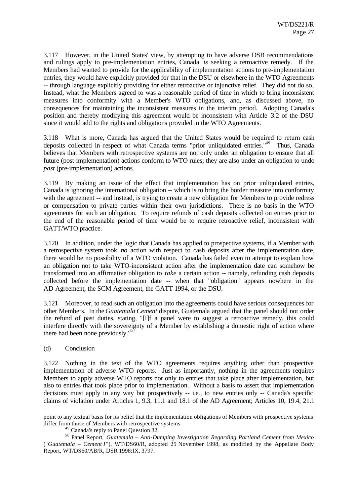3.117 However, in the United States' view, by attempting to have adverse DSB recommendations and rulings apply to pre-implementation entries, Canada *is* seeking a retroactive remedy. If the Members had wanted to provide for the applicability of implementation actions to pre-implementation entries, they would have explicitly provided for that in the DSU or elsewhere in the WTO Agreements -- through language explicitly providing for either retroactive or injunctive relief. They did not do so. Instead, what the Members agreed to was a reasonable period of time in which to bring inconsistent measures into conformity with a Member's WTO obligations, and, as discussed above, no consequences for maintaining the inconsistent measures in the interim period. Adopting Canada's position and thereby modifying this agreement would be inconsistent with Article 3.2 of the DSU since it would add to the rights and obligations provided in the WTO Agreements.

3.118 What is more, Canada has argued that the United States would be required to return cash deposits collected in respect of what Canada terms "prior unliquidated entries."<sup>49</sup> Thus, Canada believes that Members with retrospective systems are not only under an obligation to ensure that all future (post-implementation) actions conform to WTO rules; they are also under an obligation to undo *past* (pre-implementation) actions.

3.119 By making an issue of the effect that implementation has on prior unliquidated entries, Canada is ignoring the international obligation -- which is to bring the border measure into conformity with the agreement -- and instead, is trying to create a new obligation for Members to provide redress or compensation to private parties within their own jurisdictions. There is no basis in the WTO agreements for such an obligation. To require refunds of cash deposits collected on entries prior to the end of the reasonable period of time would be to require retroactive relief, inconsistent with GATT/WTO practice.

3.120 In addition, under the logic that Canada has applied to prospective systems, if a Member with a retrospective system took *no* action with respect to cash deposits after the implementation date, there would be no possibility of a WTO violation. Canada has failed even to attempt to explain how an obligation not to take WTO-inconsistent action after the implementation date can somehow be transformed into an affirmative obligation to *take* a certain action -- namely, refunding cash deposits collected before the implementation date -- when that "obligation" appears nowhere in the AD Agreement, the SCM Agreement, the GATT 1994, or the DSU.

3.121 Moreover, to read such an obligation into the agreements could have serious consequences for other Members. In the *Guatemala Cement* dispute, Guatemala argued that the panel should not order the refund of past duties, stating, "[I]f a panel were to suggest a retroactive remedy, this could interfere directly with the sovereignty of a Member by establishing a domestic right of action where there had been none previously."<sup>50</sup>

#### (d) Conclusion

l

3.122 Nothing in the text of the WTO agreements requires anything other than prospective implementation of adverse WTO reports. Just as importantly, nothing in the agreements requires Members to apply adverse WTO reports not only to entries that take place after implementation, but also to entries that took place prior to implementation. Without a basis to assert that implementation decisions must apply in any way but prospectively -- i.e*.*, to new entries only -- Canada's specific claims of violation under Articles 1, 9.3, 11.1 and 18.1 of the AD Agreement; Articles 10, 19.4, 21.1

point to any textual basis for its belief that the implementation obligations of Members with prospective systems differ from those of Members with retrospective systems.

<sup>49</sup> Canada's reply to Panel Question 32.

<sup>50</sup> Panel Report, *Guatemala – Anti-Dumping Investigation Regarding Portland Cement from Mexico* ("*Guatemala – Cement I* "), WT/DS60/R, adopted 25 November 1998, as modified by the Appellate Body Report, WT/DS60/AB/R, DSR 1998:IX, 3797.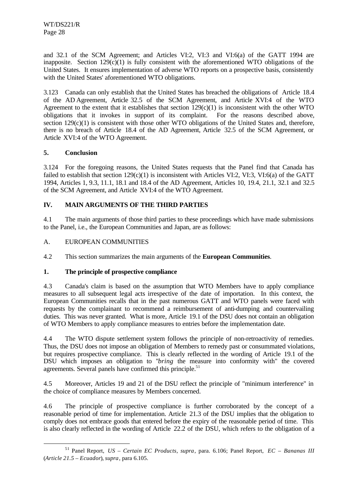and 32.1 of the SCM Agreement; and Articles VI:2, VI:3 and VI:6(a) of the GATT 1994 are inapposite. Section  $129(c)(1)$  is fully consistent with the aforementioned WTO obligations of the United States. It ensures implementation of adverse WTO reports on a prospective basis, consistently with the United States' aforementioned WTO obligations.

3.123 Canada can only establish that the United States has breached the obligations of Article 18.4 of the AD Agreement, Article 32.5 of the SCM Agreement, and Article XVI:4 of the WTO Agreement to the extent that it establishes that section  $129(c)(1)$  is inconsistent with the other WTO obligations that it invokes in support of its complaint. For the reasons described above, section  $129(c)(1)$  is consistent with those other WTO obligations of the United States and, therefore, there is no breach of Article 18.4 of the AD Agreement, Article 32.5 of the SCM Agreement, or Article XVI:4 of the WTO Agreement.

## **5. Conclusion**

l

3.124 For the foregoing reasons, the United States requests that the Panel find that Canada has failed to establish that section  $129(c)(1)$  is inconsistent with Articles VI:2, VI:3, VI:6(a) of the GATT 1994, Articles 1, 9.3, 11.1, 18.1 and 18.4 of the AD Agreement, Articles 10, 19.4, 21.1, 32.1 and 32.5 of the SCM Agreement, and Article XVI:4 of the WTO Agreement.

## **IV. MAIN ARGUMENTS OF THE THIRD PARTIES**

4.1 The main arguments of those third parties to these proceedings which have made submissions to the Panel, i.e., the European Communities and Japan, are as follows:

## A. EUROPEAN COMMUNITIES

4.2 This section summarizes the main arguments of the **European Communities**.

## **1. The principle of prospective compliance**

4.3 Canada's claim is based on the assumption that WTO Members have to apply compliance measures to all subsequent legal acts irrespective of the date of importation. In this context, the European Communities recalls that in the past numerous GATT and WTO panels were faced with requests by the complainant to recommend a reimbursement of anti-dumping and countervailing duties. This was never granted. What is more, Article 19.1 of the DSU does not contain an obligation of WTO Members to apply compliance measures to entries before the implementation date.

4.4 The WTO dispute settlement system follows the principle of non-retroactivity of remedies. Thus, the DSU does not impose an obligation of Members to remedy past or consummated violations, but requires prospective compliance. This is clearly reflected in the wording of Article 19.1 of the DSU which imposes an obligation to "*bring* the measure into conformity with" the covered agreements. Several panels have confirmed this principle. $51$ 

4.5 Moreover, Articles 19 and 21 of the DSU reflect the principle of "minimum interference" in the choice of compliance measures by Members concerned.

4.6 The principle of prospective compliance is further corroborated by the concept of a reasonable period of time for implementation. Article 21.3 of the DSU implies that the obligation to comply does not embrace goods that entered before the expiry of the reasonable period of time. This is also clearly reflected in the wording of Article 22.2 of the DSU, which refers to the obligation of a

<sup>51</sup> Panel Report, *US – Certain EC Products*, *supra*, para. 6.106; Panel Report, *EC – Bananas III* (*Article 21.5 – Ecuador*), *supra*, para 6.105.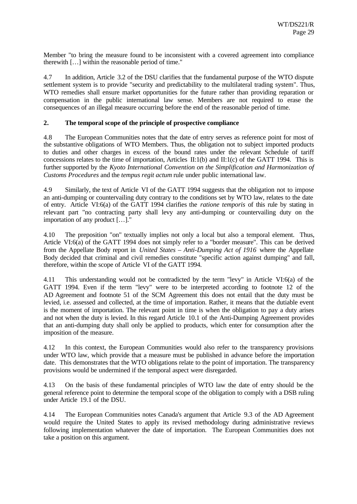Member "to bring the measure found to be inconsistent with a covered agreement into compliance therewith […] within the reasonable period of time."

4.7 In addition, Article 3.2 of the DSU clarifies that the fundamental purpose of the WTO dispute settlement system is to provide "security and predictability to the multilateral trading system". Thus, WTO remedies shall ensure market opportunities for the future rather than providing reparation or compensation in the public international law sense. Members are not required to erase the consequences of an illegal measure occurring before the end of the reasonable period of time.

#### **2. The temporal scope of the principle of prospective compliance**

4.8 The European Communities notes that the date of entry serves as reference point for most of the substantive obligations of WTO Members. Thus, the obligation not to subject imported products to duties and other charges in excess of the bound rates under the relevant Schedule of tariff concessions relates to the time of importation, Articles II:1(b) and II:1(c) of the GATT 1994. This is further supported by the *Kyoto International Convention on the Simplification and Harmonization of Customs Procedures* and the *tempus regit actum* rule under public international law.

4.9 Similarly, the text of Article VI of the GATT 1994 suggests that the obligation not to impose an anti-dumping or countervailing duty contrary to the conditions set by WTO law, relates to the date of entry. Article VI:6(a) of the GATT 1994 clarifies the *ratione temporis* of this rule by stating in relevant part "no contracting party shall levy any anti-dumping or countervailing duty on the importation of any product […]."

4.10 The preposition "on" textually implies not only a local but also a temporal element. Thus, Article VI:6(a) of the GATT 1994 does not simply refer to a "border measure". This can be derived from the Appellate Body report in *United States – Anti-Dumping Act of 1916* where the Appellate Body decided that criminal and civil remedies constitute "specific action against dumping" and fall, therefore, within the scope of Article VI of the GATT 1994.

4.11 This understanding would not be contradicted by the term "levy" in Article VI:6(a) of the GATT 1994. Even if the term "levy" were to be interpreted according to footnote 12 of the AD Agreement and footnote 51 of the SCM Agreement this does not entail that the duty must be levied, i.e. assessed and collected, at the time of importation. Rather, it means that the dutiable event is the moment of importation. The relevant point in time is when the obligation to pay a duty arises and not when the duty is levied. In this regard Article 10.1 of the Anti-Dumping Agreement provides that an anti-dumping duty shall only be applied to products, which enter for consumption after the imposition of the measure.

4.12 In this context, the European Communities would also refer to the transparency provisions under WTO law, which provide that a measure must be published in advance before the importation date. This demonstrates that the WTO obligations relate to the point of importation. The transparency provisions would be undermined if the temporal aspect were disregarded.

4.13 On the basis of these fundamental principles of WTO law the date of entry should be the general reference point to determine the temporal scope of the obligation to comply with a DSB ruling under Article 19.1 of the DSU.

4.14 The European Communities notes Canada's argument that Article 9.3 of the AD Agreement would require the United States to apply its revised methodology during administrative reviews following implementation whatever the date of importation. The European Communities does not take a position on this argument.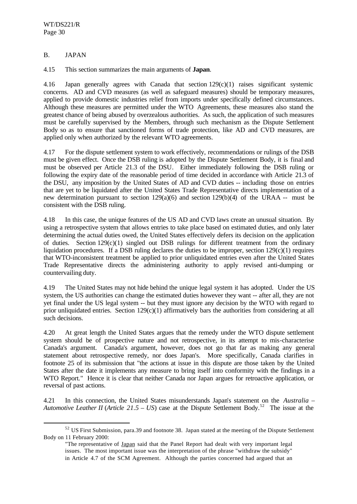## B. JAPAN

l

4.15 This section summarizes the main arguments of **Japan**.

4.16 Japan generally agrees with Canada that section 129(c)(1) raises significant systemic concerns. AD and CVD measures (as well as safeguard measures) should be temporary measures, applied to provide domestic industries relief from imports under specifically defined circumstances. Although these measures are permitted under the WTO Agreements, these measures also stand the greatest chance of being abused by overzealous authorities. As such, the application of such measures must be carefully supervised by the Members, through such mechanism as the Dispute Settlement Body so as to ensure that sanctioned forms of trade protection, like AD and CVD measures, are applied only when authorized by the relevant WTO agreements.

4.17 For the dispute settlement system to work effectively, recommendations or rulings of the DSB must be given effect. Once the DSB ruling is adopted by the Dispute Settlement Body, it is final and must be observed per Article 21.3 of the DSU. Either immediately following the DSB ruling or following the expiry date of the reasonable period of time decided in accordance with Article 21.3 of the DSU, any imposition by the United States of AD and CVD duties -- including those on entries that are yet to be liquidated after the United States Trade Representative directs implementation of a new determination pursuant to section  $129(a)(6)$  and section  $129(b)(4)$  of the URAA -- must be consistent with the DSB ruling.

4.18 In this case, the unique features of the US AD and CVD laws create an unusual situation. By using a retrospective system that allows entries to take place based on estimated duties, and only later determining the actual duties owed, the United States effectively defers its decision on the application of duties. Section 129(c)(1) singled out DSB rulings for different treatment from the ordinary liquidation procedures. If a DSB ruling declares the duties to be improper, section  $129(c)(1)$  requires that WTO-inconsistent treatment be applied to prior unliquidated entries even after the United States Trade Representative directs the administering authority to apply revised anti-dumping or countervailing duty.

4.19 The United States may not hide behind the unique legal system it has adopted. Under the US system, the US authorities can change the estimated duties however they want -- after all, they are not yet final under the US legal system -- but they must ignore any decision by the WTO with regard to prior unliquidated entries. Section  $129(c)(1)$  affirmatively bars the authorities from considering at all such decisions.

4.20 At great length the United States argues that the remedy under the WTO dispute settlement system should be of prospective nature and not retrospective, in its attempt to mis-characterise Canada's argument. Canada's argument, however, does not go that far as making any general statement about retrospective remedy, nor does Japan's. More specifically, Canada clarifies in footnote 25 of its submission that "the actions at issue in this dispute are those taken by the United States after the date it implements any measure to bring itself into conformity with the findings in a WTO Report*.*" Hence it is clear that neither Canada nor Japan argues for retroactive application, or reversal of past actions.

4.21 In this connection, the United States misunderstands Japan's statement on the *Australia – Automotive Leather II* (*Article 21.5 – US*) case at the Dispute Settlement Body.<sup>52</sup> The issue at the

<sup>52</sup> US First Submission, para.39 and footnote 38. Japan stated at the meeting of the Dispute Settlement Body on 11 February 2000:

<sup>&</sup>quot;The representative of Japan said that the Panel Report had dealt with very important legal issues. The most important issue was the interpretation of the phrase "withdraw the subsidy" in Article 4.7 of the SCM Agreement. Although the parties concerned had argued that an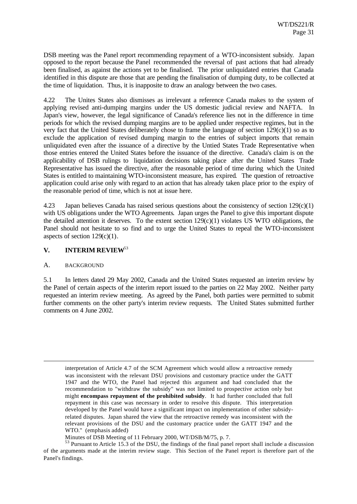DSB meeting was the Panel report recommending repayment of a WTO-inconsistent subsidy. Japan opposed to the report because the Panel recommended the reversal of past actions that had already been finalised, as against the actions yet to be finalised. The prior unliquidated entries that Canada identified in this dispute are those that are pending the finalisation of dumping duty, to be collected at the time of liquidation. Thus, it is inapposite to draw an analogy between the two cases.

4.22 The Unites States also dismisses as irrelevant a reference Canada makes to the system of applying revised anti-dumping margins under the US domestic judicial review and NAFTA. In Japan's view, however, the legal significance of Canada's reference lies not in the difference in time periods for which the revised dumping margins are to be applied under respective regimes, but in the very fact that the United States deliberately chose to frame the language of section 129(c)(1) so as to exclude the application of revised dumping margin to the entries of subject imports that remain unliquidated even after the issuance of a directive by the Untied States Trade Representative when those entries entered the United States before the issuance of the directive. Canada's claim is on the applicability of DSB rulings to liquidation decisions taking place after the United States Trade Representative has issued the directive, after the reasonable period of time during which the United States is entitled to maintaining WTO-inconsistent measure, has expired. The question of retroactive application could arise only with regard to an action that has already taken place prior to the expiry of the reasonable period of time, which is not at issue here.

4.23 Japan believes Canada has raised serious questions about the consistency of section 129(c)(1) with US obligations under the WTO Agreements. Japan urges the Panel to give this important dispute the detailed attention it deserves. To the extent section  $129(c)(1)$  violates US WTO obligations, the Panel should not hesitate to so find and to urge the United States to repeal the WTO-inconsistent aspects of section  $129(c)(1)$ .

#### **V. INTERIM REVIEW**<sup>53</sup>

#### A. BACKGROUND

l

5.1 In letters dated 29 May 2002, Canada and the United States requested an interim review by the Panel of certain aspects of the interim report issued to the parties on 22 May 2002. Neither party requested an interim review meeting. As agreed by the Panel, both parties were permitted to submit further comments on the other party's interim review requests. The United States submitted further comments on 4 June 2002.

interpretation of Article 4.7 of the SCM Agreement which would allow a retroactive remedy was inconsistent with the relevant DSU provisions and customary practice under the GATT 1947 and the WTO, the Panel had rejected this argument and had concluded that the recommendation to "withdraw the subsidy" was not limited to prospective action only but might **encompass repayment of the prohibited subsidy**. It had further concluded that full repayment in this case was necessary in order to resolve this dispute. This interpretation developed by the Panel would have a significant impact on implementation of other subsidyrelated disputes. Japan shared the view that the retroactive remedy was inconsistent with the relevant provisions of the DSU and the customary practice under the GATT 1947 and the WTO." (emphasis added)

Minutes of DSB Meeting of 11 February 2000, WT/DSB/M/75, p. 7.

<sup>&</sup>lt;sup>53</sup> Pursuant to Article 15.3 of the DSU, the findings of the final panel report shall include a discussion of the arguments made at the interim review stage. This Section of the Panel report is therefore part of the Panel's findings.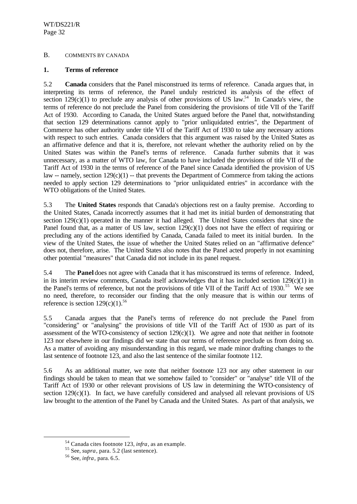## B. COMMENTS BY CANADA

#### **1. Terms of reference**

5.2 **Canada** considers that the Panel misconstrued its terms of reference. Canada argues that, in interpreting its terms of reference, the Panel unduly restricted its analysis of the effect of section 129(c)(1) to preclude any analysis of other provisions of US law.<sup>54</sup> In Canada's view, the terms of reference do not preclude the Panel from considering the provisions of title VII of the Tariff Act of 1930. According to Canada, the United States argued before the Panel that, notwithstanding that section 129 determinations cannot apply to "prior unliquidated entries", the Department of Commerce has other authority under title VII of the Tariff Act of 1930 to take any necessary actions with respect to such entries. Canada considers that this argument was raised by the United States as an affirmative defence and that it is, therefore, not relevant whether the authority relied on by the United States was within the Panel's terms of reference. Canada further submits that it was unnecessary, as a matter of WTO law, for Canada to have included the provisions of title VII of the Tariff Act of 1930 in the terms of reference of the Panel since Canada identified the provision of US law -- namely, section  $129(c)(1)$  -- that prevents the Department of Commerce from taking the actions needed to apply section 129 determinations to "prior unliquidated entries" in accordance with the WTO obligations of the United States.

5.3 The **United States** responds that Canada's objections rest on a faulty premise. According to the United States, Canada incorrectly assumes that it had met its initial burden of demonstrating that section  $129(c)(1)$  operated in the manner it had alleged. The United States considers that since the Panel found that, as a matter of US law, section  $129(c)(1)$  does not have the effect of requiring or precluding any of the actions identified by Canada, Canada failed to meet its initial burden. In the view of the United States, the issue of whether the United States relied on an "affirmative defence" does not, therefore, arise. The United States also notes that the Panel acted properly in not examining other potential "measures" that Canada did not include in its panel request.

5.4 The **Panel** does not agree with Canada that it has misconstrued its terms of reference. Indeed, in its interim review comments, Canada itself acknowledges that it has included section 129(c)(1) in the Panel's terms of reference, but not the provisions of title VII of the Tariff Act of 1930.<sup>55</sup> We see no need, therefore, to reconsider our finding that the only measure that is within our terms of reference is section  $129(c)(1)$ .<sup>56</sup>

5.5 Canada argues that the Panel's terms of reference do not preclude the Panel from "considering" or "analysing" the provisions of title VII of the Tariff Act of 1930 as part of its assessment of the WTO-consistency of section  $129(c)(1)$ . We agree and note that neither in footnote 123 nor elsewhere in our findings did we state that our terms of reference preclude us from doing so. As a matter of avoiding any misunderstanding in this regard, we made minor drafting changes to the last sentence of footnote 123, and also the last sentence of the similar footnote 112.

5.6 As an additional matter, we note that neither footnote 123 nor any other statement in our findings should be taken to mean that we somehow failed to "consider" or "analyse" title VII of the Tariff Act of 1930 or other relevant provisions of US law in determining the WTO-consistency of section  $129(c)(1)$ . In fact, we have carefully considered and analysed all relevant provisions of US law brought to the attention of the Panel by Canada and the United States. As part of that analysis, we

<sup>54</sup> Canada cites footnote 123, *infra*, as an example.

<sup>55</sup> See, *supra*, para. 5.2 (last sentence).

<sup>56</sup> See, *infra*, para. 6.5.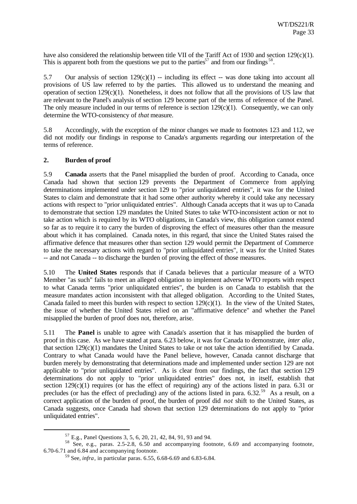have also considered the relationship between title VII of the Tariff Act of 1930 and section 129(c)(1). This is apparent both from the questions we put to the parties<sup>57</sup> and from our findings<sup>58</sup>.

5.7 Our analysis of section  $129(c)(1)$  -- including its effect -- was done taking into account all provisions of US law referred to by the parties. This allowed us to understand the meaning and operation of section  $129(c)(1)$ . Nonetheless, it does not follow that all the provisions of US law that are relevant to the Panel's analysis of section 129 become part of the terms of reference of the Panel. The only measure included in our terms of reference is section  $129(c)(1)$ . Consequently, we can only determine the WTO-consistency of *that* measure.

5.8 Accordingly, with the exception of the minor changes we made to footnotes 123 and 112, we did not modify our findings in response to Canada's arguments regarding our interpretation of the terms of reference.

## **2. Burden of proof**

l

5.9 **Canada** asserts that the Panel misapplied the burden of proof. According to Canada, once Canada had shown that section 129 prevents the Department of Commerce from applying determinations implemented under section 129 to "prior unliquidated entries", it was for the United States to claim and demonstrate that it had some other authority whereby it could take any necessary actions with respect to "prior unliquidated entries". Although Canada accepts that it was up to Canada to demonstrate that section 129 mandates the United States to take WTO-inconsistent action or not to take action which is required by its WTO obligations, in Canada's view, this obligation cannot extend so far as to require it to carry the burden of disproving the effect of measures other than the measure about which it has complained. Canada notes, in this regard, that since the United States raised the affirmative defence that measures other than section 129 would permit the Department of Commerce to take the necessary actions with regard to "prior unliquidated entries", it was for the United States -- and not Canada -- to discharge the burden of proving the effect of those measures.

5.10 The **United States** responds that if Canada believes that a particular measure of a WTO Member "as such" fails to meet an alleged obligation to implement adverse WTO reports with respect to what Canada terms "prior unliquidated entries", the burden is on Canada to establish that the measure mandates action inconsistent with that alleged obligation. According to the United States, Canada failed to meet this burden with respect to section 129(c)(1). In the view of the United States, the issue of whether the United States relied on an "affirmative defence" and whether the Panel misapplied the burden of proof does not, therefore, arise.

5.11 The **Panel** is unable to agree with Canada's assertion that it has misapplied the burden of proof in this case. As we have stated at para. 6.23 below, it was for Canada to demonstrate, *inter alia*, that section  $129(c)(1)$  mandates the United States to take or not take the action identified by Canada. Contrary to what Canada would have the Panel believe, however, Canada cannot discharge that burden merely by demonstrating that determinations made and implemented under section 129 are not applicable to "prior unliquidated entries". As is clear from our findings, the fact that section 129 determinations do not apply to "prior unliquidated entries" does not, in itself, establish that section 129(c)(1) requires (or has the effect of requiring) any of the actions listed in para. 6.31 or precludes (or has the effect of precluding) any of the actions listed in para. 6.32.<sup>59</sup> As a result, on a correct application of the burden of proof, the burden of proof did *not* shift to the United States, as Canada suggests, once Canada had shown that section 129 determinations do not apply to "prior unliquidated entries".

<sup>57</sup> E.g., Panel Questions 3, 5, 6, 20, 21, 42, 84, 91, 93 and 94.

<sup>58</sup> See, e.g., paras. 2.5-2.8, 6.50 and accompanying footnote, 6.69 and accompanying footnote, 6.70-6.71 and 6.84 and accompanying footnote.

<sup>59</sup> See, *infra*, in particular paras. 6.55, 6.68-6.69 and 6.83-6.84.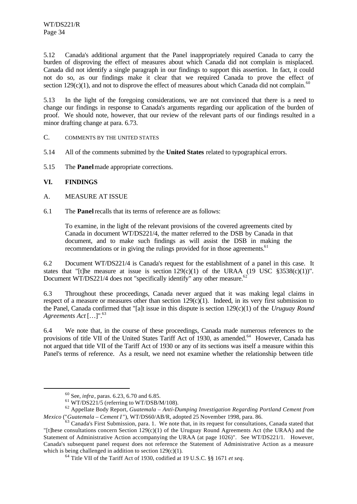5.12 Canada's additional argument that the Panel inappropriately required Canada to carry the burden of disproving the effect of measures about which Canada did not complain is misplaced. Canada did not identify a single paragraph in our findings to support this assertion. In fact, it could not do so, as our findings make it clear that we required Canada to prove the effect of section 129(c)(1), and not to disprove the effect of measures about which Canada did not complain.<sup>6</sup>

5.13 In the light of the foregoing considerations, we are not convinced that there is a need to change our findings in response to Canada's arguments regarding our application of the burden of proof. We should note, however, that our review of the relevant parts of our findings resulted in a minor drafting change at para. 6.73.

- C. COMMENTS BY THE UNITED STATES
- 5.14 All of the comments submitted by the **United States** related to typographical errors.
- 5.15 The **Panel** made appropriate corrections.

## **VI. FINDINGS**

l

- A. MEASURE AT ISSUE
- 6.1 The **Panel** recalls that its terms of reference are as follows:

To examine, in the light of the relevant provisions of the covered agreements cited by Canada in document WT/DS221/4, the matter referred to the DSB by Canada in that document, and to make such findings as will assist the DSB in making the recommendations or in giving the rulings provided for in those agreements.<sup>61</sup>

6.2 Document WT/DS221/4 is Canada's request for the establishment of a panel in this case. It states that "[t]he measure at issue is section  $129(c)(1)$  of the URAA (19 USC §3538(c)(1))". Document WT/DS221/4 does not "specifically identify" any other measure.<sup>62</sup>

6.3 Throughout these proceedings, Canada never argued that it was making legal claims in respect of a measure or measures other than section  $129(c)(1)$ . Indeed, in its very first submission to the Panel, Canada confirmed that "[a]t issue in this dispute is section 129(c)(1) of the *Uruguay Round Agreements Act* [...]".<sup>63</sup>

6.4 We note that, in the course of these proceedings, Canada made numerous references to the provisions of title VII of the United States Tariff Act of 1930, as amended.<sup>64</sup> However, Canada has not argued that title VII of the Tariff Act of 1930 or any of its sections was itself a measure within this Panel's terms of reference. As a result, we need not examine whether the relationship between title

<sup>60</sup> See, *infra*, paras. 6.23, 6.70 and 6.85.

 $61$  WT/DS221/5 (referring to WT/DSB/M/108).

<sup>62</sup> Appellate Body Report, *Guatemala – Anti-Dumping Investigation Regarding Portland Cement from Mexico* ("*Guatemala – Cement I* "), WT/DS60/AB/R, adopted 25 November 1998, para. 86.

 $3$  Canada's First Submission, para. 1. We note that, in its request for consultations, Canada stated that "[t]hese consultations concern Section  $129(c)(1)$  of the Uruguay Round Agreements Act (the URAA) and the Statement of Administrative Action accompanying the URAA (at page 1026)". See WT/DS221/1. However, Canada's subsequent panel request does not reference the Statement of Administrative Action as a measure which is being challenged in addition to section  $129(c)(1)$ .

<sup>64</sup> Title VII of the Tariff Act of 1930, codified at 19 U.S.C. §§ 1671 *et seq*.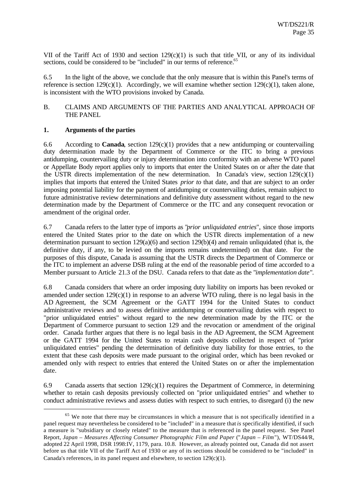VII of the Tariff Act of 1930 and section  $129(c)(1)$  is such that title VII, or any of its individual sections, could be considered to be "included" in our terms of reference.<sup>65</sup>

6.5 In the light of the above, we conclude that the only measure that is within this Panel's terms of reference is section 129 $(c)(1)$ . Accordingly, we will examine whether section 129 $(c)(1)$ , taken alone, is inconsistent with the WTO provisions invoked by Canada.

#### B. CLAIMS AND ARGUMENTS OF THE PARTIES AND ANALYTICAL APPROACH OF THE PANEL

## **1. Arguments of the parties**

l

6.6 According to **Canada**, section 129(c)(1) provides that a new antidumping or countervailing duty determination made by the Department of Commerce or the ITC to bring a previous antidumping, countervailing duty or injury determination into conformity with an adverse WTO panel or Appellate Body report applies only to imports that enter the United States on or after the date that the USTR directs implementation of the new determination. In Canada's view, section  $129(c)(1)$ implies that imports that entered the United States *prior to* that date, and that are subject to an order imposing potential liability for the payment of antidumping or countervailing duties, remain subject to future administrative review determinations and definitive duty assessment without regard to the new determination made by the Department of Commerce or the ITC and any consequent revocation or amendment of the original order.

6.7 Canada refers to the latter type of imports as "*prior unliquidated entries*", since those imports entered the United States prior to the date on which the USTR directs implementation of a new determination pursuant to section  $129(a)(6)$  and section  $129(b)(4)$  and remain unliquidated (that is, the definitive duty, if any, to be levied on the imports remains undetermined) on that date. For the purposes of this dispute, Canada is assuming that the USTR directs the Department of Commerce or the ITC to implement an adverse DSB ruling at the end of the reasonable period of time accorded to a Member pursuant to Article 21.3 of the DSU. Canada refers to that date as the "*implementation date*".

6.8 Canada considers that where an order imposing duty liability on imports has been revoked or amended under section  $129(c)(1)$  in response to an adverse WTO ruling, there is no legal basis in the AD Agreement, the SCM Agreement or the GATT 1994 for the United States to conduct administrative reviews and to assess definitive antidumping or countervailing duties with respect to "prior unliquidated entries" without regard to the new determination made by the ITC or the Department of Commerce pursuant to section 129 and the revocation or amendment of the original order. Canada further argues that there is no legal basis in the AD Agreement, the SCM Agreement or the GATT 1994 for the United States to retain cash deposits collected in respect of "prior unliquidated entries" pending the determination of definitive duty liability for those entries, to the extent that these cash deposits were made pursuant to the original order, which has been revoked or amended only with respect to entries that entered the United States on or after the implementation date.

6.9 Canada asserts that section  $129(c)(1)$  requires the Department of Commerce, in determining whether to retain cash deposits previously collected on "prior unliquidated entries" and whether to conduct administrative reviews and assess duties with respect to such entries, to disregard (i) the new

 $65$  We note that there may be circumstances in which a measure that is not specifically identified in a panel request may nevertheless be considered to be "included" in a measure that *is* specifically identified, if such a measure is "subsidiary or closely related" to the measure that is referenced in the panel request. See Panel Report, *Japan – Measures Affecting Consumer Photographic Film and Paper* ("*Japan – Film*"), WT/DS44/R, adopted 22 April 1998, DSR 1998:IV, 1179, para. 10.8. However, as already pointed out, Canada did not assert before us that title VII of the Tariff Act of 1930 or any of its sections should be considered to be "included" in Canada's references, in its panel request and elsewhere, to section 129(c)(1).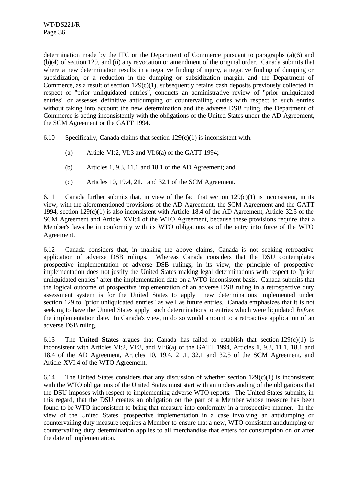determination made by the ITC or the Department of Commerce pursuant to paragraphs (a)(6) and (b)(4) of section 129, and (ii) any revocation or amendment of the original order. Canada submits that where a new determination results in a negative finding of injury, a negative finding of dumping or subsidization, or a reduction in the dumping or subsidization margin, and the Department of Commerce, as a result of section 129(c)(1), subsequently retains cash deposits previously collected in respect of "prior unliquidated entries", conducts an administrative review of "prior unliquidated entries" or assesses definitive antidumping or countervailing duties with respect to such entries without taking into account the new determination and the adverse DSB ruling, the Department of Commerce is acting inconsistently with the obligations of the United States under the AD Agreement, the SCM Agreement or the GATT 1994.

6.10 Specifically, Canada claims that section  $129(c)(1)$  is inconsistent with:

- (a) Article VI:2, VI:3 and VI:6(a) of the GATT 1994;
- (b) Articles 1, 9.3, 11.1 and 18.1 of the AD Agreement; and
- (c) Articles 10, 19.4, 21.1 and 32.1 of the SCM Agreement.

6.11 Canada further submits that, in view of the fact that section  $129(c)(1)$  is inconsistent, in its view, with the aforementioned provisions of the AD Agreement, the SCM Agreement and the GATT 1994, section 129(c)(1) is also inconsistent with Article 18.4 of the AD Agreement, Article 32.5 of the SCM Agreement and Article XVI:4 of the WTO Agreement, because these provisions require that a Member's laws be in conformity with its WTO obligations as of the entry into force of the WTO Agreement.

6.12 Canada considers that, in making the above claims, Canada is not seeking retroactive application of adverse DSB rulings. Whereas Canada considers that the DSU contemplates prospective implementation of adverse DSB rulings, in its view, the principle of prospective implementation does not justify the United States making legal determinations with respect to "prior unliquidated entries" after the implementation date on a WTO-inconsistent basis. Canada submits that the logical outcome of prospective implementation of an adverse DSB ruling in a retrospective duty assessment system is for the United States to apply new determinations implemented under section 129 to "prior unliquidated entries" as well as future entries. Canada emphasizes that it is not seeking to have the United States apply such determinations to entries which were liquidated *before* the implementation date. In Canada's view, to do so would amount to a retroactive application of an adverse DSB ruling.

6.13 The **United States** argues that Canada has failed to establish that section 129(c)(1) is inconsistent with Articles VI:2, VI:3, and VI:6(a) of the GATT 1994, Articles 1, 9.3, 11.1, 18.1 and 18.4 of the AD Agreement, Articles 10, 19.4, 21.1, 32.1 and 32.5 of the SCM Agreement, and Article XVI:4 of the WTO Agreement.

6.14 The United States considers that any discussion of whether section  $129(c)(1)$  is inconsistent with the WTO obligations of the United States must start with an understanding of the obligations that the DSU imposes with respect to implementing adverse WTO reports. The United States submits, in this regard, that the DSU creates an obligation on the part of a Member whose measure has been found to be WTO-inconsistent to bring that measure into conformity in a prospective manner. In the view of the United States, prospective implementation in a case involving an antidumping or countervailing duty measure requires a Member to ensure that a new, WTO-consistent antidumping or countervailing duty determination applies to all merchandise that enters for consumption on or after the date of implementation.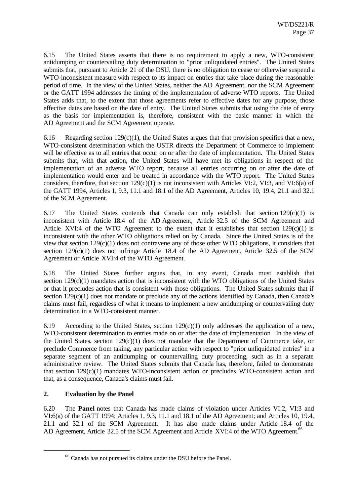6.15 The United States asserts that there is no requirement to apply a new, WTO-consistent antidumping or countervailing duty determination to "prior unliquidated entries". The United States submits that, pursuant to Article 21 of the DSU, there is no obligation to cease or otherwise suspend a WTO-inconsistent measure with respect to its impact on entries that take place during the reasonable period of time. In the view of the United States, neither the AD Agreement, nor the SCM Agreement or the GATT 1994 addresses the timing of the implementation of adverse WTO reports. The United States adds that, to the extent that those agreements refer to effective dates for any purpose, those effective dates are based on the date of entry. The United States submits that using the date of entry as the basis for implementation is, therefore, consistent with the basic manner in which the AD Agreement and the SCM Agreement operate.

6.16 Regarding section 129 $(c)(1)$ , the United States argues that that provision specifies that a new, WTO-consistent determination which the USTR directs the Department of Commerce to implement will be effective as to all entries that occur on or after the date of implementation. The United States submits that, with that action, the United States will have met its obligations in respect of the implementation of an adverse WTO report, because all entries occurring on or after the date of implementation would enter and be treated in accordance with the WTO report. The United States considers, therefore, that section  $129(c)(1)$  is not inconsistent with Articles VI:2, VI:3, and VI:6(a) of the GATT 1994, Articles 1, 9.3, 11.1 and 18.1 of the AD Agreement, Articles 10, 19.4, 21.1 and 32.1 of the SCM Agreement.

6.17 The United States contends that Canada can only establish that section  $129(c)(1)$  is inconsistent with Article 18.4 of the AD Agreement, Article 32.5 of the SCM Agreement and Article XVI:4 of the WTO Agreement to the extent that it establishes that section  $129(c)(1)$  is inconsistent with the other WTO obligations relied on by Canada. Since the United States is of the view that section 129(c)(1) does not contravene any of those other WTO obligations, it considers that section 129(c)(1) does not infringe Article 18.4 of the AD Agreement, Article 32.5 of the SCM Agreement or Article XVI:4 of the WTO Agreement.

6.18 The United States further argues that, in any event, Canada must establish that section  $129(c)(1)$  mandates action that is inconsistent with the WTO obligations of the United States or that it precludes action that is consistent with those obligations. The United States submits that if section 129(c)(1) does not mandate or preclude any of the actions identified by Canada, then Canada's claims must fail, regardless of what it means to implement a new antidumping or countervailing duty determination in a WTO-consistent manner.

6.19 According to the United States, section  $129(c)(1)$  only addresses the application of a new, WTO-consistent determination to entries made on or after the date of implementation. In the view of the United States, section 129(c)(1) does not mandate that the Department of Commerce take, or preclude Commerce from taking, any particular action with respect to "prior unliquidated entries" in a separate segment of an antidumping or countervailing duty proceeding, such as in a separate administrative review. The United States submits that Canada has, therefore, failed to demonstrate that section 129(c)(1) mandates WTO-inconsistent action or precludes WTO-consistent action and that, as a consequence, Canada's claims must fail.

## **2. Evaluation by the Panel**

l

6.20 The **Panel** notes that Canada has made claims of violation under Articles VI:2, VI:3 and VI:6(a) of the GATT 1994; Articles 1, 9.3, 11.1 and 18.1 of the AD Agreement; and Articles 10, 19.4, 21.1 and 32.1 of the SCM Agreement. It has also made claims under Article 18.4 of the AD Agreement, Article 32.5 of the SCM Agreement and Article XVI:4 of the WTO Agreement.<sup>66</sup>

<sup>66</sup> Canada has not pursued its claims under the DSU before the Panel.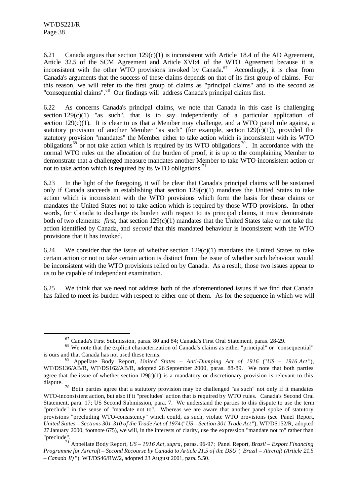l

6.21 Canada argues that section  $129(c)(1)$  is inconsistent with Article 18.4 of the AD Agreement, Article 32.5 of the SCM Agreement and Article XVI:4 of the WTO Agreement because it is inconsistent with the other WTO provisions invoked by Canada.<sup>67</sup> Accordingly, it is clear from Canada's arguments that the success of these claims depends on that of its first group of claims. For this reason, we will refer to the first group of claims as "principal claims" and to the second as "consequential claims".<sup>68</sup> Our findings will address Canada's principal claims first.

6.22 As concerns Canada's principal claims, we note that Canada in this case is challenging section  $129(c)(1)$  "as such", that is to say independently of a particular application of section  $129(c)(1)$ . It is clear to us that a Member may challenge, and a WTO panel rule against, a statutory provision of another Member "as such" (for example, section  $129(c)(1)$ ), provided the statutory provision "mandates" the Member either to take action which is inconsistent with its WTO obligations<sup>69</sup> or not take action which is required by its WTO obligations<sup>70</sup>. In accordance with the normal WTO rules on the allocation of the burden of proof, it is up to the complaining Member to demonstrate that a challenged measure mandates another Member to take WTO-inconsistent action or not to take action which is required by its WTO obligations.<sup>71</sup>

6.23 In the light of the foregoing, it will be clear that Canada's principal claims will be sustained only if Canada succeeds in establishing that section  $129(c)(1)$  mandates the United States to take action which is inconsistent with the WTO provisions which form the basis for those claims or mandates the United States not to take action which is required by those WTO provisions. In other words, for Canada to discharge its burden with respect to its principal claims, it must demonstrate both of two elements: *first*, that section 129(c)(1) mandates that the United States take or not take the action identified by Canada, and *second* that this mandated behaviour is inconsistent with the WTO provisions that it has invoked.

6.24 We consider that the issue of whether section  $129(c)(1)$  mandates the United States to take certain action or not to take certain action is distinct from the issue of whether such behaviour would be inconsistent with the WTO provisions relied on by Canada. As a result, those two issues appear to us to be capable of independent examination.

6.25 We think that we need not address both of the aforementioned issues if we find that Canada has failed to meet its burden with respect to either one of them. As for the sequence in which we will

<sup>67</sup> Canada's First Submission, paras. 80 and 84; Canada's First Oral Statement, paras. 28-29.

<sup>68</sup> We note that the explicit characterization of Canada's claims as either "principal" or "consequential" is ours and that Canada has not used these terms.

<sup>69</sup> Appellate Body Report, *United States – Anti-Dumping Act of 1916* ("*US – 1916 Act* "), WT/DS136/AB/R, WT/DS162/AB/R, adopted 26 September 2000, paras. 88-89. We note that both parties agree that the issue of whether section  $129(c)(1)$  is a mandatory or discretionary provision is relevant to this dispute.

<sup>70</sup> Both parties agree that a statutory provision may be challenged "as such" not only if it mandates WTO-inconsistent action, but also if it "precludes" action that is required by WTO rules. Canada's Second Oral Statement, para. 17; US Second Submission, para. 7. We understand the parties to this dispute to use the term "preclude" in the sense of "mandate not to". Whereas we are aware that another panel spoke of statutory provisions "precluding WTO-consistency" which could, as such, violate WTO provisions (see Panel Report. *United States – Sections 301-310 of the Trade Act of 1974* ("*US – Section 301 Trade Act* "), WT/DS152/R, adopted 27 January 2000, footnote 675), we will, in the interests of clarity, use the expression "mandate not to" rather than "preclude".

<sup>71</sup> Appellate Body Report, *US – 1916 Act*, *supra*, paras. 96-97; Panel Report, *Brazil – Export Financing Programme for Aircraft – Second Recourse by Canada to Article 21.5 of the DSU* ("*Brazil – Aircraft (Article 21.5 – Canada II)* "), WT/DS46/RW/2, adopted 23 August 2001, para. 5.50.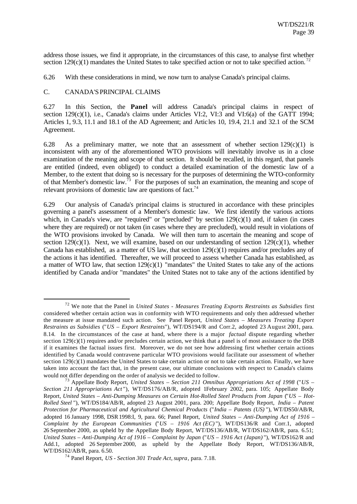address those issues, we find it appropriate, in the circumstances of this case, to analyse first whether section 129(c)(1) mandates the United States to take specified action or not to take specified action.<sup>72</sup>

6.26 With these considerations in mind, we now turn to analyse Canada's principal claims.

#### C. CANADA'SPRINCIPAL CLAIMS

l

6.27 In this Section, the **Panel** will address Canada's principal claims in respect of section 129(c)(1), i.e., Canada's claims under Articles VI:2, VI:3 and VI:6(a) of the GATT 1994; Articles 1, 9.3, 11.1 and 18.1 of the AD Agreement; and Artic les 10, 19.4, 21.1 and 32.1 of the SCM Agreement.

6.28 As a preliminary matter, we note that an assessment of whether section  $129(c)(1)$  is inconsistent with any of the aforementioned WTO provisions will inevitably involve us in a close examination of the meaning and scope of that section. It should be recalled, in this regard, that panels are entitled (indeed, even obliged) to conduct a detailed examination of the domestic law of a Member, to the extent that doing so is necessary for the purposes of determining the WTO-conformity of that Member's domestic law.<sup>73</sup> For the purposes of such an examination, the meaning and scope of relevant provisions of domestic law are questions of fact.<sup>74</sup>

6.29 Our analysis of Canada's principal claims is structured in accordance with these principles governing a panel's assessment of a Member's domestic law. We first identify the various actions which, in Canada's view, are "required" or "precluded" by section  $129(c)(1)$  and, if taken (in cases where they are required) or not taken (in cases where they are precluded), would result in violations of the WTO provisions invoked by Canada. We will then turn to ascertain the meaning and scope of section 129(c)(1). Next, we will examine, based on our understanding of section 129(c)(1), whether Canada has established, as a matter of US law, that section  $129(c)(1)$  requires and/or precludes any of the actions it has identified. Thereafter, we will proceed to assess whether Canada has established, as a matter of WTO law, that section  $129(c)(1)$  "mandates" the United States to take any of the actions identified by Canada and/or "mandates" the United States not to take any of the actions identified by

<sup>72</sup> We note that the Panel in *United States - Measures Treating Exports Restraints as Subsidies* first considered whether certain action was in conformity with WTO requirements and only then addressed whether the measure at issue mandated such action. See Panel Report, *United States – Measures Treating Export Restraints as Subsidies* ("*US – Export Restraints*"), WT/DS194/R and Corr.2, adopted 23 August 2001, para. 8.14. In the circumstances of the case at hand, where there is a major *factual* dispute regarding whether section  $129(c)(1)$  requires and/or precludes certain action, we think that a panel is of most assistance to the DSB if it examines the factual issues first. Moreover, we do not see how addressing first whether certain actions identified by Canada would contravene particular WTO provisions would facilitate our assessment of whether section 129(c)(1) mandates the United States to take certain action or not to take certain action. Finally, we have taken into account the fact that, in the present case, our ultimate conclusions with respect to Canada's claims would not differ depending on the order of analysis we decided to follow.

<sup>73</sup> Appellate Body Report, *United States – Section 211 Omnibus Appropriations Act of 1998* ("*US –* Section 211 Appropriations Act"), WT/DS176/AB/R, adopted 1February 2002, para. 105; Appellate Body Report, *United States – Anti-Dumping Measures on Certain Hot-Rolled Steel Products from Japan* ("*US – Hot-Rolled Steel* "), WT/DS184/AB/R, adopted 23 August 2001, para. 200; Appellate Body Report, *India – Patent Protection for Pharmaceutical and Agricultural Chemical Products* ("*India – Patents (US)* "), WT/DS50/AB/R, adopted 16 January 1998, DSR 1998:I, 9, para. 66; Panel Report, *United States – Anti-Dumping Act of 1916 – Complaint by the European Communities* ("*US – 1916 Act (EC)* "), WT/DS136/R and Corr.1, adopted 26 September 2000, as upheld by the Appellate Body Report, WT/DS136/AB/R, WT/DS162/AB/R, para. 6.51; *United States – Anti-Dumping Act of 1916 – Complaint by Japan* ("*US – 1916 Act (Japan)* "), WT/DS162/R and Add.1, adopted 26 September 2000, as upheld by the Appellate Body Report, WT/DS136/AB/R, WT/DS162/AB/R, para. 6.50.

<sup>74</sup> Panel Report, *US - Section 301 Trade Act*, *supra*, para. 7.18.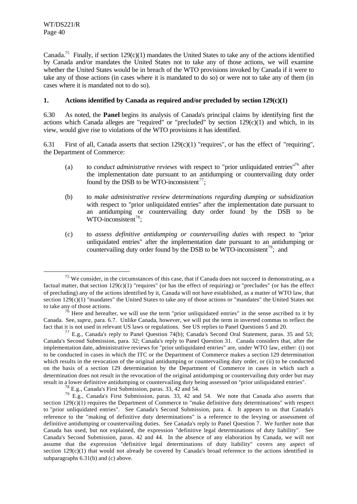l

Canada.<sup>75</sup> Finally, if section 129(c)(1) mandates the United States to take any of the actions identified by Canada and/or mandates the United States not to take any of those actions, we will examine whether the United States would be in breach of the WTO provisions invoked by Canada if it were to take any of those actions (in cases where it is mandated to do so) or were not to take any of them (in cases where it is mandated not to do so).

## **1. Actions identified by Canada as required and/or precluded by section 129(c)(1)**

6.30 As noted, the **Panel** begins its analysis of Canada's principal claims by identifying first the actions which Canada alleges are "required" or "precluded" by section  $129(c)(1)$  and which, in its view, would give rise to violations of the WTO provisions it has identified.

6.31 First of all, Canada asserts that section 129(c)(1) "requires", or has the effect of "requiring", the Department of Commerce:

- (a) to *conduct administrative reviews* with respect to "prior unliquidated entries"<sup>76</sup> after the implementation date pursuant to an antidumping or countervailing duty order found by the DSB to be WTO-inconsistent<sup>77</sup>;
- (b) to *make administrative review determinations regarding dumping or subsidization* with respect to "prior unliquidated entries" after the implementation date pursuant to an antidumping or countervailing duty order found by the DSB to be  $WTO-inconsistent^{78};$
- (c) to *assess definitive antidumping or countervailing duties* with respect to "prior unliquidated entries" after the implementation date pursuant to an antidumping or countervailing duty order found by the DSB to be WTO-inconsistent<sup>79</sup>; and

 $75$  We consider, in the circumstances of this case, that if Canada does not succeed in demonstrating, as a factual matter, that section  $129(c)(1)$  "requires" (or has the effect of requiring) or "precludes" (or has the effect of precluding) any of the actions identified by it, Canada will not have established, as a matter of WTO law, that section  $129(c)(1)$  "mandates" the United States to take any of those actions or "mandates" the United States not to take any of those actions.

 $76$  Here and hereafter, we will use the term "prior unliquidated entries" in the sense ascribed to it by Canada. See, *supra*, para. 6.7. Unlike Canada, however, we will put the term in inverted commas to reflect the fact that it is not used in relevant US laws or regulations. See US replies to Panel Questions 5 and 20.

<sup>&</sup>lt;sup>77</sup> E.g., Canada's reply to Panel Question 74(b); Canada's Second Oral Statement, paras. 35 and 53; Canada's Second Submission, para. 32; Canada's reply to Panel Question 31. Canada considers that, after the implementation date, administrative reviews for "prior unliquidated entries" are, under WTO law, either: (i) not to be conducted in cases in which the ITC or the Department of Commerce makes a section 129 determination which results in the revocation of the original antidumping or countervailing duty order, or (ii) to be conducted on the basis of a section 129 determination by the Department of Commerce in cases in which such a determination does not result in the revocation of the original antidumping or countervailing duty order but may result in a lower definitive antidumping or countervailing duty being assessed on "prior unliquidated entries".

 $^{78}$  E.g., Canada's First Submission, paras. 33, 42 and 54.

 $79$  E.g., Canada's First Submission, paras. 33, 42 and 54. We note that Canada also asserts that section  $129(c)(1)$  requires the Department of Commerce to "make definitive duty determinations" with respect to "prior unliquidated entries". See Canada's Second Submission, para. 4. It appears to us that Canada's reference to the "making of definitive duty determinations" is a reference to the levying or assessment of definitive antidumping or countervailing duties. See Canada's reply to Panel Question 7. We further note that Canada has used, but not explained, the expression "definitive legal determinations of duty liability". See Canada's Second Submission, paras. 42 and 44. In the absence of any elaboration by Canada, we will not assume that the expression "definitive legal determinations of duty liability" covers any aspect of section 129(c)(1) that would not already be covered by Canada's broad reference to the actions identified in subparagraphs 6.31(b) and (c) above.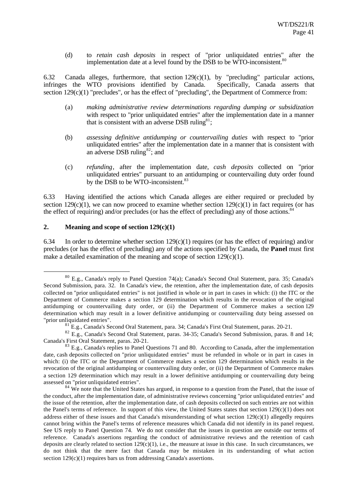(d) to *retain cash deposits* in respect of "prior unliquidated entries" after the implementation date at a level found by the DSB to be WTO-inconsistent.<sup>80</sup>

6.32 Canada alleges, furthermore, that section 129(c)(1), by "precluding" particular actions, infringes the WTO provisions identified by Canada. Specifically, Canada asserts that section  $129(c)(1)$  "precludes", or has the effect of "precluding", the Department of Commerce from:

- (a) *making administrative review determinations regarding dumping or subsidization* with respect to "prior unliquidated entries" after the implementation date in a manner that is consistent with an adverse DSB ruling $81$ ;
- (b) *assessing definitive antidumping or countervailing duties* with respect to "prior unliquidated entries" after the implementation date in a manner that is consistent with an adverse DSB ruling<sup>82</sup>; and
- (c) *refunding*, after the implementation date, *cash deposits* collected on "prior unliquidated entries" pursuant to an antidumping or countervailing duty order found by the DSB to be WTO-inconsistent.<sup>83</sup>

6.33 Having identified the actions which Canada alleges are either required or precluded by section  $129(c)(1)$ , we can now proceed to examine whether section  $129(c)(1)$  in fact requires (or has the effect of requiring) and/or precludes (or has the effect of precluding) any of those actions. $\delta$ 

#### **2. Meaning and scope of section 129(c)(1)**

l

6.34 In order to determine whether section 129(c)(1) requires (or has the effect of requiring) and/or precludes (or has the effect of precluding) any of the actions specified by Canada, the **Panel** must first make a detailed examination of the meaning and scope of section  $129(c)(1)$ .

<sup>80</sup> E.g., Canada's reply to Panel Question 74(a); Canada's Second Oral Statement, para. 35; Canada's Second Submission, para. 32. In Canada's view, the retention, after the implementation date, of cash deposits collected on "prior unliquidated entries" is not justified in whole or in part in cases in which: (i) the ITC or the Department of Commerce makes a section 129 determination which results in the revocation of the original antidumping or countervailing duty order, or (ii) the Department of Commerce makes a section 129 determination which may result in a lower definitive antidumping or countervailing duty being assessed on "prior unliquidated entries".

<sup>81</sup> E.g., Canada's Second Oral Statement, para. 34; Canada's First Oral Statement, paras. 20-21.

<sup>&</sup>lt;sup>82</sup> E.g., Canada's Second Oral Statement, paras. 34-35; Canada's Second Submission, paras. 8 and 14; Canada's First Oral Statement, paras. 20-21.

<sup>&</sup>lt;sup>83</sup> E.g., Canada's replies to Panel Questions 71 and 80. According to Canada, after the implementation date, cash deposits collected on "prior unliquidated entries" must be refunded in whole or in part in cases in which: (i) the ITC or the Department of Commerce makes a section 129 determination which results in the revocation of the original antidumping or countervailing duty order, or (ii) the Department of Commerce makes a section 129 determination which may result in a lower definitive antidumping or countervailing duty being assessed on "prior unliquidated entries".

 $84$  We note that the United States has argued, in response to a question from the Panel, that the issue of the conduct, after the implementation date, of administrative reviews concerning "prior unliquidated entries" and the issue of the retention, after the implementation date, of cash deposits collected on such entries are not within the Panel's terms of reference. In support of this view, the United States states that section  $129(c)(1)$  does not address either of these issues and that Canada's misunderstanding of what section 129(c)(1) allegedly requires cannot bring within the Panel's terms of reference measures which Canada did not identify in its panel request. See US reply to Panel Question 74. We do not consider that the issues in question are outside our terms of reference. Canada's assertions regarding the conduct of administrative reviews and the retention of cash deposits are clearly related to section  $129(c)(1)$ , i.e., the measure at issue in this case. In such circumstances, we do not think that the mere fact that Canada may be mistaken in its understanding of what action section 129(c)(1) requires bars us from addressing Canada's assertions.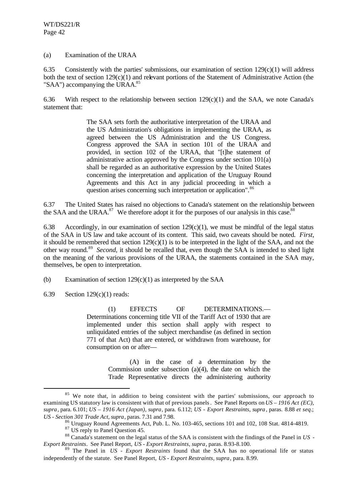(a) Examination of the URAA

6.35 Consistently with the parties' submissions, our examination of section  $129(c)(1)$  will address both the text of section  $129(c)(1)$  and relevant portions of the Statement of Administrative Action (the "SAA") accompanying the URAA. $85$ 

6.36 With respect to the relationship between section  $129(c)(1)$  and the SAA, we note Canada's statement that:

> The SAA sets forth the authoritative interpretation of the URAA and the US Administration's obligations in implementing the URAA, as agreed between the US Administration and the US Congress. Congress approved the SAA in section 101 of the URAA and provided, in section 102 of the URAA, that "[t]he statement of administrative action approved by the Congress under section 101(a) shall be regarded as an authoritative expression by the United States concerning the interpretation and application of the Uruguay Round Agreements and this Act in any judicial proceeding in which a question arises concerning such interpretation or application".<sup>86</sup>

6.37 The United States has raised no objections to Canada's statement on the relationship between the SAA and the URAA. $87$  We therefore adopt it for the purposes of our analysis in this case.<sup>88</sup>

6.38 Accordingly, in our examination of section  $129(c)(1)$ , we must be mindful of the legal status of the SAA in US law and take account of its content. This said, two caveats should be noted. *First*, it should be remembered that section  $129(c)(1)$  is to be interpreted in the light of the SAA, and not the other way round.<sup>89</sup> Second, it should be recalled that, even though the SAA is intended to shed light on the meaning of the various provisions of the URAA, the statements contained in the SAA may, themselves, be open to interpretation.

(b) Examination of section 129(c)(1) as interpreted by the SAA

6.39 Section 129(c)(1) reads:

l

(1) EFFECTS OF DETERMINATIONS.— Determinations concerning title VII of the Tariff Act of 1930 that are implemented under this section shall apply with respect to unliquidated entries of the subject merchandise (as defined in section 771 of that Act) that are entered, or withdrawn from warehouse, for consumption on or after—

> (A) in the case of a determination by the Commission under subsection (a)(4), the date on which the Trade Representative directs the administering authority

 $85$  We note that, in addition to being consistent with the parties' submissions, our approach to examining US statutory law is consistent with that of previous panels. See Panel Reports on *US – 1916 Act (EC)*, *supra*, para. 6.101; *US – 1916 Act (Japan)*, *supra*, para. 6.112; *US - Export Restraints*, *supra* , paras. 8.88 *et seq*.; *US - Section 301 Trade Act*, *supra*, paras. 7.31 and 7.98.

 $86$  Uruguay Round Agreements Act, Pub. L. No. 103-465, sections 101 and 102, 108 Stat. 4814-4819.

<sup>&</sup>lt;sup>87</sup> US reply to Panel Question 45.

<sup>88</sup> Canada's statement on the legal status of the SAA is consistent with the findings of the Panel in *US - Export Restraints*. See Panel Report, *US - Export Restraints, supra*, paras. 8.93-8.100.

<sup>89</sup> The Panel in *US - Export Restraints* found that the SAA has no operational life or status independently of the statute. See Panel Report, *US - Export Restraints, supra*, para. 8.99.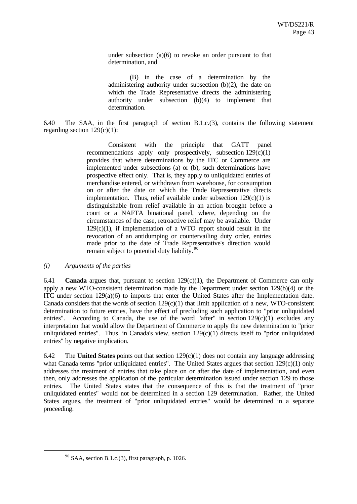under subsection (a)(6) to revoke an order pursuant to that determination, and

 (B) in the case of a determination by the administering authority under subsection (b)(2), the date on which the Trade Representative directs the administering authority under subsection (b)(4) to implement that determination.

6.40 The SAA, in the first paragraph of section B.1.c.(3), contains the following statement regarding section  $129(c)(1)$ :

> Consistent with the principle that GATT panel recommendations apply only prospectively, subsection  $129(c)(1)$ provides that where determinations by the ITC or Commerce are implemented under subsections (a) or (b), such determinations have prospective effect only. That is, they apply to unliquidated entries of merchandise entered, or withdrawn from warehouse, for consumption on or after the date on which the Trade Representative directs implementation. Thus, relief available under subsection  $129(c)(1)$  is distinguishable from relief available in an action brought before a court or a NAFTA binational panel, where, depending on the circumstances of the case, retroactive relief may be available. Under  $129(c)(1)$ , if implementation of a WTO report should result in the revocation of an antidumping or countervailing duty order, entries made prior to the date of Trade Representative's direction would remain subject to potential duty liability.<sup>90</sup>

#### *(i) Arguments of the parties*

l

6.41 **Canada** argues that, pursuant to section 129(c)(1), the Department of Commerce can only apply a new WTO-consistent determination made by the Department under section 129(b)(4) or the ITC under section  $129(a)(6)$  to imports that enter the United States after the Implementation date. Canada considers that the words of section  $129(c)(1)$  that limit application of a new, WTO-consistent determination to future entries, have the effect of precluding such application to "prior unliquidated entries". According to Canada, the use of the word "after" in section  $129(c)(1)$  excludes any interpretation that would allow the Department of Commerce to apply the new determination to "prior unliquidated entries". Thus, in Canada's view, section  $129(c)(1)$  directs itself to "prior unliquidated entries" by negative implication.

6.42 The **United States** points out that section 129(c)(1) does not contain any language addressing what Canada terms "prior unliquidated entries". The United States argues that section 129(c)(1) only addresses the treatment of entries that take place on or after the date of implementation, and even then, only addresses the application of the particular determination issued under section 129 to those entries. The United States states that the consequence of this is that the treatment of "prior unliquidated entries" would not be determined in a section 129 determination. Rather, the United States argues, the treatment of "prior unliquidated entries" would be determined in a separate proceeding.

 $90$  SAA, section B.1.c.(3), first paragraph, p. 1026.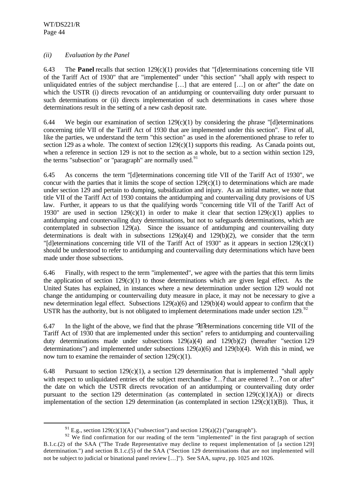l

## *(ii) Evaluation by the Panel*

6.43 The **Panel** recalls that section 129(c)(1) provides that "[d]eterminations concerning title VII of the Tariff Act of 1930" that are "implemented" under "this section" "shall apply with respect to unliquidated entries of the subject merchandise […] that are entered […] on or after" the date on which the USTR (i) directs revocation of an antidumping or countervailing duty order pursuant to such determinations or (ii) directs implementation of such determinations in cases where those determinations result in the setting of a new cash deposit rate.

6.44 We begin our examination of section  $129(c)(1)$  by considering the phrase "[d]eterminations concerning title VII of the Tariff Act of 1930 that are implemented under this section". First of all, like the parties, we understand the term "this section" as used in the aforementioned phrase to refer to section 129 as a whole. The context of section  $129(c)(1)$  supports this reading. As Canada points out, when a reference in section 129 is not to the section as a whole, but to a section within section 129, the terms "subsection" or "paragraph" are normally used. $91$ 

6.45 As concerns the term "[d]eterminations concerning title VII of the Tariff Act of 1930", we concur with the parties that it limits the scope of section  $129(c)(1)$  to determinations which are made under section 129 and pertain to dumping, subsidization and injury. As an initial matter, we note that title VII of the Tariff Act of 1930 contains the antidumping and countervailing duty provisions of US law. Further, it appears to us that the qualifying words "concerning title VII of the Tariff Act of 1930" are used in section  $129(c)(1)$  in order to make it clear that section  $129(c)(1)$  applies to antidumping and countervailing duty determinations, but not to safeguards determinations, which are contemplated in subsection 129(a). Since the issuance of antidumping and countervailing duty determinations is dealt with in subsections  $129(a)(4)$  and  $129(b)(2)$ , we consider that the term "[d]eterminations concerning title VII of the Tariff Act of 1930" as it appears in section  $129(c)(1)$ should be understood to refer to antidumping and countervailing duty determinations which have been made under those subsections.

6.46 Finally, with respect to the term "implemented", we agree with the parties that this term limits the application of section  $129(c)(1)$  to those determinations which are given legal effect. As the United States has explained, in instances where a new determination under section 129 would not change the antidumping or countervailing duty measure in place, it may not be necessary to give a new determination legal effect. Subsections 129(a)(6) and 129(b)(4) would appear to confirm that the USTR has the authority, but is not obligated to implement determinations made under section 129.  $\frac{92}{5}$ 

6.47 In the light of the above, we find that the phrase "?d?eterminations concerning title VII of the Tariff Act of 1930 that are implemented under this section" refers to antidumping and countervailing duty determinations made under subsections 129(a)(4) and 129(b)(2) (hereafter "section 129 determinations") and implemented under subsections 129(a)(6) and 129(b)(4). With this in mind, we now turn to examine the remainder of section  $129(c)(1)$ .

6.48 Pursuant to section  $129(c)(1)$ , a section 129 determination that is implemented "shall apply with respect to unliquidated entries of the subject merchandise ?...? that are entered ?...? on or after" the date on which the USTR directs revocation of an antidumping or countervailing duty order pursuant to the section 129 determination (as contemplated in section  $129(c)(1)(A)$ ) or directs implementation of the section 129 determination (as contemplated in section  $129(c)(1)(B)$ ). Thus, it

<sup>&</sup>lt;sup>91</sup> E.g., section 129(c)(1)(A) ("subsection") and section 129(a)(2) ("paragraph").

 $92$  We find confirmation for our reading of the term "implemented" in the first paragraph of section B.1.c.(2) of the SAA ("The Trade Representative may decline to request implementation of [a section 129] determination.") and section B.1.c.(5) of the SAA ("Section 129 determinations that are not implemented will not be subject to judicial or binational panel review […]"). See SAA, *supra*, pp. 1025 and 1026.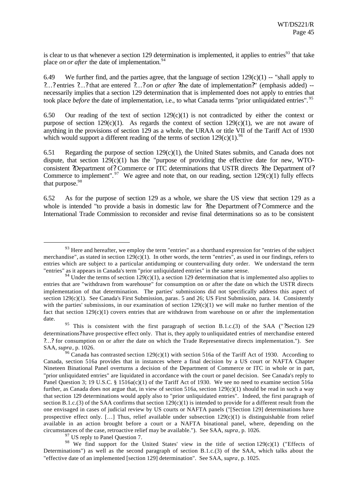is clear to us that whenever a section 129 determination is implemented, it applies to entries<sup>93</sup> that take place *on or after* the date of implementation.<sup>94</sup>

6.49 We further find, and the parties agree, that the language of section  $129(c)(1)$  -- "shall apply to ?…? entries ?…? that are entered ?…? *on or after* ?the date of implementation?" (emphasis added) - necessarily implies that a section 129 determination that is implemented does not apply to entries that took place *before* the date of implementation, i.e., to what Canada terms "prior unliquidated entries".<sup>95</sup>

6.50 Our reading of the text of section  $129(c)(1)$  is not contradicted by either the context or purpose of section 129(c)(1). As regards the context of section 129(c)(1), we are not aware of anything in the provisions of section 129 as a whole, the URAA or title VII of the Tariff Act of 1930 which would support a different reading of the terms of section  $129(c)(1)$ .<sup>96</sup>

6.51 Regarding the purpose of section  $129(c)(1)$ , the United States submits, and Canada does not dispute, that section  $129(c)(1)$  has the "purpose of providing the effective date for new, WTOconsistent ?Department of? Commerce or ITC determinations that USTR directs ?the Department of? Commerce to implement". <sup>97</sup> We agree and note that, on our reading, section 129(c)(1) fully effects that purpose.<sup>98</sup>

6.52 As for the purpose of section 129 as a whole, we share the US view that section 129 as a whole is intended "to provide a basis in domestic law for ?the Department of? Commerce and the International Trade Commission to reconsider and revise final determinations so as to be consistent

<sup>97</sup> US reply to Panel Question 7.

l

<sup>98</sup> We find support for the United States' view in the title of section  $129(c)(1)$  ("Effects of Determinations") as well as the second paragraph of section B.1.c.(3) of the SAA, which talks about the "effective date of an implemented [section 129] determination". See SAA, *supra*, p. 1025.

 $93$  Here and hereafter, we employ the term "entries" as a shorthand expression for "entries of the subject" merchandise", as stated in section  $129(c)(1)$ . In other words, the term "entries", as used in our findings, refers to entries which are subject to a particular antidumping or countervailing duty order. We understand the term "entries" as it appears in Canada's term "prior unliquidated entries" in the same sense.

<sup>&</sup>lt;sup>94</sup> Under the terms of section 129(c)(1), a section 129 determination that is implemented also applies to entries that are "withdrawn from warehouse" for consumption on or after the date on which the USTR directs implementation of that determination. The parties' submissions did not specifically address this aspect of section 129(c)(1). See Canada's First Submission, paras. 5 and 26; US First Submission, para. 14. Consistently with the parties' submissions, in our examination of section  $129(c)(1)$  we will make no further mention of the fact that section 129(c)(1) covers entries that are withdrawn from warehouse on or after the implementation date.

<sup>&</sup>lt;sup>95</sup> This is consistent with the first paragraph of section B.1.c.(3) of the SAA ("?Section 129 determinations? have prospective effect only. That is, they apply to unliquidated entries of merchandise entered ?…? for consumption on or after the date on which the Trade Representative directs implementation."). See SAA, *supra*, p. 1026.

<sup>&</sup>lt;sup>96</sup> Canada has contrasted section 129(c)(1) with section 516a of the Tariff Act of 1930. According to Canada, section 516a provides that in instances where a final decision by a US court or NAFTA Chapter Nineteen Binational Panel overturns a decision of the Department of Commerce or ITC in whole or in part, "prior unliquidated entries" are liquidated in accordance with the court or panel decision. See Canada's reply to Panel Question 3; 19 U.S.C. § 1516a(c)(1) of the Tariff Act of 1930. We see no need to examine section 516a further, as Canada does not argue that, in view of section 516a, section  $129(c)(1)$  should be read in such a way that section 129 determinations would apply also to "prior unliquidated entries". Indeed, the first paragraph of section B.1.c.(3) of the SAA confirms that section  $129(c)(1)$  is intended to provide for a different result from the one envisaged in cases of judicial review by US courts or NAFTA panels ("[Section 129] determinations have prospective effect only. […] Thus, relief available under subsection 129(c)(1) is distinguishable from relief available in an action brought before a court or a NAFTA binational panel, where, depending on the circumstances of the case, retroactive relief may be available."). See SAA, *supra*, p. 1026.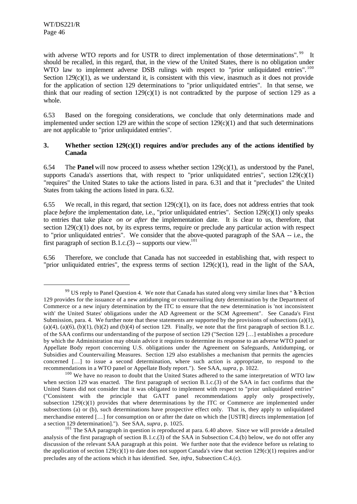l

with adverse WTO reports and for USTR to direct implementation of those determinations".<sup>99</sup> It should be recalled, in this regard, that, in the view of the United States, there is no obligation under WTO law to implement adverse DSB rulings with respect to "prior unliquidated entries".<sup>100</sup> Section  $129(c)(1)$ , as we understand it, is consistent with this view, inasmuch as it does not provide for the application of section 129 determinations to "prior unliquidated entries". In that sense, we think that our reading of section  $129(c)(1)$  is not contradicted by the purpose of section 129 as a whole.

6.53 Based on the foregoing considerations, we conclude that only determinations made and implemented under section 129 are within the scope of section  $129(c)(1)$  and that such determinations are not applicable to "prior unliquidated entries".

## **3. Whether section 129(c)(1) requires and/or precludes any of the actions identified by Canada**

6.54 The **Panel** will now proceed to assess whether section  $129(c)(1)$ , as understood by the Panel, supports Canada's assertions that, with respect to "prior unliquidated entries", section  $129(c)(1)$ "requires" the United States to take the actions listed in para. 6.31 and that it "precludes" the United States from taking the actions listed in para. 6.32.

6.55 We recall, in this regard, that section  $129(c)(1)$ , on its face, does not address entries that took place *before* the implementation date, i.e., "prior unliquidated entries". Section 129(c)(1) only speaks to entries that take place *on or after* the implementation date. It is clear to us, therefore, that section  $129(c)(1)$  does not, by its express terms, require or preclude any particular action with respect to "prior unliquidated entries". We consider that the above-quoted paragraph of the SAA -- i.e., the first paragraph of section B.1.c.(3) -- supports our view.<sup>101</sup>

6.56 Therefore, we conclude that Canada has not succeeded in establishing that, with respect to "prior unliquidated entries", the express terms of section 129(c)(1), read in the light of the SAA,

<sup>&</sup>lt;sup>99</sup> US reply to Panel Question 4. We note that Canada has stated along very similar lines that " ?s?ection 129 provides for the issuance of a new antidumping or countervailing duty determination by the Department of Commerce or a new injury determination by the ITC to ensure that the new determination is 'not inconsistent with' the United States' obligations under the AD Agreement or the SCM Agreement". See Canada's First Submission, para. 4. We further note that these statements are supported by the provisions of subsections (a)(1),  $(a)(4)$ ,  $(a)(6)$ ,  $(b)(1)$ ,  $(b)(2)$  and  $(b)(4)$  of section 129. Finally, we note that the first paragraph of section B.1.c. of the SAA confirms our understanding of the purpose of section 129 ("Section 129 […] establishes a procedure by which the Administration may obtain advice it requires to determine its response to an adverse WTO panel or Appellate Body report concerning U.S. obligations under the Agreement on Safeguards, Antidumping, or Subsidies and Countervailing Measures. Section 129 also establishes a mechanism that permits the agencies concerned […] to issue a second determination, where such action is appropriate, to respond to the recommendations in a WTO panel or Appellate Body report."). See SAA, *supra*, p. 1022.

 $100$  We have no reason to doubt that the United States adhered to the same interpretation of WTO law when section 129 was enacted. The first paragraph of section B.1.c.(3) of the SAA in fact confirms that the United States did not consider that it was obligated to implement with respect to "prior unliquidated entries" ("Consistent with the principle that GATT panel recommendations apply only prospectively, subsection  $129(c)(1)$  provides that where determinations by the ITC or Commerce are implemented under subsections (a) or (b), such determinations have prospective effect only. That is, they apply to unliquidated merchandise entered […] for consumption on or after the date on which the [USTR] directs implementation [of a section 129 determination]."). See SAA, *supra*, p. 1025.

<sup>&</sup>lt;sup>101</sup> The SAA paragraph in question is reproduced at para. 6.40 above. Since we will provide a detailed analysis of the first paragraph of section B.1.c.(3) of the SAA in Subsection C.4.(b) below, we do not offer any discussion of the relevant SAA paragraph at this point. We further note that the evidence before us relating to the application of section  $129(c)(1)$  to date does not support Canada's view that section  $129(c)(1)$  requires and/or precludes any of the actions which it has identified. See, *infra*, Subsection C.4.(c).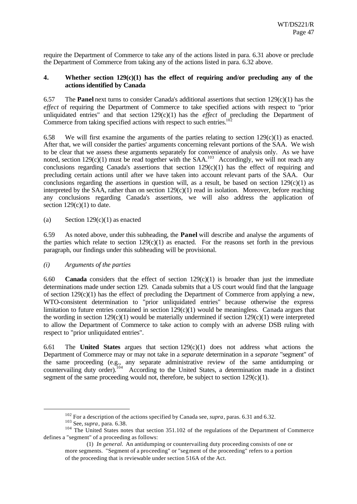require the Department of Commerce to take any of the actions listed in para. 6.31 above or preclude the Department of Commerce from taking any of the actions listed in para. 6.32 above.

## **4. Whether section 129(c)(1) has the effect of requiring and/or precluding any of the actions identified by Canada**

6.57 The **Panel** next turns to consider Canada's additional assertions that section 129(c)(1) has the *effect* of requiring the Department of Commerce to take specified actions with respect to "prior unliquidated entries" and that section 129(c)(1) has the *effect* of precluding the Department of Commerce from taking specified actions with respect to such entries.<sup>10</sup>

6.58 We will first examine the arguments of the parties relating to section 129(c)(1) as enacted. After that, we will consider the parties' arguments concerning relevant portions of the SAA. We wish to be clear that we assess these arguments separately for convenience of analysis only. As we have noted, section  $129(c)(1)$  must be read together with the SAA.<sup>103</sup> Accordingly, we will not reach any conclusions regarding Canada's assertions that section  $129(c)(1)$  has the effect of requiring and precluding certain actions until after we have taken into account relevant parts of the SAA. Our conclusions regarding the assertions in question will, as a result, be based on section  $129(c)(1)$  as interpreted by the SAA, rather than on section 129(c)(1) read in isolation. Moreover, before reaching any conclusions regarding Canada's assertions, we will also address the application of section  $129(c)(1)$  to date.

## (a) Section  $129(c)(1)$  as enacted

6.59 As noted above, under this subheading, the **Panel** will describe and analyse the arguments of the parties which relate to section  $129(c)(1)$  as enacted. For the reasons set forth in the previous paragraph, our findings under this subheading will be provisional.

#### *(i) Arguments of the parties*

6.60 **Canada** considers that the effect of section 129(c)(1) is broader than just the immediate determinations made under section 129. Canada submits that a US court would find that the language of section  $129(c)(1)$  has the effect of precluding the Department of Commerce from applying a new, WTO-consistent determination to "prior unliquidated entries" because otherwise the express limitation to future entries contained in section 129(c)(1) would be meaningless. Canada argues that the wording in section 129(c)(1) would be materially undermined if section 129(c)(1) were interpreted to allow the Department of Commerce to take action to comply with an adverse DSB ruling with respect to "prior unliquidated entries".

6.61 The **United States** argues that section 129(c)(1) does not address what actions the Department of Commerce may or may not take in a *separate* determination in a *separate* "segment" of the same proceeding (e.g., any separate administrative review of the same antidumping or countervailing duty order).<sup>104</sup> According to the United States, a determination made in a distinct segment of the same proceeding would not, therefore, be subject to section  $129(c)(1)$ .

<sup>102</sup> For a description of the actions specified by Canada see, *supra*, paras. 6.31 and 6.32.

<sup>103</sup> See, *supra*, para. 6.38.

<sup>&</sup>lt;sup>104</sup> The United States notes that section 351.102 of the regulations of the Department of Commerce defines a "segment" of a proceeding as follows:

<sup>(1)</sup> *In general.* An antidumping or countervailing duty proceeding consists of one or more segments. "Segment of a proceeding" or "segment of the proceeding" refers to a portion of the proceeding that is reviewable under section 516A of the Act.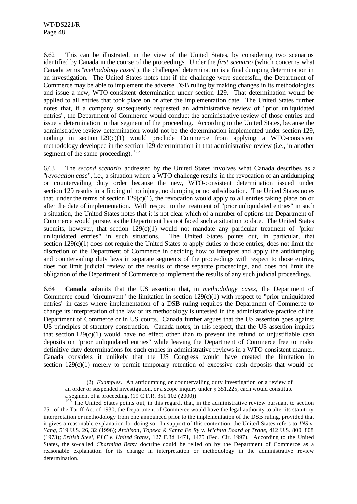l

6.62 This can be illustrated, in the view of the United States, by considering two scenarios identified by Canada in the course of the proceedings. Under the *first scenario* (which concerns what Canada terms "*methodology cases*"), the challenged determination is a final dumping determination in an investigation. The United States notes that if the challenge were successful, the Department of Commerce may be able to implement the adverse DSB ruling by making changes in its methodologies and issue a new, WTO-consistent determination under section 129. That determination would be applied to all entries that took place on or after the implementation date. The United States further notes that, if a company subsequently requested an administrative review of "prior unliquidated entries", the Department of Commerce would conduct the administrative review of those entries and issue a determination in that segment of the proceeding. According to the United States, because the administrative review determination would not be the determination implemented under section 129, nothing in section  $129(c)(1)$  would preclude Commerce from applying a WTO-consistent methodology developed in the section 129 determination in that administrative review (i.e., in another segment of the same proceeding).  $^{105}$ 

6.63 The *second scenario* addressed by the United States involves what Canada describes as a "*revocation case*", i.e., a situation where a WTO challenge results in the revocation of an antidumping or countervailing duty order because the new, WTO-consistent determination issued under section 129 results in a finding of no injury, no dumping or no subsidization. The United States notes that, under the terms of section  $129(c)(1)$ , the revocation would apply to all entries taking place on or after the date of implementation. With respect to the treatment of "prior unliquidated entries" in such a situation, the United States notes that it is not clear which of a number of options the Department of Commerce would pursue, as the Department has not faced such a situation to date. The United States submits, however, that section  $129(c)(1)$  would not mandate any particular treatment of "prior unliquidated entries" in such situations. The United States points out, in particular, that section  $129(c)(1)$  does not require the United States to apply duties to those entries, does not limit the discretion of the Department of Commerce in deciding how to interpret and apply the antidumping and countervailing duty laws in separate segments of the proceedings with respect to those entries, does not limit judicial review of the results of those separate proceedings, and does not limit the obligation of the Department of Commerce to implement the results of any such judicial proceedings.

6.64 **Canada** submits that the US assertion that, in *methodology cases*, the Department of Commerce could "circumvent" the limitation in section  $129(c)(1)$  with respect to "prior unliquidated" entries" in cases where implementation of a DSB ruling requires the Department of Commerce to change its interpretation of the law or its methodology is untested in the administrative practice of the Department of Commerce or in US courts. Canada further argues that the US assertion goes against US principles of statutory construction. Canada notes, in this respect, that the US assertion implies that section  $129(c)(1)$  would have no effect other than to prevent the refund of unjustifiable cash deposits on "prior unliquidated entries" while leaving the Department of Commerce free to make definitive duty determinations for such entries in administrative reviews in a WTO-consistent manner. Canada considers it unlikely that the US Congress would have created the limitation in section  $129(c)(1)$  merely to permit temporary retention of excessive cash deposits that would be

<sup>(2)</sup> *Examples*. An antidumping or countervailing duty investigation or a review of an order or suspended investigation, or a scope inquiry under § 351.225, each would constitute a segment of a proceeding. (19 C.F.R. 351.102 (2000))

<sup>&</sup>lt;sup>105</sup> The United States points out, in this regard, that, in the administrative review pursuant to section 751 of the Tariff Act of 1930, the Department of Commerce would have the legal authority to alter its statutory interpretation or methodology from one announced prior to the implementation of the DSB ruling, provided that it gives a reasonable explanation for doing so. In support of this contention, the United States refers to *INS v. Yang*, 519 U.S. 26, 32 (1996); *Atchison, Topeka & Santa Fe Ry v. Wichita Board of Trade*, 412 U.S. 800, 808 (1973); *British Steel, PLC v. United States*, 127 F.3d 1471, 1475 (Fed. Cir. 1997). According to the United States, the so-called *Charming Betsy* doctrine could be relied on by the Department of Commerce as a reasonable explanation for its change in interpretation or methodology in the administrative review determination.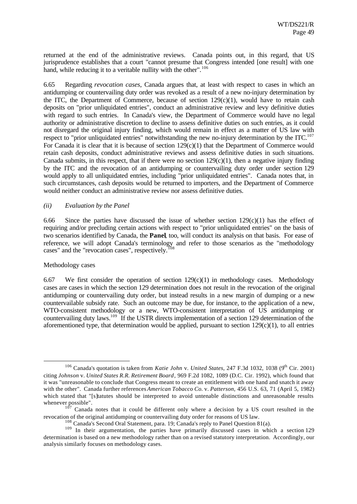returned at the end of the administrative reviews. Canada points out, in this regard, that US jurisprudence establishes that a court "cannot presume that Congress intended [one result] with one hand, while reducing it to a veritable nullity with the other".<sup>106</sup>

6.65 Regarding *revocation cases*, Canada argues that, at least with respect to cases in which an antidumping or countervailing duty order was revoked as a result of a new no-injury determination by the ITC, the Department of Commerce, because of section  $129(c)(1)$ , would have to retain cash deposits on "prior unliquidated entries", conduct an administrative review and levy definitive duties with regard to such entries. In Canada's view, the Department of Commerce would have no legal authority or administrative discretion to decline to assess definitive duties on such entries, as it could not disregard the original injury finding, which would remain in effect as a matter of US law with respect to "prior unliquidated entries" notwithstanding the new no-injury determination by the ITC.<sup>107</sup> For Canada it is clear that it is because of section  $129(c)(1)$  that the Department of Commerce would retain cash deposits, conduct administrative reviews and assess definitive duties in such situations. Canada submits, in this respect, that if there were no section  $129(c)(1)$ , then a negative injury finding by the ITC and the revocation of an antidumping or countervailing duty order under section 129 would apply to all unliquidated entries, including "prior unliquidated entries". Canada notes that, in such circumstances, cash deposits would be returned to importers, and the Department of Commerce would neither conduct an administrative review nor assess definitive duties.

#### *(ii) Evaluation by the Panel*

6.66 Since the parties have discussed the issue of whether section  $129(c)(1)$  has the effect of requiring and/or precluding certain actions with respect to "prior unliquidated entries" on the basis of two scenarios identified by Canada, the **Panel**, too, will conduct its analysis on that basis. For ease of reference, we will adopt Canada's terminology and refer to those scenarios as the "methodology cases" and the "revocation cases", respectively.<sup>1</sup>

#### Methodology cases

l

6.67 We first consider the operation of section  $129(c)(1)$  in methodology cases. Methodology cases are cases in which the section 129 determination does not result in the revocation of the original antidumping or countervailing duty order, but instead results in a new margin of dumping or a new countervailable subsidy rate. Such an outcome may be due, for instance, to the application of a new, WTO-consistent methodology or a new, WTO-consistent interpretation of US antidumping or countervailing duty laws.<sup>109</sup> If the USTR directs implementation of a section 129 determination of the aforementioned type, that determination would be applied, pursuant to section  $129(c)(1)$ , to all entries

<sup>&</sup>lt;sup>106</sup> Canada's quotation is taken from *Katie John v. United States*, 247 F.3d 1032, 1038 (9<sup>th</sup> Cir. 2001) citing *Johnson* v. *United States R.R. Retirement Board*, 969 F.2d 1082, 1089 (D.C. Cir. 1992), which found that it was "unreasonable to conclude that Congress meant to create an entitlement with one hand and snatch it away with the other". Canada further references *American Tobacco Co.* v. *Patterson*, 456 U.S. 63, 71 (April 5, 1982) which stated that "[s]tatutes should be interpreted to avoid untenable distinctions and unreasonable results whenever possible".

<sup>107</sup> Canada notes that it could be different only where a decision by a US court resulted in the revocation of the original antidumping or countervailing duty order for reasons of US law.

<sup>&</sup>lt;sup>108</sup> Canada's Second Oral Statement, para. 19; Canada's reply to Panel Question 81(a).

<sup>&</sup>lt;sup>109</sup> In their argumentation, the parties have primarily discussed cases in which a section 129 determination is based on a new methodology rather than on a revised statutory interpretation. Accordingly, our analysis similarly focuses on methodology cases.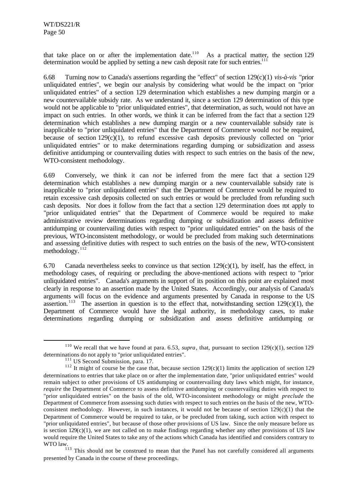that take place on or after the implementation date.<sup>110</sup> As a practical matter, the section 129 determination would be applied by setting a new cash deposit rate for such entries.<sup>111</sup>

6.68 Turning now to Canada's assertions regarding the "effect" of section 129(c)(1) *vis-à-vis* "prior unliquidated entries", we begin our analysis by considering what would be the impact on "prior unliquidated entries" of a section 129 determination which establishes a new dumping margin or a new countervailable subsidy rate. As we understand it, since a section 129 determination of this type would not be applicable to "prior unliquidated entries", that determination, as such, would not have an impact on such entries. In other words, we think it can be inferred from the fact that a section 129 determination which establishes a new dumping margin or a new countervailable subsidy rate is inapplicable to "prior unliquidated entries" that the Department of Commerce would *not* be required, because of section 129(c)(1), to refund excessive cash deposits previously collected on "prior unliquidated entries" or to make determinations regarding dumping or subsidization and assess definitive antidumping or countervailing duties with respect to such entries on the basis of the new, WTO-consistent methodology.

6.69 Conversely, we think it can *not* be inferred from the mere fact that a section 129 determination which establishes a new dumping margin or a new countervailable subsidy rate is inapplicable to "prior unliquidated entries" that the Department of Commerce would be required to retain excessive cash deposits collected on such entries or would be precluded from refunding such cash deposits. Nor does it follow from the fact that a section 129 determination does not apply to "prior unliquidated entries" that the Department of Commerce would be required to make administrative review determinations regarding dumping or subsidization and assess definitive antidumping or countervailing duties with respect to "prior unliquidated entries" on the basis of the previous, WTO-inconsistent methodology, or would be precluded from making such determinations and assessing definitive duties with respect to such entries on the basis of the new, WTO-consistent methodology. <sup>112</sup>

6.70 Canada nevertheless seeks to convince us that section  $129(c)(1)$ , by itself, has the effect, in methodology cases, of requiring or precluding the above-mentioned actions with respect to "prior unliquidated entries". Canada's arguments in support of its position on this point are explained most clearly in response to an assertion made by the United States. Accordingly, our analysis of Canada's arguments will focus on the evidence and arguments presented by Canada in response to the US assertion.<sup>113</sup> The assertion in question is to the effect that, notwithstanding section 129(c)(1), the Department of Commerce would have the legal authority, in methodology cases, to make determinations regarding dumping or subsidization and assess definitive antidumping or

<sup>&</sup>lt;sup>110</sup> We recall that we have found at para. 6.53, *supra*, that, pursuant to section 129(c)(1), section 129 determinations do not apply to "prior unliquidated entries".

<sup>&</sup>lt;sup>111</sup> US Second Submission, para. 17.

<sup>&</sup>lt;sup>112</sup> It might of course be the case that, because section  $129(c)(1)$  limits the application of section 129 determinations to entries that take place on or after the implementation date, "prior unliquidated entries" would remain subject to other provisions of US antidumping or countervailing duty laws which might, for instance, *require* the Department of Commerce to assess definitive antidumping or countervailing duties with respect to "prior unliquidated entries" on the basis of the old, WTO-inconsistent methodology or might *preclude* the Department of Commerce from assessing such duties with respect to such entries on the basis of the new, WTOconsistent methodology. However, in such instances, it would not be because of section  $129(c)(1)$  that the Department of Commerce would be required to take, or be precluded from taking, such action with respect to "prior unliquidated entries", but because of those other provisions of US law. Since the only measure before us is section 129(c)(1), we are not called on to make findings regarding whether any other provisions of US law would require the United States to take any of the actions which Canada has identified and considers contrary to WOWD  $\frac{W}{113}$ 

<sup>113</sup> This should not be construed to mean that the Panel has not carefully considered all arguments presented by Canada in the course of these proceedings.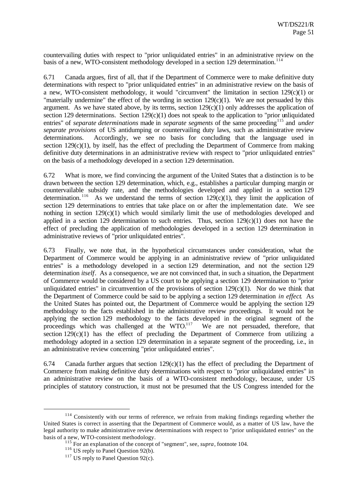countervailing duties with respect to "prior unliquidated entries" in an administrative review on the basis of a new, WTO-consistent methodology developed in a section 129 determination.<sup>114</sup>

6.71 Canada argues, first of all, that if the Department of Commerce were to make definitive duty determinations with respect to "prior unliquidated entries" in an administrative review on the basis of a new, WTO-consistent methodology, it would "circumvent" the limitation in section  $129(c)(1)$  or "materially undermine" the effect of the wording in section  $129(c)(1)$ . We are not persuaded by this argument. As we have stated above, by its terms, section  $129(c)(1)$  only addresses the application of section 129 determinations. Section 129(c)(1) does not speak to the application to "prior unliquidated entries" of *separate determinations* made in *separate segments* of the same proceeding<sup>115</sup> and *under separate provisions* of US antidumping or countervailing duty laws, such as administrative review determinations. Accordingly, we see no basis for concluding that the language used in section  $129(c)(1)$ , by itself, has the effect of precluding the Department of Commerce from making definitive duty determinations in an administrative review with respect to "prior unliquidated entries" on the basis of a methodology developed in a section 129 determination.

6.72 What is more, we find convincing the argument of the United States that a distinction is to be drawn between the section 129 determination, which, e.g., establishes a particular dumping margin or countervailable subsidy rate, and the methodologies developed and applied in a section 129 determination.<sup>116</sup> As we understand the terms of section 129(c)(1), they limit the application of section 129 determinations to entries that take place on or after the implementation date. We see nothing in section  $129(c)(1)$  which would similarly limit the use of methodologies developed and applied in a section 129 determination to such entries. Thus, section  $129(c)(1)$  does not have the effect of precluding the application of methodologies developed in a section 129 determination in administrative reviews of "prior unliquidated entries".

6.73 Finally, we note that, in the hypothetical circumstances under consideration, what the Department of Commerce would be applying in an administrative review of "prior unliquidated entries" is a methodology developed in a section 129 determination, and not the section 129 determination *itself*. As a consequence, we are not convinced that, in such a situation, the Department of Commerce would be considered by a US court to be applying a section 129 determination to "prior unliquidated entries" in circumvention of the provisions of section 129(c)(1). Nor do we think that the Department of Commerce could be said to be applying a section 129 determination *in effect*. As the United States has pointed out, the Department of Commerce would be applying the section 129 methodology to the facts established in the administrative review proceedings. It would not be applying the section 129 methodology to the facts developed in the original segment of the proceedings which was challenged at the  $WTO$ .<sup>117</sup> We are not persuaded, therefore, that section  $129(c)(1)$  has the effect of precluding the Department of Commerce from utilizing a methodology adopted in a section 129 determination in a separate segment of the proceeding, i.e., in an administrative review concerning "prior unliquidated entries".

6.74 Canada further argues that section 129(c)(1) has the effect of precluding the Department of Commerce from making definitive duty determinations with respect to "prior unliquidated entries" in an administrative review on the basis of a WTO-consistent methodology, because, under US principles of statutory construction, it must not be presumed that the US Congress intended for the

<sup>&</sup>lt;sup>114</sup> Consistently with our terms of reference, we refrain from making findings regarding whether the United States is correct in asserting that the Department of Commerce would, as a matter of US law, have the legal authority to make administrative review determinations with respect to "prior unliquidated entries" on the basis of a new, WTO-consistent methodology.

<sup>115</sup> For an explanation of the concept of "segment", see, *supra*, footnote 104.

<sup>&</sup>lt;sup>116</sup> US reply to Panel Question 92(b).

 $117$  US reply to Panel Question 92(c).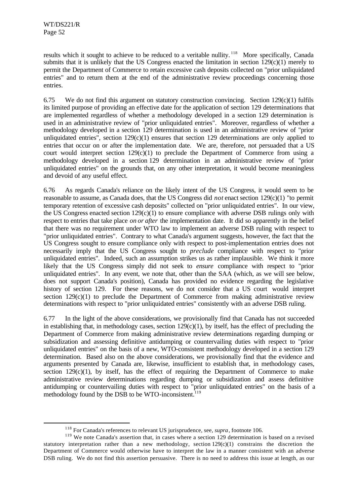l

results which it sought to achieve to be reduced to a veritable nullity.<sup>118</sup> More specifically, Canada submits that it is unlikely that the US Congress enacted the limitation in section  $129(c)(1)$  merely to permit the Department of Commerce to retain excessive cash deposits collected on "prior unliquidated entries" and to return them at the end of the administrative review proceedings concerning those entries.

6.75 We do not find this argument on statutory construction convincing. Section  $129(c)(1)$  fulfils its limited purpose of providing an effective date for the application of section 129 determinations that are implemented regardless of whether a methodology developed in a section 129 determination is used in an administrative review of "prior unliquidated entries". Moreover, regardless of whether a methodology developed in a section 129 determination is used in an administrative review of "prior unliquidated entries", section 129(c)(1) ensures that section 129 determinations are only applied to entries that occur on or after the implementation date. We are, therefore, not persuaded that a US court would interpret section  $129(c)(1)$  to preclude the Department of Commerce from using a methodology developed in a section 129 determination in an administrative review of "prior unliquidated entries" on the grounds that, on any other interpretation, it would become meaningless and devoid of any useful effect.

6.76 As regards Canada's reliance on the likely intent of the US Congress, it would seem to be reasonable to assume, as Canada does, that the US Congress did *not* enact section 129(c)(1) "to permit temporary retention of excessive cash deposits" collected on "prior unliquidated entries". In our view, the US Congress enacted section  $129(c)(1)$  to ensure compliance with adverse DSB rulings only with respect to entries that take place *on or after* the implementation date. It did so apparently in the belief that there was no requirement under WTO law to implement an adverse DSB ruling with respect to "prior unliquidated entries". Contrary to what Canada's argument suggests, however, the fact that the US Congress sought to ensure compliance only with respect to post-implementation entries does not necessarily imply that the US Congress sought to *preclude* compliance with respect to "prior unliquidated entries". Indeed, such an assumption strikes us as rather implausible. We think it more likely that the US Congress simply did not seek to *ensure* compliance with respect to "prior unliquidated entries". In any event, we note that, other than the SAA (which, as we will see below, does not support Canada's position), Canada has provided no evidence regarding the legislative history of section 129. For these reasons, we do not consider that a US court would interpret section  $129(c)(1)$  to preclude the Department of Commerce from making administrative review determinations with respect to "prior unliquidated entries" consistently with an adverse DSB ruling.

6.77 In the light of the above considerations, we provisionally find that Canada has not succeeded in establishing that, in methodology cases, section  $129(c)(1)$ , by itself, has the effect of precluding the Department of Commerce from making administrative review determinations regarding dumping or subsidization and assessing definitive antidumping or countervailing duties with respect to "prior unliquidated entries" on the basis of a new, WTO-consistent methodology developed in a section 129 determination. Based also on the above considerations, we provisionally find that the evidence and arguments presented by Canada are, likewise, insufficient to establish that, in methodology cases, section  $129(c)(1)$ , by itself, has the effect of requiring the Department of Commerce to make administrative review determinations regarding dumping or subsidization and assess definitive antidumping or countervailing duties with respect to "prior unliquidated entries" on the basis of a methodology found by the DSB to be WTO-inconsistent. $119$ 

<sup>118</sup> For Canada's references to relevant US jurisprudence, see, *supra*, footnote 106.

<sup>&</sup>lt;sup>119</sup> We note Canada's assertion that, in cases where a section 129 determination is based on a revised statutory interpretation rather than a new methodology, section  $129(c)(1)$  constrains the discretion the Department of Commerce would otherwise have to interpret the law in a manner consistent with an adverse DSB ruling. We do not find this assertion persuasive. There is no need to address this issue at length, as our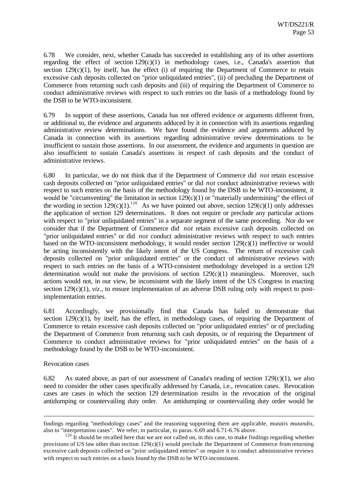6.78 We consider, next, whether Canada has succeeded in establishing any of its other assertions regarding the effect of section 129(c)(1) in methodology cases, i.e., Canada's assertion that section  $129(c)(1)$ , by itself, has the effect (i) of requiring the Department of Commerce to retain excessive cash deposits collected on "prior unliquidated entries", (ii) of precluding the Department of Commerce from returning such cash deposits and (iii) of requiring the Department of Commerce to conduct administrative reviews with respect to such entries on the basis of a methodology found by the DSB to be WTO-inconsistent.

6.79 In support of these assertions, Canada has not offered evidence or arguments different from, or additional to, the evidence and arguments adduced by it in connection with its assertions regarding administrative review determinations. We have found the evidence and arguments adduced by Canada in connection with its assertions regarding administrative review determinations to be insufficient to sustain those assertions. In our assessment, the evidence and arguments in question are also insufficient to sustain Canada's assertions in respect of cash deposits and the conduct of administrative reviews.

6.80 In particular, we do not think that if the Department of Commerce did *not* retain excessive cash deposits collected on "prior unliquidated entries" or did *not* conduct administrative reviews with respect to such entries on the basis of the methodology found by the DSB to be WTO-inconsistent, it would be "circumventing" the limitation in section  $129(c)(1)$  or "materially undermining" the effect of the wording in section  $129(c)(1)$ .<sup>120</sup> As we have pointed out above, section  $129(c)(1)$  only addresses the application of section 129 determinations. It does not require or preclude any particular actions with respect to "prior unliquidated entries" in a separate segment of the same proceeding. Nor do we consider that if the Department of Commerce did *not* retain excessive cash deposits collected on "prior unliquidated entries" or did *not* conduct administrative reviews with respect to such entries based on the WTO-inconsistent methodology, it would render section 129(c)(1) ineffective or would be acting inconsistently with the likely intent of the US Congress. The return of excessive cash deposits collected on "prior unliquidated entries" or the conduct of administrative reviews with respect to such entries on the basis of a WTO-consistent methodology developed in a section 129 determination would not make the provisions of section  $129(c)(1)$  meaningless. Moreover, such actions would not, in our view, be inconsistent with the likely intent of the US Congress in enacting section  $129(c)(1)$ , *viz.*, to ensure implementation of an adverse DSB ruling only with respect to postimplementation entries.

6.81 Accordingly, we provisionally find that Canada has failed to demonstrate that section  $129(c)(1)$ , by itself, has the effect, in methodology cases, of requiring the Department of Commerce to retain excessive cash deposits collected on "prior unliquidated entries" or of precluding the Department of Commerce from returning such cash deposits, or of requiring the Department of Commerce to conduct administrative reviews for "prior unliquidated entries" on the basis of a methodology found by the DSB to be WTO-inconsistent.

#### Revocation cases

l

6.82 As stated above, as part of our assessment of Canada's reading of section 129(c)(1), we also need to consider the other cases specifically addressed by Canada, i.e., revocation cases. Revocation cases are cases in which the section 129 determination results in the revocation of the original antidumping or countervailing duty order. An antidumping or countervailing duty order would be

findings regarding "methodology cases" and the reasoning supporting them are applicable, *mutatis mutandis*, also to "interpretation cases". We refer, in particular, to paras. 6.69 and 6.71-6.76 above.

 $120 \text{ It should be recalled here that we are not called on, in this case, to make findings regarding whether }$ provisions of US law other than section  $129(c)(1)$  would preclude the Department of Commerce from returning excessive cash deposits collected on "prior unliquidated entries" or require it to conduct administrative reviews with respect to such entries on a basis found by the DSB to be WTO-inconsistent.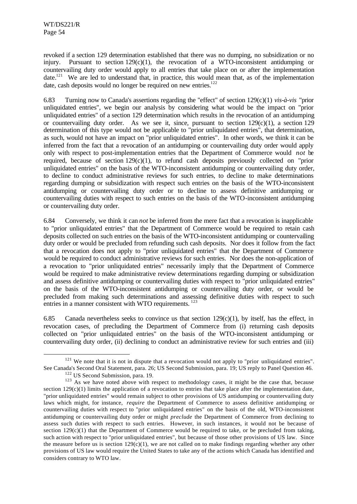revoked if a section 129 determination established that there was no dumping, no subsidization or no injury. Pursuant to section  $129(c)(1)$ , the revocation of a WTO-inconsistent antidumping or countervailing duty order would apply to all entries that take place on or after the implementation date.<sup>121</sup> We are led to understand that, in practice, this would mean that, as of the implementation date, cash deposits would no longer be required on new entries.<sup>122</sup>

6.83 Turning now to Canada's assertions regarding the "effect" of section 129(c)(1) *vis-à-vis* "prior unliquidated entries", we begin our analysis by considering what would be the impact on "prior unliquidated entries" of a section 129 determination which results in the revocation of an antidumping or countervailing duty order. As we see it, since, pursuant to section  $129(c)(1)$ , a section 129 determination of this type would not be applicable to "prior unliquidated entries", that determination, as such, would not have an impact on "prior unliquidated entries". In other words, we think it can be inferred from the fact that a revocation of an antidumping or countervailing duty order would apply only with respect to post-implementation entries that the Department of Commerce would *not* be required, because of section 129(c)(1), to refund cash deposits previously collected on "prior unliquidated entries" on the basis of the WTO-inconsistent antidumping or countervailing duty order, to decline to conduct administrative reviews for such entries, to decline to make determinations regarding dumping or subsidization with respect such entries on the basis of the WTO-inconsistent antidumping or countervailing duty order or to decline to assess definitive antidumping or countervailing duties with respect to such entries on the basis of the WTO-inconsistent antidumping or countervailing duty order.

6.84 Conversely, we think it can *not* be inferred from the mere fact that a revocation is inapplicable to "prior unliquidated entries" that the Department of Commerce would be required to retain cash deposits collected on such entries on the basis of the WTO-inconsistent antidumping or countervailing duty order or would be precluded from refunding such cash deposits. Nor does it follow from the fact that a revocation does not apply to "prior unliquidated entries" that the Department of Commerce would be required to conduct administrative reviews for such entries. Nor does the non-application of a revocation to "prior unliquidated entries" necessarily imply that the Department of Commerce would be required to make administrative review determinations regarding dumping or subsidization and assess definitive antidumping or countervailing duties with respect to "prior unliquidated entries" on the basis of the WTO-inconsistent antidumping or countervailing duty order, or would be precluded from making such determinations and assessing definitive duties with respect to such entries in a manner consistent with WTO requirements. <sup>123</sup>

6.85 Canada nevertheless seeks to convince us that section  $129(c)(1)$ , by itself, has the effect, in revocation cases, of precluding the Department of Commerce from (i) returning cash deposits collected on "prior unliquidated entries" on the basis of the WTO-inconsistent antidumping or countervailing duty order, (ii) declining to conduct an administrative review for such entries and (iii)

<sup>&</sup>lt;sup>121</sup> We note that it is not in dispute that a revocation would not apply to "prior unliquidated entries". See Canada's Second Oral Statement, para. 26; US Second Submission, para. 19; US reply to Panel Question 46.

<sup>&</sup>lt;sup>122</sup> US Second Submission, para. 19.

<sup>&</sup>lt;sup>123</sup> As we have noted above with respect to methodology cases, it might be the case that, because section  $129(c)(1)$  limits the application of a revocation to entries that take place after the implementation date, "prior unliquidated entries" would remain subject to other provisions of US antidumping or countervailing duty laws which might, for instance, *require* the Department of Commerce to assess definitive antidumping or countervailing duties with respect to "prior unliquidated entries" on the basis of the old, WTO-inconsistent antidumping or countervailing duty order or might *preclude* the Department of Commerce from declining to assess such duties with respect to such entries. However, in such instances, it would not be because of section  $129(c)(1)$  that the Department of Commerce would be required to take, or be precluded from taking, such action with respect to "prior unliquidated entries", but because of those other provisions of US law. Since the measure before us is section  $129(c)(1)$ , we are not called on to make findings regarding whether any other provisions of US law would require the United States to take any of the actions which Canada has identified and considers contrary to WTO law.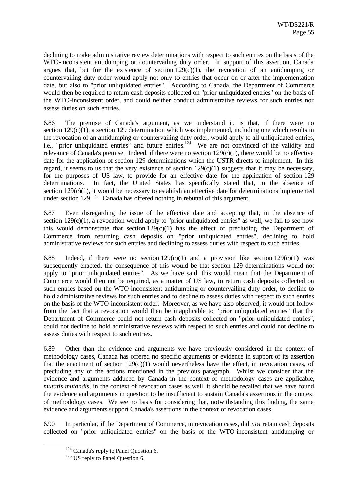declining to make administrative review determinations with respect to such entries on the basis of the WTO-inconsistent antidumping or countervailing duty order. In support of this assertion, Canada argues that, but for the existence of section  $129(c)(1)$ , the revocation of an antidumping or countervailing duty order would apply not only to entries that occur on or after the implementation date, but also to "prior unliquidated entries". According to Canada, the Department of Commerce would then be required to return cash deposits collected on "prior unliquidated entries" on the basis of the WTO-inconsistent order, and could neither conduct administrative reviews for such entries nor assess duties on such entries.

6.86 The premise of Canada's argument, as we understand it, is that, if there were no section  $129(c)(1)$ , a section 129 determination which was implemented, including one which results in the revocation of an antidumping or countervailing duty order, would apply to all unliquidated entries, i.e., "prior unliquidated entries" and future entries.<sup>124</sup> We are not convinced of the validity and relevance of Canada's premise. Indeed, if there were no section  $129(c)(1)$ , there would be no effective date for the application of section 129 determinations which the USTR directs to implement. In this regard, it seems to us that the very existence of section  $129(c)(1)$  suggests that it may be necessary, for the purposes of US law, to provide for an effective date for the application of section 129 determinations. In fact, the United States has specifically stated that, in the absence of section 129(c)(1), it would be necessary to establish an effective date for determinations implemented under section  $129$ <sup>125</sup> Canada has offered nothing in rebuttal of this argument.

6.87 Even disregarding the issue of the effective date and accepting that, in the absence of section 129(c)(1), a revocation would apply to "prior unliquidated entries" as well, we fail to see how this would demonstrate that section  $129(c)(1)$  has the effect of precluding the Department of Commerce from returning cash deposits on "prior unliquidated entries", declining to hold administrative reviews for such entries and declining to assess duties with respect to such entries.

6.88 Indeed, if there were no section  $129(c)(1)$  and a provision like section  $129(c)(1)$  was subsequently enacted, the consequence of this would be that section 129 determinations would not apply to "prior unliquidated entries". As we have said, this would mean that the Department of Commerce would then not be required, as a matter of US law, to return cash deposits collected on such entries based on the WTO-inconsistent antidumping or countervailing duty order, to decline to hold administrative reviews for such entries and to decline to assess duties with respect to such entries on the basis of the WTO-inconsistent order. Moreover, as we have also observed, it would not follow from the fact that a revocation would then be inapplicable to "prior unliquidated entries" that the Department of Commerce could not return cash deposits collected on "prior unliquidated entries", could not decline to hold administrative reviews with respect to such entries and could not decline to assess duties with respect to such entries.

6.89 Other than the evidence and arguments we have previously considered in the context of methodology cases, Canada has offered no specific arguments or evidence in support of its assertion that the enactment of section 129(c)(1) would nevertheless have the effect, in revocation cases, of precluding any of the actions mentioned in the previous paragraph. Whilst we consider that the evidence and arguments adduced by Canada in the context of methodology cases are applicable, *mutatis mutandis*, in the context of revocation cases as well, it should be recalled that we have found the evidence and arguments in question to be insufficient to sustain Canada's assertions in the context of methodology cases. We see no basis for considering that, notwithstanding this finding, the same evidence and arguments support Canada's assertions in the context of revocation cases.

6.90 In particular, if the Department of Commerce, in revocation cases, did *not* retain cash deposits collected on "prior unliquidated entries" on the basis of the WTO-inconsistent antidumping or

<sup>&</sup>lt;sup>124</sup> Canada's reply to Panel Question 6.

 $125$  US reply to Panel Question 6.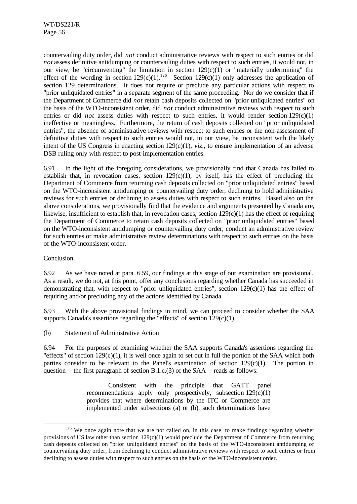countervailing duty order, did *not* conduct administrative reviews with respect to such entries or did *not* assess definitive antidumping or countervailing duties with respect to such entries, it would not, in our view, be "circumventing" the limitation in section 129(c)(1) or "materially undermining" the effect of the wording in section  $129(c)(1)$ .<sup>126</sup> Section  $129(c)(1)$  only addresses the application of section 129 determinations. It does not require or preclude any particular actions with respect to "prior unliquidated entries" in a separate segment of the same proceeding. Nor do we consider that if the Department of Commerce did *not* retain cash deposits collected on "prior unliquidated entries" on the basis of the WTO-inconsistent order, did *not* conduct administrative reviews with respect to such entries or did *not* assess duties with respect to such entries, it would render section 129(c)(1) ineffective or meaningless. Furthermore, the return of cash deposits collected on "prior unliquidated entries", the absence of administrative reviews with respect to such entries or the non-assessment of definitive duties with respect to such entries would not, in our view, be inconsistent with the likely intent of the US Congress in enacting section 129(c)(1), *viz*., to ensure implementation of an adverse DSB ruling only with respect to post-implementation entries.

6.91 In the light of the foregoing considerations, we provisionally find that Canada has failed to establish that, in revocation cases, section  $129(c)(1)$ , by itself, has the effect of precluding the Department of Commerce from returning cash deposits collected on "prior unliquidated entries" based on the WTO-inconsistent antidumping or countervailing duty order, declining to hold administrative reviews for such entries or declining to assess duties with respect to such entries. Based also on the above considerations, we provisionally find that the evidence and arguments presented by Canada are, likewise, insufficient to establish that, in revocation cases, section  $129(c)(1)$  has the effect of requiring the Department of Commerce to retain cash deposits collected on "prior unliquidated entries" based on the WTO-inconsistent antidumping or countervailing duty order, conduct an administrative review for such entries or make administrative review determinations with respect to such entries on the basis of the WTO-inconsistent order.

## Conclusion

l

6.92 As we have noted at para. 6.59, our findings at this stage of our examination are provisional. As a result, we do not, at this point, offer any conclusions regarding whether Canada has succeeded in demonstrating that, with respect to "prior unliquidated entries", section 129(c)(1) has the effect of requiring and/or precluding any of the actions identified by Canada.

6.93 With the above provisional findings in mind, we can proceed to consider whether the SAA supports Canada's assertions regarding the "effects" of section  $129(c)(1)$ .

(b) Statement of Administrative Action

6.94 For the purposes of examining whether the SAA supports Canada's assertions regarding the "effects" of section  $129(c)(1)$ , it is well once again to set out in full the portion of the SAA which both parties consider to be relevant to the Panel's examination of section 129(c)(1). The portion in question -- the first paragraph of section B.1.c.(3) of the SAA -- reads as follows:

> Consistent with the principle that GATT panel recommendations apply only prospectively, subsection  $129(c)(1)$ provides that where determinations by the ITC or Commerce are implemented under subsections (a) or (b), such determinations have

<sup>&</sup>lt;sup>126</sup> We once again note that we are not called on, in this case, to make findings regarding whether provisions of US law other than section 129(c)(1) would preclude the Department of Commerce from returning cash deposits collected on "prior unliquidated entries" on the basis of the WTO-inconsistent antidumping or countervailing duty order, from declining to conduct administrative reviews with respect to such entries or from declining to assess duties with respect to such entries on the basis of the WTO-inconsistent order.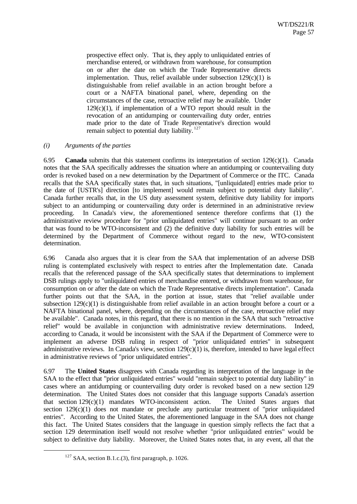prospective effect only. That is, they apply to unliquidated entries of merchandise entered, or withdrawn from warehouse, for consumption on or after the date on which the Trade Representative directs implementation. Thus, relief available under subsection  $129(c)(1)$  is distinguishable from relief available in an action brought before a court or a NAFTA binational panel, where, depending on the circumstances of the case, retroactive relief may be available. Under  $129(c)(1)$ , if implementation of a WTO report should result in the revocation of an antidumping or countervailing duty order, entries made prior to the date of Trade Representative's direction would remain subject to potential duty liability.  $127$ 

#### *(i) Arguments of the parties*

6.95 **Canada** submits that this statement confirms its interpretation of section 129(c)(1). Canada notes that the SAA specifically addresses the situation where an antidumping or countervailing duty order is revoked based on a new determination by the Department of Commerce or the ITC. Canada recalls that the SAA specifically states that, in such situations, "[unliquidated] entries made prior to the date of [USTR's] direction [to implement] would remain subject to potential duty liability". Canada further recalls that, in the US duty assessment system, definitive duty liability for imports subject to an antidumping or countervailing duty order is determined in an administrative review proceeding. In Canada's view, the aforementioned sentence therefore confirms that (1) the administrative review procedure for "prior unliquidated entries" will continue pursuant to an order that was found to be WTO-inconsistent and (2) the definitive duty liability for such entries will be determined by the Department of Commerce without regard to the new, WTO-consistent determination.

6.96 Canada also argues that it is clear from the SAA that implementation of an adverse DSB ruling is contemplated exclusively with respect to entries after the Implementation date. Canada recalls that the referenced passage of the SAA specifically states that determinations to implement DSB rulings apply to "unliquidated entries of merchandise entered, or withdrawn from warehouse, for consumption on or after the date on which the Trade Representative directs implementation". Canada further points out that the SAA, in the portion at issue, states that "relief available under subsection 129(c)(1) is distinguishable from relief available in an action brought before a court or a NAFTA binational panel, where, depending on the circumstances of the case, retroactive relief may be available". Canada notes, in this regard, that there is no mention in the SAA that such "retroactive relief" would be available in conjunction with administrative review determinations. Indeed, according to Canada, it would be inconsistent with the SAA if the Department of Commerce were to implement an adverse DSB ruling in respect of "prior unliquidated entries" in subsequent administrative reviews. In Canada's view, section  $129(c)(1)$  is, therefore, intended to have legal effect in administrative reviews of "prior unliquidated entries".

6.97 The **United States** disagrees with Canada regarding its interpretation of the language in the SAA to the effect that "prior unliquidated entries" would "remain subject to potential duty liability" in cases where an antidumping or countervailing duty order is revoked based on a new section 129 determination. The United States does not consider that this language supports Canada's assertion that section  $129(c)(1)$  mandates WTO-inconsistent action. The United States argues that section 129(c)(1) does not mandate or preclude any particular treatment of "prior unliquidated entries". According to the United States, the aforementioned language in the SAA does not change this fact. The United States considers that the language in question simply reflects the fact that a section 129 determination itself would not resolve whether "prior unliquidated entries" would be subject to definitive duty liability. Moreover, the United States notes that, in any event, all that the

 $127$  SAA, section B.1.c.(3), first paragraph, p. 1026.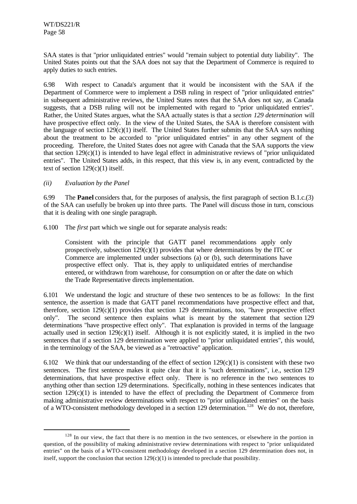SAA states is that "prior unliquidated entries" would "remain subject to potential duty liability". The United States points out that the SAA does not say that the Department of Commerce is required to apply duties to such entries.

6.98 With respect to Canada's argument that it would be inconsistent with the SAA if the Department of Commerce were to implement a DSB ruling in respect of "prior unliquidated entries" in subsequent administrative reviews, the United States notes that the SAA does not say, as Canada suggests, that a DSB ruling will not be implemented with regard to "prior unliquidated entries". Rather, the United States argues, what the SAA actually states is that a *section 129 determination* will have prospective effect only. In the view of the United States, the SAA is therefore consistent with the language of section 129(c)(1) itself. The United States further submits that the SAA says nothing about the treatment to be accorded to "prior unliquidated entries" in any other segment of the proceeding. Therefore, the United States does not agree with Canada that the SAA supports the view that section  $129(c)(1)$  is intended to have legal effect in administrative reviews of "prior unliquidated" entries". The United States adds, in this respect, that this view is, in any event, contradicted by the text of section 129(c)(1) itself.

## *(ii) Evaluation by the Panel*

l

6.99 The **Panel** considers that, for the purposes of analysis, the first paragraph of section B.1.c.(3) of the SAA can usefully be broken up into three parts. The Panel will discuss those in turn, conscious that it is dealing with one single paragraph.

6.100 The *first* part which we single out for separate analysis reads:

Consistent with the principle that GATT panel recommendations apply only prospectively, subsection  $129(c)(1)$  provides that where determinations by the ITC or Commerce are implemented under subsections (a) or (b), such determinations have prospective effect only. That is, they apply to unliquidated entries of merchandise entered, or withdrawn from warehouse, for consumption on or after the date on which the Trade Representative directs implementation.

6.101 We understand the logic and structure of these two sentences to be as follows: In the first sentence, the assertion is made that GATT panel recommendations have prospective effect and that, therefore, section 129(c)(1) provides that section 129 determinations, too, "have prospective effect only". The second sentence then explains what is meant by the statement that section 129 determinations "have prospective effect only". That explanation is provided in terms of the language actually used in section  $129(c)(1)$  itself. Although it is not explicitly stated, it is implied in the two sentences that if a section 129 determination were applied to "prior unliquidated entries", this would, in the terminology of the SAA, be viewed as a "retroactive" application.

6.102 We think that our understanding of the effect of section  $129(c)(1)$  is consistent with these two sentences. The first sentence makes it quite clear that it is "such determinations", i.e., section 129 determinations, that have prospective effect only. There is no reference in the two sentences to anything other than section 129 determinations. Specifically, nothing in these sentences indicates that section  $129(c)(1)$  is intended to have the effect of precluding the Department of Commerce from making administrative review determinations with respect to "prior unliquidated entries" on the basis of a WTO-consistent methodology developed in a section 129 determination.<sup>128</sup> We do not, therefore,

<sup>&</sup>lt;sup>128</sup> In our view, the fact that there is no mention in the two sentences, or elsewhere in the portion in question, of the possibility of making administrative review determinations with respect to "prior unliquidated entries" on the basis of a WTO-consistent methodology developed in a section 129 determination does not, in itself, support the conclusion that section  $129(c)(1)$  is intended to preclude that possibility.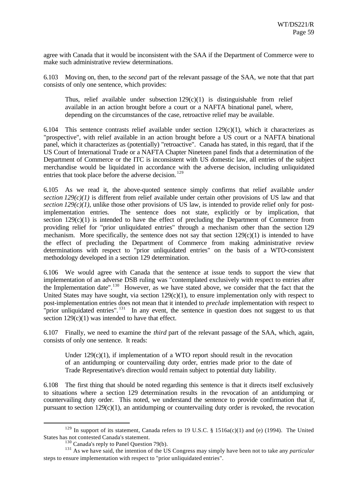agree with Canada that it would be inconsistent with the SAA if the Department of Commerce were to make such administrative review determinations.

6.103 Moving on, then, to the *second* part of the relevant passage of the SAA, we note that that part consists of only one sentence, which provides:

Thus, relief available under subsection  $129(c)(1)$  is distinguishable from relief available in an action brought before a court or a NAFTA binational panel, where, depending on the circumstances of the case, retroactive relief may be available.

6.104 This sentence contrasts relief available under section  $129(c)(1)$ , which it characterizes as "prospective", with relief available in an action brought before a US court or a NAFTA binational panel, which it characterizes as (potentially) "retroactive". Canada has stated, in this regard, that if the US Court of International Trade or a NAFTA Chapter Nineteen panel finds that a determination of the Department of Commerce or the ITC is inconsistent with US domestic law, all entries of the subject merchandise would be liquidated in accordance with the adverse decision, including unliquidated entries that took place before the adverse decision.<sup>129</sup>

6.105 As we read it, the above-quoted sentence simply confirms that relief available *under section 129(c)(1)* is different from relief available under certain other provisions of US law and that *section 129(c)(1)*, unlike those other provisions of US law, is intended to provide relief only for postimplementation entries. The sentence does not state, explicitly or by implication, that section  $129(c)(1)$  is intended to have the effect of precluding the Department of Commerce from providing relief for "prior unliquidated entries" through a mechanism other than the section 129 mechanism. More specifically, the sentence does not say that section  $129(c)(1)$  is intended to have the effect of precluding the Department of Commerce from making administrative review determinations with respect to "prior unliquidated entries" on the basis of a WTO-consistent methodology developed in a section 129 determination.

6.106 We would agree with Canada that the sentence at issue tends to support the view that implementation of an adverse DSB ruling was "contemplated exclusively with respect to entries after the Implementation date".<sup>130</sup> However, as we have stated above, we consider that the fact that the United States may have sought, via section  $129(c)(1)$ , to ensure implementation only with respect to post-implementation entries does not mean that it intended to *preclude* implementation with respect to "prior unliquidated entries".<sup>131</sup> In any event, the sentence in question does not suggest to us that section  $129(c)(1)$  was intended to have that effect.

6.107 Finally, we need to examine the *third* part of the relevant passage of the SAA, which, again, consists of only one sentence. It reads:

Under  $129(c)(1)$ , if implementation of a WTO report should result in the revocation of an antidumping or countervailing duty order, entries made prior to the date of Trade Representative's direction would remain subject to potential duty liability.

6.108 The first thing that should be noted regarding this sentence is that it directs itself exclusively to situations where a section 129 determination results in the revocation of an antidumping or countervailing duty order. This noted, we understand the sentence to provide confirmation that if, pursuant to section  $129(c)(1)$ , an antidumping or countervailing duty order is revoked, the revocation

<sup>129</sup> In support of its statement, Canada refers to 19 U.S.C. § 1516a(c)(1) and (e) (1994). The United States has not contested Canada's statement.

 $130$  Canada's reply to Panel Question 79(b).

<sup>&</sup>lt;sup>131</sup> As we have said, the intention of the US Congress may simply have been not to take any *particular* steps to ensure implementation with respect to "prior unliquidated entries".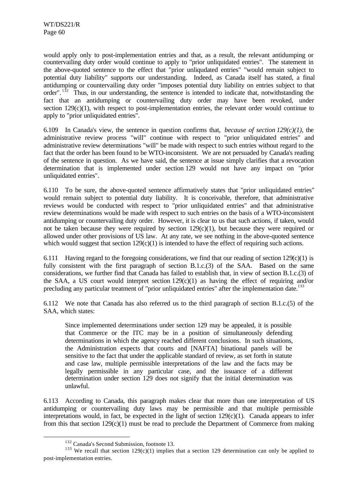would apply only to post-implementation entries and that, as a result, the relevant antidumping or countervailing duty order would continue to apply to "prior unliquidated entries". The statement in the above-quoted sentence to the effect that "prior unliqudated entries" "would remain subject to potential duty liability" supports our understanding. Indeed, as Canada itself has stated, a final antidumping or countervailing duty order "imposes potential duty liability on entries subject to that order".  $132$  Thus, in our understanding, the sentence is intended to indicate that, notwithstanding the fact that an antidumping or countervailing duty order may have been revoked, under section  $129(c)(1)$ , with respect to post-implementation entries, the relevant order would continue to apply to "prior unliquidated entries".

6.109 In Canada's view, the sentence in question confirms that, *because of section 129(c)(1)*, the administrative review process "will" continue with respect to "prior unliquidated entries" and administrative review determinations "will" be made with respect to such entries without regard to the fact that the order has been found to be WTO-inconsistent. We are not persuaded by Canada's reading of the sentence in question. As we have said, the sentence at issue simply clarifies that a revocation determination that is implemented under section 129 would not have any impact on "prior unliquidated entries".

6.110 To be sure, the above-quoted sentence affirmatively states that "prior unliquidated entries" would remain subject to potential duty liability. It is conceivable, therefore, that administrative reviews would be conducted with respect to "prior unliquidated entries" and that administrative review determinations would be made with respect to such entries on the basis of a WTO-inconsistent antidumping or countervailing duty order. However, it is clear to us that such actions, if taken, would not be taken because they were required by section 129(c)(1), but because they were required or allowed under other provisions of US law. At any rate, we see nothing in the above-quoted sentence which would suggest that section  $129(c)(1)$  is intended to have the effect of requiring such actions.

6.111 Having regard to the foregoing considerations, we find that our reading of section  $129(c)(1)$  is fully consistent with the first paragraph of section B.1.c.(3) of the SAA. Based on the same considerations, we further find that Canada has failed to establish that, in view of section B.1.c.(3) of the SAA, a US court would interpret section  $129(c)(1)$  as having the effect of requiring and/or precluding any particular treatment of "prior unliquidated entries" after the implementation date.<sup>133</sup>

6.112 We note that Canada has also referred us to the third paragraph of section B.1.c.(5) of the SAA, which states:

Since implemented determinations under section 129 may be appealed, it is possible that Commerce or the ITC may be in a position of simultaneously defending determinations in which the agency reached different conclusions. In such situations, the Administration expects that courts and [NAFTA] binational panels will be sensitive to the fact that under the applicable standard of review, as set forth in statute and case law, multiple permissible interpretations of the law and the facts may be legally permissible in any particular case, and the issuance of a different determination under section 129 does not signify that the initial determination was unlawful.

6.113 According to Canada, this paragraph makes clear that more than one interpretation of US antidumping or countervailing duty laws may be permissible and that multiple permissible interpretations would, in fact, be expected in the light of section 129(c)(1). Canada appears to infer from this that section  $129(c)(1)$  must be read to preclude the Department of Commerce from making

<sup>&</sup>lt;sup>132</sup> Canada's Second Submission, footnote 13.

<sup>&</sup>lt;sup>133</sup> We recall that section  $129(c)(1)$  implies that a section 129 determination can only be applied to post-implementation entries.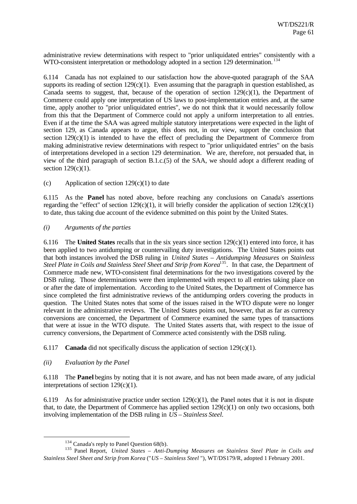administrative review determinations with respect to "prior unliquidated entries" consistently with a WTO-consistent interpretation or methodology adopted in a section 129 determination.<sup>134</sup>

6.114 Canada has not explained to our satisfaction how the above-quoted paragraph of the SAA supports its reading of section 129(c)(1). Even assuming that the paragraph in question established, as Canada seems to suggest, that, because of the operation of section  $129(c)(1)$ , the Department of Commerce could apply one interpretation of US laws to post-implementation entries and, at the same time, apply another to "prior unliquidated entries", we do not think that it would necessarily follow from this that the Department of Commerce could not apply a uniform interpretation to all entries. Even if at the time the SAA was agreed multiple statutory interpretations were expected in the light of section 129, as Canada appears to argue, this does not, in our view, support the conclusion that section  $129(c)(1)$  is intended to have the effect of precluding the Department of Commerce from making administrative review determinations with respect to "prior unliquidated entries" on the basis of interpretations developed in a section 129 determination. We are, therefore, not persuaded that, in view of the third paragraph of section B.1.c.(5) of the SAA, we should adopt a different reading of section 129(c)(1).

(c) Application of section  $129(c)(1)$  to date

6.115 As the **Panel** has noted above, before reaching any conclusions on Canada's assertions regarding the "effect" of section  $129(c)(1)$ , it will briefly consider the application of section  $129(c)(1)$ to date, thus taking due account of the evidence submitted on this point by the United States.

#### *(i) Arguments of the parties*

6.116 The **United States** recalls that in the six years since section 129(c)(1) entered into force, it has been applied to two antidumping or countervailing duty investigations. The United States points out that both instances involved the DSB ruling in *United States – Antidumping Measures on Stainless Steel Plate in Coils and Stainless Steel Sheet and Strip from Korea<sup>135</sup>. In that case, the Department of* Commerce made new, WTO-consistent final determinations for the two investigations covered by the DSB ruling. Those determinations were then implemented with respect to all entries taking place on or after the date of implementation. According to the United States, the Department of Commerce has since completed the first administrative reviews of the antidumping orders covering the products in question. The United States notes that some of the issues raised in the WTO dispute were no longer relevant in the administrative reviews. The United States points out, however, that as far as currency conversions are concerned, the Department of Commerce examined the same types of transactions that were at issue in the WTO dispute. The United States asserts that, with respect to the issue of currency conversions, the Department of Commerce acted consistently with the DSB ruling.

6.117 **Canada** did not specifically discuss the application of section  $129(c)(1)$ .

#### *(ii) Evaluation by the Panel*

l

6.118 The **Panel** begins by noting that it is not aware, and has not been made aware, of any judicial interpretations of section 129(c)(1).

6.119 As for administrative practice under section  $129(c)(1)$ , the Panel notes that it is not in dispute that, to date, the Department of Commerce has applied section  $129(c)(1)$  on only two occasions, both involving implementation of the DSB ruling in *US – Stainless Steel.*

<sup>&</sup>lt;sup>134</sup> Canada's reply to Panel Question 68(b).

<sup>135</sup> Panel Report, *United States – Anti-Dumping Measures on Stainless Steel Plate in Coils and Stainless Steel Sheet and Strip from Korea* ("*US – Stainless Steel* "), WT/DS179/R, adopted 1 February 2001.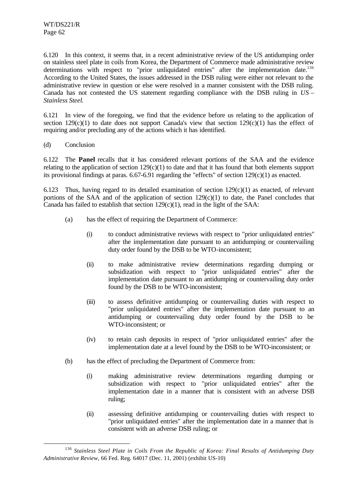6.120 In this context, it seems that, in a recent administrative review of the US antidumping order on stainless steel plate in coils from Korea, the Department of Commerce made administrative review determinations with respect to "prior unliquidated entries" after the implementation date.<sup>136</sup> According to the United States, the issues addressed in the DSB ruling were either not relevant to the administrative review in question or else were resolved in a manner consistent with the DSB ruling. Canada has not contested the US statement regarding compliance with the DSB ruling in *US – Stainless Steel*.

6.121 In view of the foregoing, we find that the evidence before us relating to the application of section  $129(c)(1)$  to date does not support Canada's view that section  $129(c)(1)$  has the effect of requiring and/or precluding any of the actions which it has identified.

(d) Conclusion

l

6.122 The **Panel** recalls that it has considered relevant portions of the SAA and the evidence relating to the application of section  $129(c)(1)$  to date and that it has found that both elements support its provisional findings at paras.  $6.67-6.91$  regarding the "effects" of section  $129(c)(1)$  as enacted.

6.123 Thus, having regard to its detailed examination of section  $129(c)(1)$  as enacted, of relevant portions of the SAA and of the application of section  $129(c)(1)$  to date, the Panel concludes that Canada has failed to establish that section  $129(c)(1)$ , read in the light of the SAA:

- (a) has the effect of requiring the Department of Commerce:
	- (i) to conduct administrative reviews with respect to "prior unliquidated entries" after the implementation date pursuant to an antidumping or countervailing duty order found by the DSB to be WTO-inconsistent;
	- (ii) to make administrative review determinations regarding dumping or subsidization with respect to "prior unliquidated entries" after the implementation date pursuant to an antidumping or countervailing duty order found by the DSB to be WTO-inconsistent;
	- (iii) to assess definitive antidumping or countervailing duties with respect to "prior unliquidated entries" after the implementation date pursuant to an antidumping or countervailing duty order found by the DSB to be WTO-inconsistent; or
	- (iv) to retain cash deposits in respect of "prior unliquidated entries" after the implementation date at a level found by the DSB to be WTO-inconsistent; or
- (b) has the effect of precluding the Department of Commerce from:
	- (i) making administrative review determinations regarding dumping or subsidization with respect to "prior unliquidated entries" after the implementation date in a manner that is consistent with an adverse DSB ruling;
	- (ii) assessing definitive antidumping or countervailing duties with respect to "prior unliquidated entries" after the implementation date in a manner that is consistent with an adverse DSB ruling; or

<sup>136</sup> *Stainless Steel Plate in Coils From the Republic of Korea: Final Results of Antidumping Duty Administrative Review*, 66 Fed. Reg. 64017 (Dec. 11, 2001) (exhibit US-10)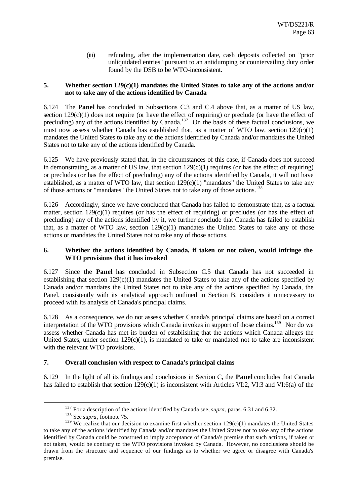(iii) refunding, after the implementation date, cash deposits collected on "prior unliquidated entries" pursuant to an antidumping or countervailing duty order found by the DSB to be WTO-inconsistent.

## **5. Whether section 129(c)(1) mandates the United States to take any of the actions and/or not to take any of the actions identified by Canada**

6.124 The **Panel** has concluded in Subsections C.3 and C.4 above that, as a matter of US law, section  $129(c)(1)$  does not require (or have the effect of requiring) or preclude (or have the effect of precluding) any of the actions identified by Canada.<sup>137</sup> On the basis of these factual conclusions, we must now assess whether Canada has established that, as a matter of WTO law, section  $129(c)(1)$ mandates the United States to take any of the actions identified by Canada and/or mandates the United States not to take any of the actions identified by Canada.

6.125 We have previously stated that, in the circumstances of this case, if Canada does not succeed in demonstrating, as a matter of US law, that section  $129(c)(1)$  requires (or has the effect of requiring) or precludes (or has the effect of precluding) any of the actions identified by Canada, it will not have established, as a matter of WTO law, that section  $129(c)(1)$  "mandates" the United States to take any of those actions or "mandates" the United States not to take any of those actions.<sup>138</sup>

6.126 Accordingly, since we have concluded that Canada has failed to demonstrate that, as a factual matter, section 129(c)(1) requires (or has the effect of requiring) or precludes (or has the effect of precluding) any of the actions identified by it, we further conclude that Canada has failed to establish that, as a matter of WTO law, section  $129(c)(1)$  mandates the United States to take any of those actions or mandates the United States not to take any of those actions.

## **6. Whether the actions identified by Canada, if taken or not taken, would infringe the WTO provisions that it has invoked**

6.127 Since the **Panel** has concluded in Subsection C.5 that Canada has not succeeded in establishing that section 129(c)(1) mandates the United States to take any of the actions specified by Canada and/or mandates the United States not to take any of the actions specified by Canada, the Panel, consistently with its analytical approach outlined in Section B, considers it unnecessary to proceed with its analysis of Canada's principal claims.

6.128 As a consequence, we do not assess whether Canada's principal claims are based on a correct interpretation of the WTO provisions which Canada invokes in support of those claims.<sup>139</sup> Nor do we assess whether Canada has met its burden of establishing that the actions which Canada alleges the United States, under section  $129(c)(1)$ , is mandated to take or mandated not to take are inconsistent with the relevant WTO provisions.

## **7. Overall conclusion with respect to Canada's principal claims**

6.129 In the light of all its findings and conclusions in Section C, the **Panel** concludes that Canada has failed to establish that section 129(c)(1) is inconsistent with Articles VI:2, VI:3 and VI:6(a) of the

<sup>&</sup>lt;sup>137</sup> For a description of the actions identified by Canada see, *supra*, paras. 6.31 and 6.32.

<sup>138</sup> See *supra*, footnote 75.

<sup>&</sup>lt;sup>139</sup> We realize that our decision to examine first whether section  $129(c)(1)$  mandates the United States to take any of the actions identified by Canada and/or mandates the United States not to take any of the actions identified by Canada could be construed to imply acceptance of Canada's premise that such actions, if taken or not taken, would be contrary to the WTO provisions invoked by Canada. However, no conclusions should be drawn from the structure and sequence of our findings as to whether we agree or disagree with Canada's premise.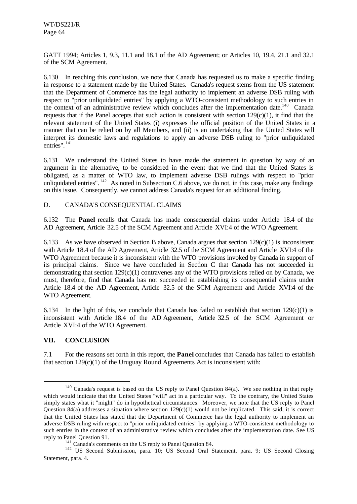GATT 1994; Articles 1, 9.3, 11.1 and 18.1 of the AD Agreement; or Articles 10, 19.4, 21.1 and 32.1 of the SCM Agreement.

6.130 In reaching this conclusion, we note that Canada has requested us to make a specific finding in response to a statement made by the United States. Canada's request stems from the US statement that the Department of Commerce has the legal authority to implement an adverse DSB ruling with respect to "prior unliquidated entries" by applying a WTO-consistent methodology to such entries in the context of an administrative review which concludes after the implementation date.<sup>140</sup> Canada requests that if the Panel accepts that such action is consistent with section 129(c)(1), it find that the relevant statement of the United States (i) expresses the official position of the United States in a manner that can be relied on by all Members, and (ii) is an undertaking that the United States will interpret its domestic laws and regulations to apply an adverse DSB ruling to "prior unliquidated entries". <sup>141</sup>

6.131 We understand the United States to have made the statement in question by way of an argument in the alternative, to be considered in the event that we find that the United States is obligated, as a matter of WTO law, to implement adverse DSB rulings with respect to "prior unliquidated entries".  $^{142}$  As noted in Subsection C.6 above, we do not, in this case, make any findings on this issue. Consequently, we cannot address Canada's request for an additional finding.

## D. CANADA'S CONSEQUENTIAL CLAIMS

6.132 The **Panel** recalls that Canada has made consequential claims under Article 18.4 of the AD Agreement, Article 32.5 of the SCM Agreement and Article XVI:4 of the WTO Agreement.

6.133 As we have observed in Section B above, Canada argues that section 129(c)(1) is inconsistent with Article 18.4 of the AD Agreement, Article 32.5 of the SCM Agreement and Article XVI:4 of the WTO Agreement because it is inconsistent with the WTO provisions invoked by Canada in support of its principal claims. Since we have concluded in Section C that Canada has not succeeded in demonstrating that section  $129(c)(1)$  contravenes any of the WTO provisions relied on by Canada, we must, therefore, find that Canada has not succeeded in establishing its consequential claims under Article 18.4 of the AD Agreement, Article 32.5 of the SCM Agreement and Article XVI:4 of the WTO Agreement.

6.134 In the light of this, we conclude that Canada has failed to establish that section  $129(c)(1)$  is inconsistent with Article 18.4 of the AD Agreement, Article 32.5 of the SCM Agreement or Article XVI:4 of the WTO Agreement.

#### **VII. CONCLUSION**

l

7.1 For the reasons set forth in this report, the **Panel** concludes that Canada has failed to establish that section  $129(c)(1)$  of the Uruguay Round Agreements Act is inconsistent with:

<sup>&</sup>lt;sup>140</sup> Canada's request is based on the US reply to Panel Question 84(a). We see nothing in that reply which would indicate that the United States "will" act in a particular way. To the contrary, the United States simply states what it "might" do in hypothetical circumstances. Moreover, we note that the US reply to Panel Question 84(a) addresses a situation where section  $129(c)(1)$  would not be implicated. This said, it is correct that the United States has stated that the Department of Commerce has the legal authority to implement an adverse DSB ruling with respect to "prior unliquidated entries" by applying a WTO-consistent methodology to such entries in the context of an administrative review which concludes after the implementation date. See US reply to Panel Question 91.

<sup>&</sup>lt;sup>141</sup> Canada's comments on the US reply to Panel Question 84.

<sup>&</sup>lt;sup>142</sup> US Second Submission, para. 10; US Second Oral Statement, para. 9; US Second Closing Statement, para. 4.